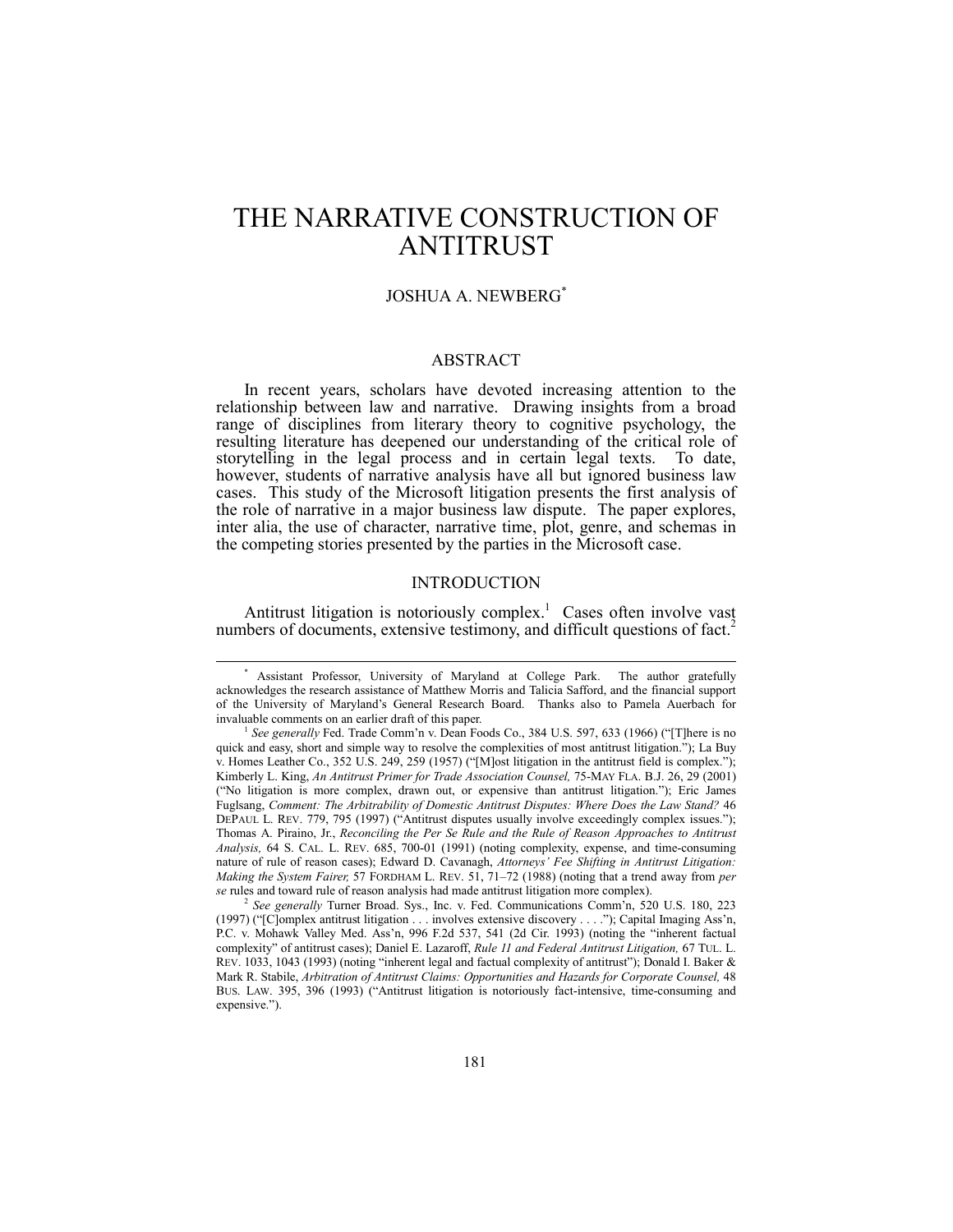# THE NARRATIVE CONSTRUCTION OF ANTITRUST

# JOSHUA A. NEWBERG\*

# ABSTRACT

In recent years, scholars have devoted increasing attention to the relationship between law and narrative. Drawing insights from a broad range of disciplines from literary theory to cognitive psychology, the resulting literature has deepened our understanding of the critical role of storytelling in the legal process and in certain legal texts. To date, however, students of narrative analysis have all but ignored business law cases. This study of the Microsoft litigation presents the first analysis of the role of narrative in a major business law dispute. The paper explores, inter alia, the use of character, narrative time, plot, genre, and schemas in the competing stories presented by the parties in the Microsoft case.

# INTRODUCTION

Antitrust litigation is notoriously complex.<sup>1</sup> Cases often involve vast numbers of documents, extensive testimony, and difficult questions of fact.<sup>2</sup>

 <sup>\*</sup> Assistant Professor, University of Maryland at College Park. The author gratefully acknowledges the research assistance of Matthew Morris and Talicia Safford, and the financial support of the University of Marylandís General Research Board. Thanks also to Pamela Auerbach for invaluable comments on an earlier draft of this paper.

<sup>&</sup>lt;sup>1</sup> See generally Fed. Trade Comm'n v. Dean Foods Co., 384 U.S. 597, 633 (1966) ("[T]here is no quick and easy, short and simple way to resolve the complexities of most antitrust litigation."); La Buy v. Homes Leather Co., 352 U.S. 249, 259 (1957) ("[M]ost litigation in the antitrust field is complex."); Kimberly L. King, *An Antitrust Primer for Trade Association Counsel,* 75-MAY FLA. B.J. 26, 29 (2001) (ìNo litigation is more complex, drawn out, or expensive than antitrust litigation.î); Eric James Fuglsang, *Comment: The Arbitrability of Domestic Antitrust Disputes: Where Does the Law Stand?* 46 DEPAUL L. REV. 779, 795 (1997) ("Antitrust disputes usually involve exceedingly complex issues."); Thomas A. Piraino, Jr., *Reconciling the Per Se Rule and the Rule of Reason Approaches to Antitrust Analysis,* 64 S. CAL. L. REV. 685, 700-01 (1991) (noting complexity, expense, and time-consuming nature of rule of reason cases); Edward D. Cavanagh, *Attorneys' Fee Shifting in Antitrust Litigation*: *Making the System Fairer, 57 FORDHAM L. REV. 51, 71–72 (1988) (noting that a trend away from per se* rules and toward rule of reason analysis had made antitrust litigation more complex).

<sup>&</sup>lt;sup>2</sup> See generally Turner Broad. Sys., Inc. v. Fed. Communications Comm'n, 520 U.S. 180, 223 (1997) ("[C]omplex antitrust litigation . . . involves extensive discovery . . . ."); Capital Imaging Ass'n, P.C. v. Mohawk Valley Med. Ass'n, 996 F.2d 537, 541 (2d Cir. 1993) (noting the "inherent factual complexityî of antitrust cases); Daniel E. Lazaroff, *Rule 11 and Federal Antitrust Litigation,* 67 TUL. L. REV. 1033, 1043 (1993) (noting "inherent legal and factual complexity of antitrust"); Donald I. Baker  $\&$ Mark R. Stabile, Arbitration of Antitrust Claims: Opportunities and Hazards for Corporate Counsel, 48 BUS. LAW. 395, 396 (1993) ("Antitrust litigation is notoriously fact-intensive, time-consuming and expensive.").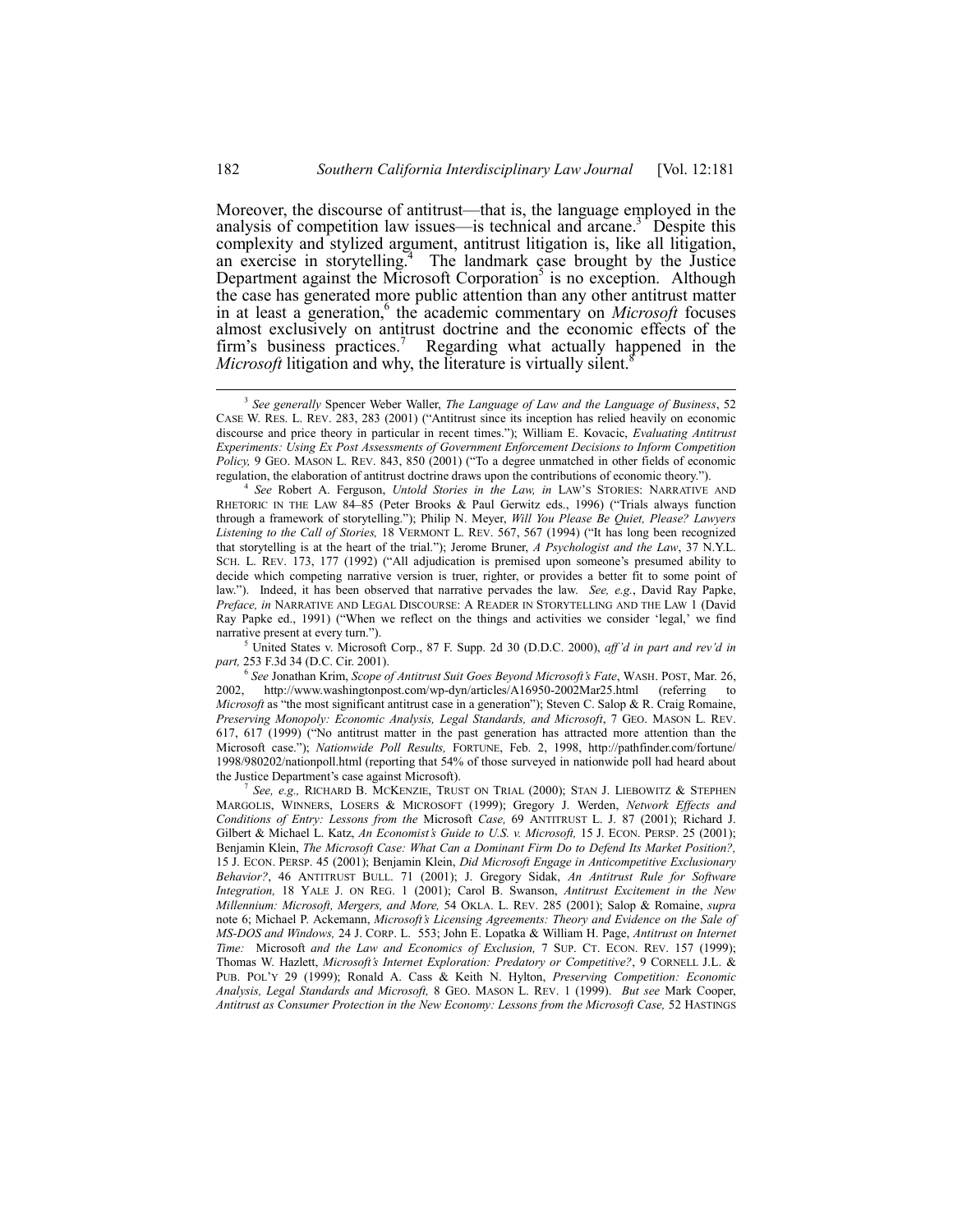Moreover, the discourse of antitrust—that is, the language employed in the analysis of competition law issues—is technical and arcane.<sup>3</sup> Despite this complexity and stylized argument, antitrust litigation is, like all litigation, an exercise in storytelling.<sup>4</sup> The landmark case brought by the Justice Department against the Microsoft Corporation<sup>5</sup> is no exception. Although the case has generated more public attention than any other antitrust matter in at least a generation,<sup>6</sup> the academic commentary on *Microsoft* focuses almost exclusively on antitrust doctrine and the economic effects of the firm's business practices.<sup>7</sup> Regarding what actually happened in the *Microsoft* litigation and why, the literature is virtually silent.<sup>8</sup>

5 United States v. Microsoft Corp., 87 F. Supp. 2d 30 (D.D.C. 2000), *affíd in part and revíd in part,* 253 F.3d 34 (D.C. Cir. 2001).

<sup>6</sup> *See* Jonathan Krim, *Scope of Antitrust Suit Goes Beyond Microsoftís Fate*, WASH. POST, Mar. 26, http://www.washingtonpost.com/wp-dyn/articles/A16950-2002Mar25.html (referring to *Microsoft* as "the most significant antitrust case in a generation"); Steven C. Salop & R. Craig Romaine, *Preserving Monopoly: Economic Analysis, Legal Standards, and Microsoft*, 7 GEO. MASON L. REV. 617, 617 (1999) ("No antitrust matter in the past generation has attracted more attention than the Microsoft case.î); *Nationwide Poll Results,* FORTUNE, Feb. 2, 1998, http://pathfinder.com/fortune/ 1998/980202/nationpoll.html (reporting that 54% of those surveyed in nationwide poll had heard about the Justice Department's case against Microsoft).

<sup>7</sup> *See, e.g.,* RICHARD B. MCKENZIE, TRUST ON TRIAL (2000); STAN J. LIEBOWITZ & STEPHEN MARGOLIS, WINNERS, LOSERS & MICROSOFT (1999); Gregory J. Werden, *Network Effects and Conditions of Entry: Lessons from the* Microsoft *Case,* 69 ANTITRUST L. J. 87 (2001); Richard J. Gilbert & Michael L. Katz, *An Economist's Guide to U.S. v. Microsoft*, 15 J. ECON. PERSP. 25 (2001); Benjamin Klein, *The Microsoft Case: What Can a Dominant Firm Do to Defend Its Market Position?,* 15 J. ECON. PERSP. 45 (2001); Benjamin Klein, *Did Microsoft Engage in Anticompetitive Exclusionary Behavior?*, 46 ANTITRUST BULL. 71 (2001); J. Gregory Sidak, *An Antitrust Rule for Software Integration,* 18 YALE J. ON REG. 1 (2001); Carol B. Swanson, *Antitrust Excitement in the New Millennium: Microsoft, Mergers, and More,* 54 OKLA. L. REV. 285 (2001); Salop & Romaine, *supra* note 6; Michael P. Ackemann, *Microsoftís Licensing Agreements: Theory and Evidence on the Sale of MS-DOS and Windows,* 24 J. CORP. L. 553; John E. Lopatka & William H. Page, *Antitrust on Internet Time:* Microsoft *and the Law and Economics of Exclusion,* 7 SUP. CT. ECON. REV. 157 (1999); Thomas W. Hazlett, *Microsoftís Internet Exploration: Predatory or Competitive?*, 9 CORNELL J.L. & PUB. POLíY 29 (1999); Ronald A. Cass & Keith N. Hylton, *Preserving Competition: Economic Analysis, Legal Standards and Microsoft,* 8 GEO. MASON L. REV. 1 (1999). *But see* Mark Cooper, *Antitrust as Consumer Protection in the New Economy: Lessons from the Microsoft Case,* 52 HASTINGS

 <sup>3</sup> *See generally* Spencer Weber Waller, *The Language of Law and the Language of Business*, 52 CASE W. RES. L. REV. 283, 283 (2001) ("Antitrust since its inception has relied heavily on economic discourse and price theory in particular in recent times."); William E. Kovacic, *Evaluating Antitrust Experiments: Using Ex Post Assessments of Government Enforcement Decisions to Inform Competition* Policy, 9 GEO. MASON L. REV. 843, 850 (2001) ("To a degree unmatched in other fields of economic regulation, the elaboration of antitrust doctrine draws upon the contributions of economic theory.").

<sup>4</sup> *See* Robert A. Ferguson, *Untold Stories in the Law, in* LAWíS STORIES: NARRATIVE AND RHETORIC IN THE LAW 84-85 (Peter Brooks & Paul Gerwitz eds., 1996) ("Trials always function through a framework of storytelling.î); Philip N. Meyer, *Will You Please Be Quiet, Please? Lawyers* Listening to the Call of Stories, 18 VERMONT L. REV. 567, 567 (1994) ("It has long been recognized that storytelling is at the heart of the trial."); Jerome Bruner, *A Psychologist and the Law*, 37 N.Y.L. SCH. L. REV. 173, 177 (1992) ("All adjudication is premised upon someone's presumed ability to decide which competing narrative version is truer, righter, or provides a better fit to some point of law.î). Indeed, it has been observed that narrative pervades the law. *See, e.g.*, David Ray Papke, *Preface, in* NARRATIVE AND LEGAL DISCOURSE: A READER IN STORYTELLING AND THE LAW 1 (David Ray Papke ed., 1991) ("When we reflect on the things and activities we consider 'legal,' we find narrative present at every turn.").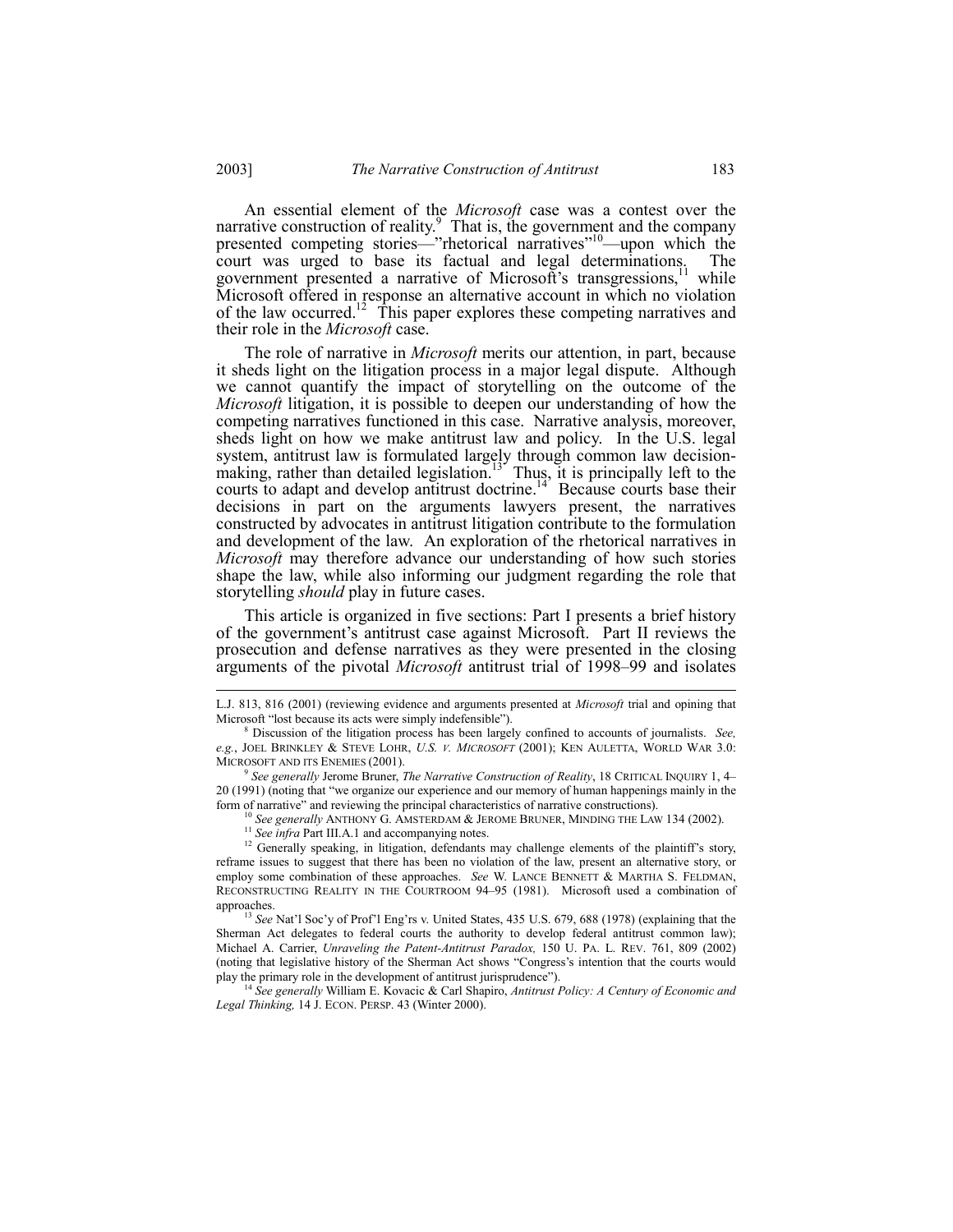An essential element of the *Microsoft* case was a contest over the narrative construction of reality. $9$  That is, the government and the company presented competing stories—"rhetorical narratives"<sup>10</sup>—upon which the court was urged to base its factual and legal determinations. The government presented a narrative of Microsoft's transgressions,<sup>11</sup> while Microsoft offered in response an alternative account in which no violation of the law occurred.<sup>12</sup> This paper explores these competing narratives and their role in the *Microsoft* case.

The role of narrative in *Microsoft* merits our attention, in part, because it sheds light on the litigation process in a major legal dispute. Although we cannot quantify the impact of storytelling on the outcome of the *Microsoft* litigation, it is possible to deepen our understanding of how the competing narratives functioned in this case.Narrative analysis, moreover, sheds light on how we make antitrust law and policy. In the U.S. legal system, antitrust law is formulated largely through common law decisionmaking, rather than detailed legislation.<sup>13</sup> Thus, it is principally left to the courts to adapt and develop antitrust doctrine.<sup>14</sup> Because courts base their decisions in part on the arguments lawyers present, the narratives constructed by advocates in antitrust litigation contribute to the formulation and development of the law. An exploration of the rhetorical narratives in *Microsoft* may therefore advance our understanding of how such stories shape the law, while also informing our judgment regarding the role that storytelling *should* play in future cases.

This article is organized in five sections: Part I presents a brief history of the government's antitrust case against Microsoft. Part II reviews the prosecution and defense narratives as they were presented in the closing arguments of the pivotal *Microsoft* antitrust trial of 1998–99 and isolates

<sup>10</sup> See generally ANTHONY G. AMSTERDAM & JEROME BRUNER, MINDING THE LAW 134 (2002).

<sup>14</sup> *See generally* William E. Kovacic & Carl Shapiro, *Antitrust Policy: A Century of Economic and Legal Thinking,* 14 J. ECON. PERSP. 43 (Winter 2000).

L.J. 813, 816 (2001) (reviewing evidence and arguments presented at *Microsoft* trial and opining that Microsoft "lost because its acts were simply indefensible").

<sup>8</sup> Discussion of the litigation process has been largely confined to accounts of journalists. *See, e.g.*, JOEL BRINKLEY & STEVE LOHR, *U.S. V. MICROSOFT* (2001); KEN AULETTA, WORLD WAR 3.0: MICROSOFT AND ITS ENEMIES (2001).

<sup>9</sup> *See generally* Jerome Bruner, *The Narrative Construction of Reality*, 18 CRITICAL INQUIRY 1, 4ñ 20 (1991) (noting that "we organize our experience and our memory of human happenings mainly in the form of narrative" and reviewing the principal characteristics of narrative constructions).

<sup>&</sup>lt;sup>11</sup> *See infra Part III.A.1 and accompanying notes.* 

<sup>&</sup>lt;sup>12</sup> Generally speaking, in litigation, defendants may challenge elements of the plaintiff's story, reframe issues to suggest that there has been no violation of the law, present an alternative story, or employ some combination of these approaches. *See* W. LANCE BENNETT & MARTHA S. FELDMAN, RECONSTRUCTING REALITY IN THE COURTROOM 94-95 (1981). Microsoft used a combination of approaches.

<sup>&</sup>lt;sup>13</sup> See Nat'l Soc'y of Prof'l Eng'rs v. United States, 435 U.S. 679, 688 (1978) (explaining that the Sherman Act delegates to federal courts the authority to develop federal antitrust common law); Michael A. Carrier, *Unraveling the Patent-Antitrust Paradox,* 150 U. PA. L. REV. 761, 809 (2002) (noting that legislative history of the Sherman Act shows "Congress's intention that the courts would play the primary role in the development of antitrust jurisprudence").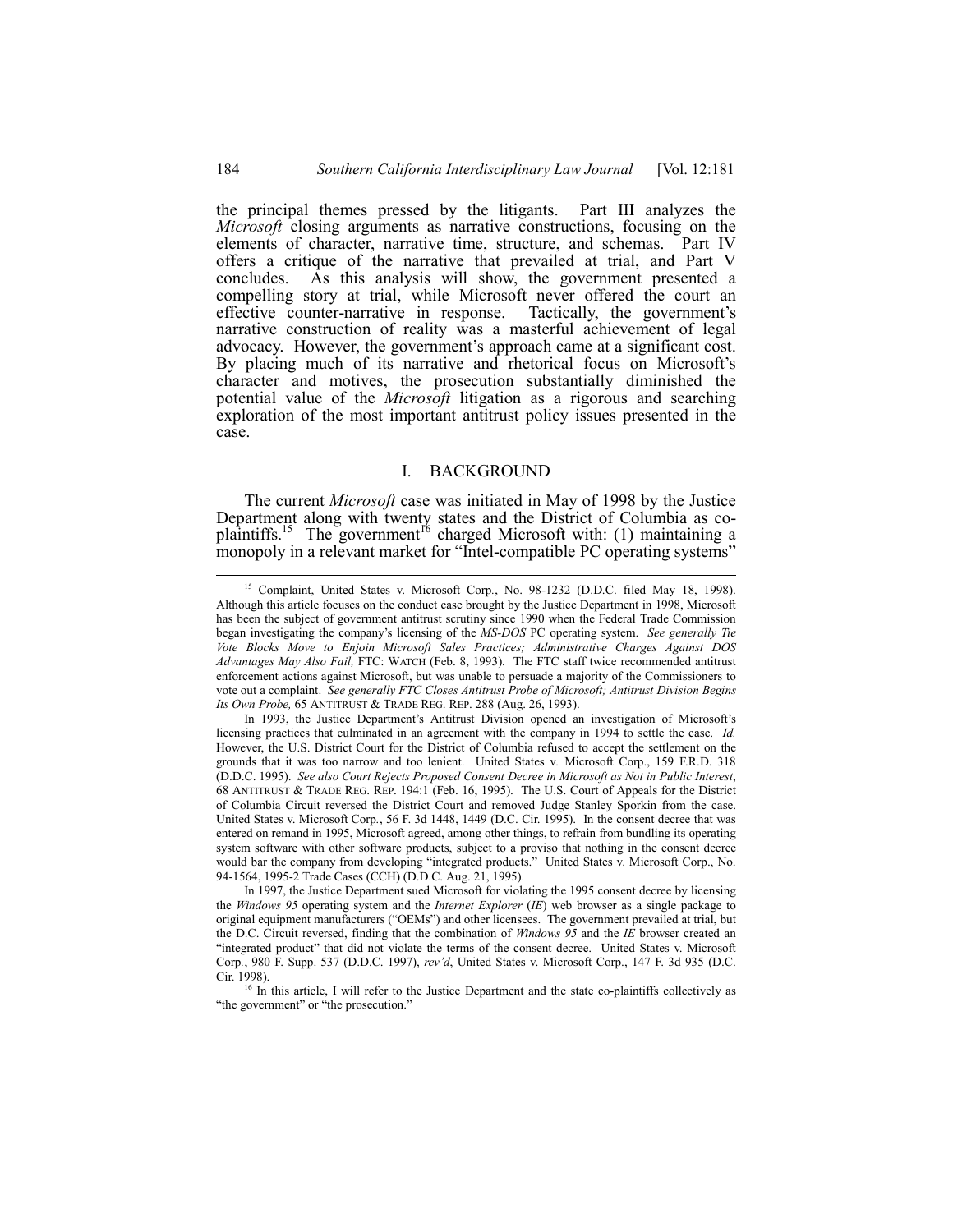the principal themes pressed by the litigants. Part III analyzes the *Microsoft* closing arguments as narrative constructions, focusing on the elements of character, narrative time, structure, and schemas. Part IV offers a critique of the narrative that prevailed at trial, and Part V concludes. As this analysis will show, the government presented a compelling story at trial, while Microsoft never offered the court an effective counter-narrative in response. Tactically, the government's narrative construction of reality was a masterful achievement of legal advocacy. However, the government's approach came at a significant cost. By placing much of its narrative and rhetorical focus on Microsoft's character and motives, the prosecution substantially diminished the potential value of the *Microsoft* litigation as a rigorous and searching exploration of the most important antitrust policy issues presented in the case.

# I. BACKGROUND

The current *Microsoft* case was initiated in May of 1998 by the Justice Department along with twenty states and the District of Columbia as coplaintiffs.<sup>15</sup> The government<sup>16</sup> charged Microsoft with: (1) maintaining a monopoly in a relevant market for "Intel-compatible PC operating systems"

<sup>&</sup>lt;sup>15</sup> Complaint, United States v. Microsoft Corp., No. 98-1232 (D.D.C. filed May 18, 1998). Although this article focuses on the conduct case brought by the Justice Department in 1998, Microsoft has been the subject of government antitrust scrutiny since 1990 when the Federal Trade Commission began investigating the companyís licensing of the *MS-DOS* PC operating system. *See generally Tie Vote Blocks Move to Enjoin Microsoft Sales Practices; Administrative Charges Against DOS Advantages May Also Fail,* FTC: WATCH (Feb. 8, 1993). The FTC staff twice recommended antitrust enforcement actions against Microsoft, but was unable to persuade a majority of the Commissioners to vote out a complaint. *See generally FTC Closes Antitrust Probe of Microsoft; Antitrust Division Begins Its Own Probe,* 65 ANTITRUST & TRADE REG. REP. 288 (Aug. 26, 1993).

In 1993, the Justice Department's Antitrust Division opened an investigation of Microsoft's licensing practices that culminated in an agreement with the company in 1994 to settle the case. *Id.* However, the U.S. District Court for the District of Columbia refused to accept the settlement on the grounds that it was too narrow and too lenient. United States v*.* Microsoft Corp., 159 F.R.D. 318 (D.D.C. 1995). *See also Court Rejects Proposed Consent Decree in Microsoft as Not in Public Interest*, 68 ANTITRUST & TRADE REG. REP. 194:1 (Feb. 16, 1995). The U.S. Court of Appeals for the District of Columbia Circuit reversed the District Court and removed Judge Stanley Sporkin from the case. United States v. Microsoft Corp*.*, 56 F. 3d 1448, 1449 (D.C. Cir. 1995). In the consent decree that was entered on remand in 1995, Microsoft agreed, among other things, to refrain from bundling its operating system software with other software products, subject to a proviso that nothing in the consent decree would bar the company from developing "integrated products." United States v. Microsoft Corp., No. 94-1564, 1995-2 Trade Cases (CCH) (D.D.C. Aug. 21, 1995).

In 1997, the Justice Department sued Microsoft for violating the 1995 consent decree by licensing the *Windows 95* operating system and the *Internet Explorer* (*IE*) web browser as a single package to original equipment manufacturers ("OEMs") and other licensees. The government prevailed at trial, but the D.C. Circuit reversed, finding that the combination of *Windows 95* and the *IE* browser created an "integrated product" that did not violate the terms of the consent decree. United States v. Microsoft Corp*.*, 980 F. Supp. 537 (D.D.C. 1997), *revíd*, United States v. Microsoft Corp., 147 F. 3d 935 (D.C. Cir. 1998).

<sup>&</sup>lt;sup>16</sup> In this article, I will refer to the Justice Department and the state co-plaintiffs collectively as "the government" or "the prosecution."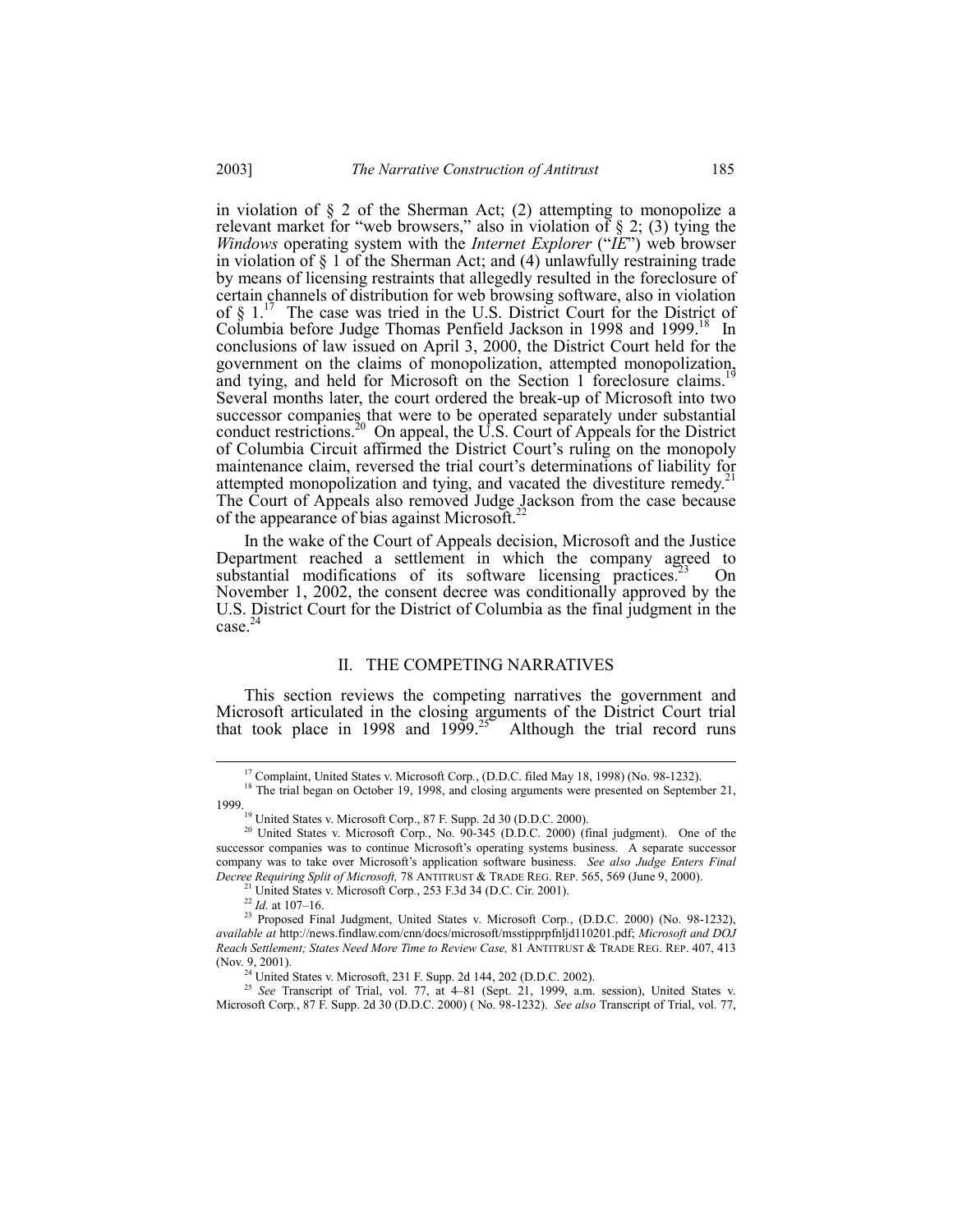in violation of  $\S 2$  of the Sherman Act; (2) attempting to monopolize a relevant market for "web browsers," also in violation of  $\S$  2; (3) tying the *Windows operating system with the <i>Internet Explorer* ("*IE*") web browser in violation of  $\S$  1 of the Sherman Act; and (4) unlawfully restraining trade by means of licensing restraints that allegedly resulted in the foreclosure of certain channels of distribution for web browsing software, also in violation of  $\S$  1.<sup>17</sup> The case was tried in the U.S. District Court for the District of Columbia before Judge Thomas Penfield Jackson in 1998 and 1999.<sup>18</sup> In conclusions of law issued on April 3, 2000, the District Court held for the government on the claims of monopolization, attempted monopolization, and tying, and held for Microsoft on the Section 1 foreclosure claims.<sup>1</sup> Several months later, the court ordered the break-up of Microsoft into two successor companies that were to be operated separately under substantial conduct restrictions.<sup>20</sup> On appeal, the U.S. Court of Appeals for the District of Columbia Circuit affirmed the District Court's ruling on the monopoly maintenance claim, reversed the trial court's determinations of liability for attempted monopolization and tying, and vacated the divestiture remedy.<sup>21</sup> The Court of Appeals also removed Judge Jackson from the case because of the appearance of bias against Microsoft.<sup>22</sup>

In the wake of the Court of Appeals decision, Microsoft and the Justice Department reached a settlement in which the company agreed to substantial modifications of its software licensing practices.<sup>23</sup> On November 1, 2002, the consent decree was conditionally approved by the U.S. District Court for the District of Columbia as the final judgment in the  $case.<sup>2</sup>$ 

# II. THE COMPETING NARRATIVES

This section reviews the competing narratives the government and Microsoft articulated in the closing arguments of the District Court trial that took place in 1998 and 1999.<sup>25</sup> Although the trial record runs

<sup>1</sup> United States v. Microsoft Corp., 253 F.3d 34 (D.C. Cir. 2001).

<sup>25</sup> See Transcript of Trial, vol. 77, at 4-81 (Sept. 21, 1999, a.m. session), United States v. Microsoft Corp*.*, 87 F. Supp. 2d 30 (D.D.C. 2000) ( No. 98-1232). *See also* Transcript of Trial, vol. 77,

<sup>&</sup>lt;sup>17</sup> Complaint, United States v. Microsoft Corp., (D.D.C. filed May 18, 1998) (No. 98-1232).

<sup>&</sup>lt;sup>18</sup> The trial began on October 19, 1998, and closing arguments were presented on September 21, 1999.<br><sup>19</sup> United States v. Microsoft Corp., 87 F. Supp. 2d 30 (D.D.C. 2000).

<sup>&</sup>lt;sup>20</sup> United States v. Microsoft Corp., No. 90-345 (D.D.C. 2000) (final judgment). One of the successor companies was to continue Microsoft's operating systems business. A separate successor company was to take over Microsoft's application software business. *See also Judge Enters Final Decree Requiring Split of Microsoft,* 78 ANTITRUST & TRADE REG. REP. 565, 569 (June 9, 2000).

 $^{22}$  *Id.* at 107–16.

<sup>23</sup> Proposed Final Judgment, United States v. Microsoft Corp*.*, (D.D.C. 2000) (No. 98-1232), *available at* http://news.findlaw.com/cnn/docs/microsoft/msstipprpfnljd110201.pdf; *Microsoft and DOJ Reach Settlement; States Need More Time to Review Case,* 81 ANTITRUST & TRADE REG. REP. 407, 413 (Nov. 9, 2001).

<sup>&</sup>lt;sup>24</sup> United States v. Microsoft, 231 F. Supp. 2d 144, 202 (D.D.C. 2002).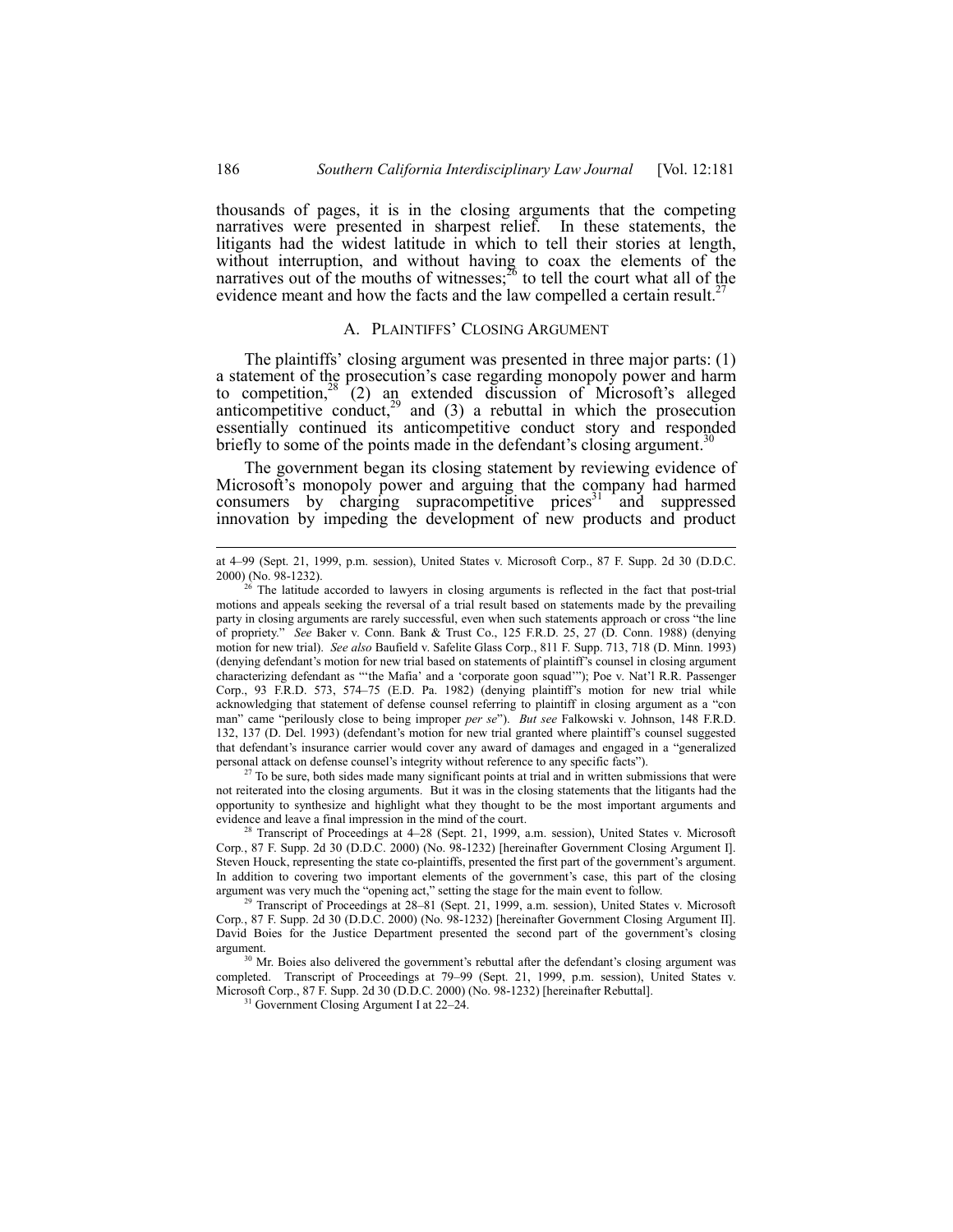thousands of pages, it is in the closing arguments that the competing narratives were presented in sharpest relief. In these statements, the litigants had the widest latitude in which to tell their stories at length, without interruption, and without having to coax the elements of the narratives out of the mouths of witnesses; $^{26}$  to tell the court what all of the evidence meant and how the facts and the law compelled a certain result.<sup>2</sup>

#### A. PLAINTIFFS' CLOSING ARGUMENT

The plaintiffs' closing argument was presented in three major parts:  $(1)$ a statement of the prosecution's case regarding monopoly power and harm to competition,  $28^{\circ}$  (2) an extended discussion of Microsoft's alleged anticompetitive conduct, $29$  and (3) a rebuttal in which the prosecution essentially continued its anticompetitive conduct story and responded briefly to some of the points made in the defendant's closing argument.<sup>3</sup>

The government began its closing statement by reviewing evidence of Microsoft's monopoly power and arguing that the company had harmed consumers by charging supracompetitive prices $31$  and suppressed innovation by impeding the development of new products and product

 $27$  To be sure, both sides made many significant points at trial and in written submissions that were not reiterated into the closing arguments. But it was in the closing statements that the litigants had the opportunity to synthesize and highlight what they thought to be the most important arguments and evidence and leave a final impression in the mind of the court.

at 4-99 (Sept. 21, 1999, p.m. session), United States v. Microsoft Corp., 87 F. Supp. 2d 30 (D.D.C. 2000) (No. 98-1232).

<sup>26</sup> The latitude accorded to lawyers in closing arguments is reflected in the fact that post-trial motions and appeals seeking the reversal of a trial result based on statements made by the prevailing party in closing arguments are rarely successful, even when such statements approach or cross "the line of propriety.î *See* Baker v. Conn. Bank & Trust Co., 125 F.R.D. 25, 27 (D. Conn. 1988) (denying motion for new trial). *See also* Baufield v. Safelite Glass Corp., 811 F. Supp. 713, 718 (D. Minn. 1993) (denying defendantís motion for new trial based on statements of plaintiffís counsel in closing argument characterizing defendant as "'the Mafia' and a 'corporate goon squad'"); Poe v. Nat'l R.R. Passenger Corp., 93 F.R.D. 573, 574-75 (E.D. Pa. 1982) (denying plaintiff's motion for new trial while acknowledging that statement of defense counsel referring to plaintiff in closing argument as a "con man" came "perilously close to being improper *per se*"). *But see* Falkowski v. Johnson, 148 F.R.D. 132, 137 (D. Del. 1993) (defendant's motion for new trial granted where plaintiff's counsel suggested that defendant's insurance carrier would cover any award of damages and engaged in a "generalized personal attack on defense counsel's integrity without reference to any specific facts").

Transcript of Proceedings at 4–28 (Sept. 21, 1999, a.m. session), United States v. Microsoft Corp*.*, 87 F. Supp. 2d 30 (D.D.C. 2000) (No. 98-1232) [hereinafter Government Closing Argument I]. Steven Houck, representing the state co-plaintiffs, presented the first part of the government's argument. In addition to covering two important elements of the government's case, this part of the closing argument was very much the "opening act," setting the stage for the main event to follow.

<sup>&</sup>lt;sup>29</sup> Transcript of Proceedings at 28-81 (Sept. 21, 1999, a.m. session), United States v. Microsoft Corp*.*, 87 F. Supp. 2d 30 (D.D.C. 2000) (No. 98-1232) [hereinafter Government Closing Argument II]. David Boies for the Justice Department presented the second part of the government's closing argument.

 $30$  Mr. Boies also delivered the government's rebuttal after the defendant's closing argument was completed. Transcript of Proceedings at 79-99 (Sept. 21, 1999, p.m. session), United States v. Microsoft Corp., 87 F. Supp. 2d 30 (D.D.C. 2000) (No. 98-1232) [hereinafter Rebuttal].

 $31$  Government Closing Argument I at 22–24.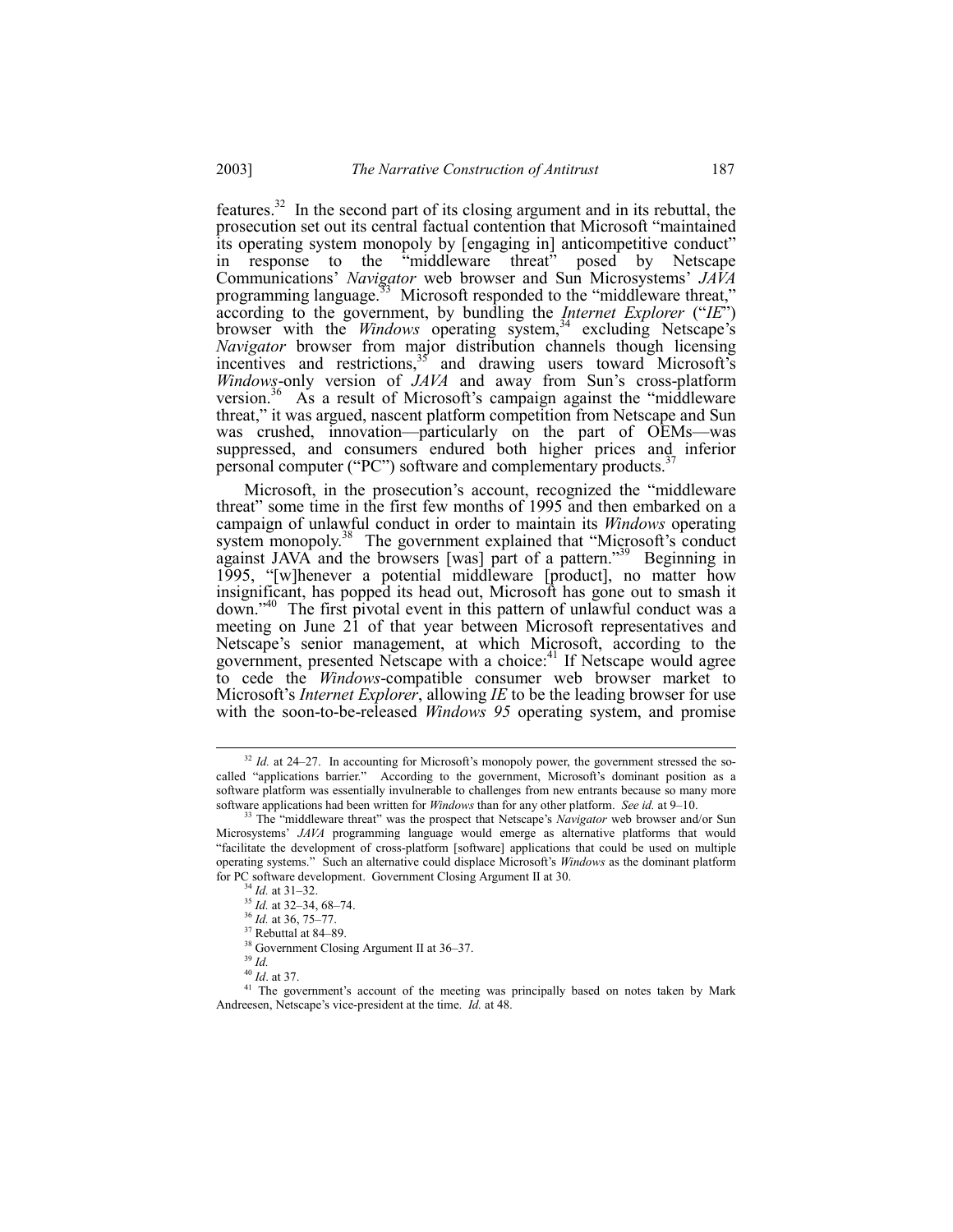features.<sup>32</sup> In the second part of its closing argument and in its rebuttal, the prosecution set out its central factual contention that Microsoft "maintained" its operating system monopoly by [engaging in] anticompetitive conduct" "middleware threat" in response to the posed by Netscape In Tesponse to the influence theat posed by Netscape<br>Communications' Navigator web browser and Sun Microsystems' JAVA<br>programming language.<sup>33</sup> Microsoft responded to the "middleware threat,"<br>according to the government, b Navigator browser from major distribution channels though licensing incentives and restrictions,<sup>35</sup> and drawing users toward Microsoft's Windows-only version of JAVA and away from Sun's cross-platform version.<sup>36</sup> As a result of Microsoft's campaign against the "middleware" threat," it was argued, nascent platform competition from Netscape and Sun was crushed, innovation—particularly on the part of OEMs—was suppressed, and consumers endured both higher prices and inferior personal computer ("PC") software and complementary products.<sup>3</sup>

Microsoft, in the prosecution's account, recognized the "middleware threat" some time in the first few months of 1995 and then embarked on a campaign of unlawful conduct in order to maintain its Windows operating system monopoly.<sup>38</sup> The government explained that "Microsoft's conduct against JAVA and the browsers [was] part of a pattern."<sup>39</sup> Beginning in 1995, "[w]henever a potential middleware [product], no matter how insignificant, has popped its head out, Microsoft has gone out to smash it down."<sup>40</sup> The first pivotal event in this pattern of unlawful conduct was a meeting on June 21 of that year between Microsoft representatives and Netscape's senior management, at which Microsoft, according to the government, presented Netscape with a choice:<sup>41</sup> If Netscape would agree to cede the *Windows-compatible* consumer web browser market to Microsoft's *Internet Explorer*, allowing *IE* to be the leading browser for use with the soon-to-be-released *Windows* 95 operating system, and promise

2003]

 $32$  Id. at 24-27. In accounting for Microsoft's monopoly power, the government stressed the socalled "applications barrier." According to the government, Microsoft's dominant position as a software platform was essentially invulnerable to challenges from new entrants because so many more software applications had been written for Windows than for any other platform. See id. at 9-10.

<sup>&</sup>lt;sup>33</sup> The "middleware threat" was the prospect that Netscape's Navigator web browser and/or Sun Microsystems' JAVA programming language would emerge as alternative platforms that would "facilitate the development of cross-platform [software] applications that could be used on multiple operating systems." Such an alternative could displace Microsoft's Windows as the dominant platform for PC software development. Government Closing Argument II at 30.

 $4$  *Id.* at 31-32.

<sup>&</sup>lt;sup>35</sup> Id. at 32-34, 68-74.

<sup>&</sup>lt;sup>36</sup> Id. at 36, 75-77.

 $37$  Rebuttal at 84–89.

<sup>&</sup>lt;sup>38</sup> Government Closing Argument II at 36-37.

 $39$  Id.

 $40$  *Id.* at 37.

<sup>&</sup>lt;sup>41</sup> The government's account of the meeting was principally based on notes taken by Mark Andreesen, Netscape's vice-president at the time. Id. at 48.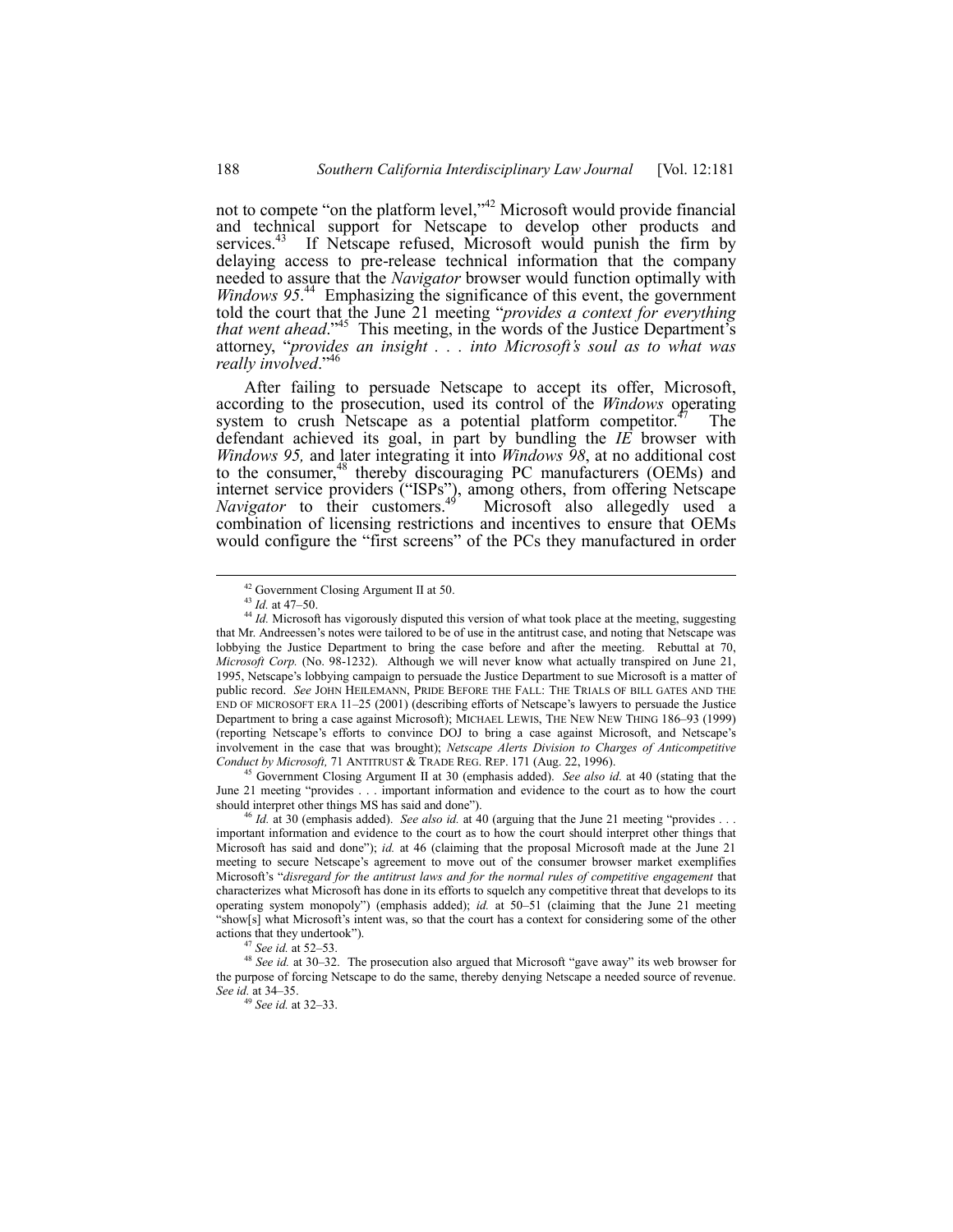not to compete "on the platform level," $42$  Microsoft would provide financial and technical support for Netscape to develop other products and services.<sup>43</sup> If Netscape refused, Microsoft would punish the firm by delaying access to pre-release technical information that the company needed to assure that the *Navigator* browser would function optimally with Windows 95.<sup>44</sup> Emphasizing the significance of this event, the government told the court that the June 21 meeting "*provides a context for everything that went ahead*.<sup>45</sup> This meeting, in the words of the Justice Department's attorney, "provides an insight . . . into Microsoft's soul as to what was *really involved.*<sup>44</sup>

After failing to persuade Netscape to accept its offer, Microsoft, according to the prosecution, used its control of the *Windows* operating system to crush Netscape as a potential platform competitor.<sup> $47$ </sup> The defendant achieved its goal, in part by bundling the *IE* browser with *Windows 95,* and later integrating it into *Windows 98*, at no additional cost to the consumer,<sup>48</sup> thereby discouraging PC manufacturers (OEMs) and internet service providers ("ISPs"), among others, from offering Netscape *Navigator* to their customers.<sup>49</sup> Microsoft also allegedly used a combination of licensing restrictions and incentives to ensure that OEMs would configure the "first screens" of the PCs they manufactured in order

45 Government Closing Argument II at 30 (emphasis added). *See also id.* at 40 (stating that the June 21 meeting "provides . . . important information and evidence to the court as to how the court should interpret other things MS has said and done").

 <sup>42</sup> Government Closing Argument II at 50.

<sup>&</sup>lt;sup>43</sup> *Id.* at 47–50.

<sup>44</sup> *Id.* Microsoft has vigorously disputed this version of what took place at the meeting, suggesting that Mr. Andreessen's notes were tailored to be of use in the antitrust case, and noting that Netscape was lobbying the Justice Department to bring the case before and after the meeting. Rebuttal at 70, *Microsoft Corp.* (No. 98-1232). Although we will never know what actually transpired on June 21, 1995, Netscapeís lobbying campaign to persuade the Justice Department to sue Microsoft is a matter of public record. *See* JOHN HEILEMANN, PRIDE BEFORE THE FALL: THE TRIALS OF BILL GATES AND THE END OF MICROSOFT ERA  $11-25$  (2001) (describing efforts of Netscape's lawyers to persuade the Justice Department to bring a case against Microsoft); MICHAEL LEWIS, THE NEW NEW THING 186–93 (1999) (reporting Netscape's efforts to convince DOJ to bring a case against Microsoft, and Netscape's involvement in the case that was brought); *Netscape Alerts Division to Charges of Anticompetitive Conduct by Microsoft,* 71 ANTITRUST & TRADE REG. REP. 171 (Aug. 22, 1996).

<sup>&</sup>lt;sup>46</sup> *Id.* at 30 (emphasis added). *See also id.* at 40 (arguing that the June 21 meeting "provides . important information and evidence to the court as to how the court should interpret other things that Microsoft has said and done"); *id.* at 46 (claiming that the proposal Microsoft made at the June 21 meeting to secure Netscape's agreement to move out of the consumer browser market exemplifies Microsoft's "disregard for the antitrust laws and for the normal rules of competitive engagement that characterizes what Microsoft has done in its efforts to squelch any competitive threat that develops to its operating system monopoly") (emphasis added); *id.* at 50–51 (claiming that the June 21 meeting "show[s] what Microsoft's intent was, so that the court has a context for considering some of the other actions that they undertook").

<sup>&</sup>lt;sup>47</sup> *See id.* at 52–53.

<sup>&</sup>lt;sup>48</sup> See id. at 30–32. The prosecution also argued that Microsoft "gave away" its web browser for the purpose of forcing Netscape to do the same, thereby denying Netscape a needed source of revenue. *See id.* at 34–35.

<sup>&</sup>lt;sup>19</sup> *See id.* at 32–33.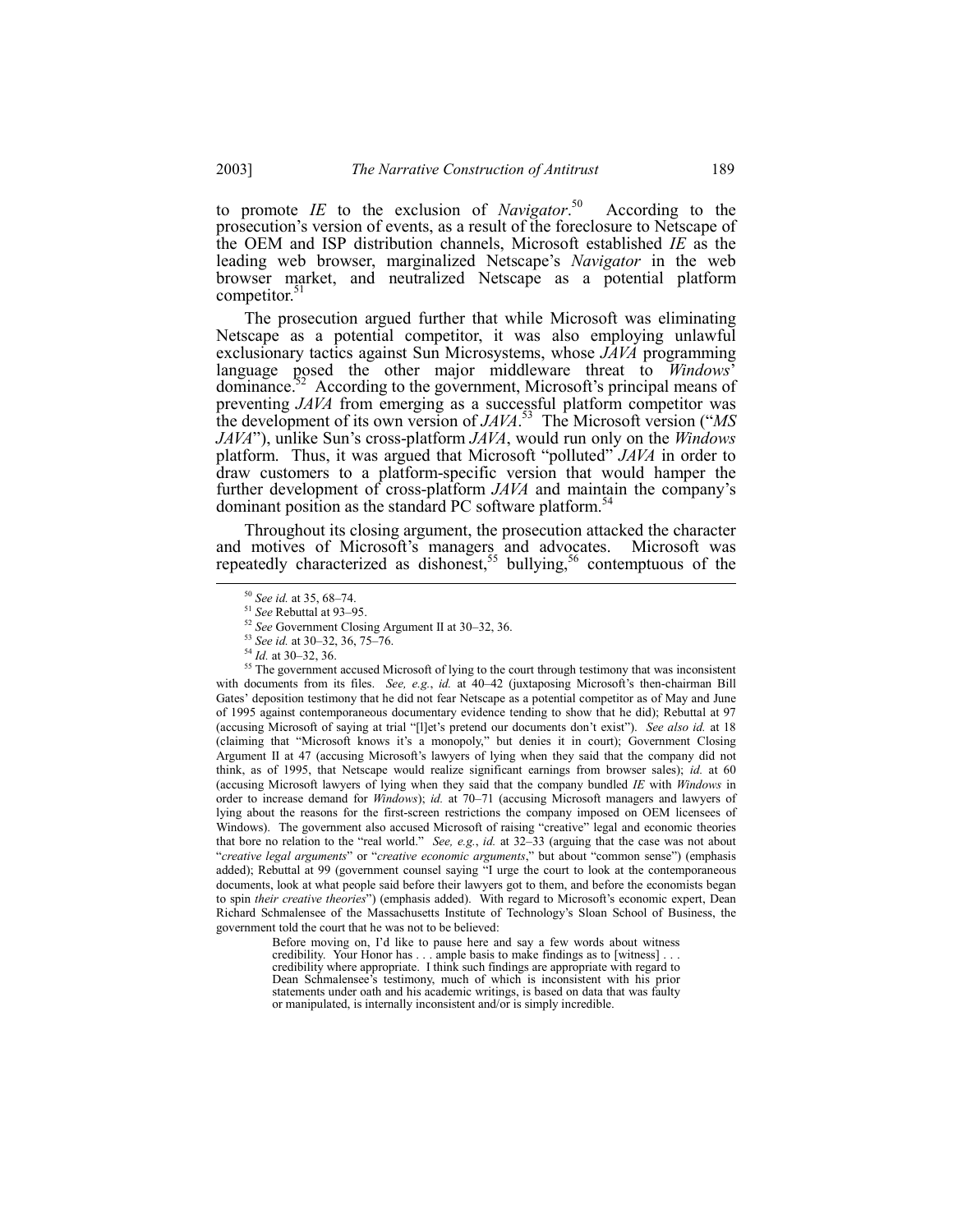to promote *IE* to the exclusion of *Navigator*. According to the prosecution's version of events, as a result of the foreclosure to Netscape of the OEM and ISP distribution channels, Microsoft established *IE* as the leading web browser, marginalized Netscape's *Navigator* in the web browser market, and neutralized Netscape as a potential platform competitor.<sup>51</sup>

The prosecution argued further that while Microsoft was eliminating Netscape as a potential competitor, it was also employing unlawful exclusionary tactics against Sun Microsystems, whose *JAVA* programming language posed the other major middleware threat to *Windows*<sup>3</sup> dominance.<sup>52</sup> According to the government, Microsoft's principal means of preventing *JAVA* from emerging as a successful platform competitor was the development of its own version of *JAVA*. 53 The Microsoft version (ì*MS JAVA*"), unlike Sun's cross-platform *JAVA*, would run only on the *Windows* platform. Thus, it was argued that Microsoft "polluted" *JAVA* in order to draw customers to a platform-specific version that would hamper the further development of cross-platform *JAVA* and maintain the company's dominant position as the standard PC software platform.<sup>54</sup>

Throughout its closing argument, the prosecution attacked the character and motives of Microsoft's managers and advocates. Microsoft was repeatedly characterized as dishonest,<sup>55</sup> bullying,<sup>56</sup> contemptuous of the

Before moving on, I'd like to pause here and say a few words about witness credibility. Your Honor has . . . ample basis to make findings as to [witness] . . . credibility where appropriate. I think such findings are appropriate with regard to Dean Schmalensee's testimony, much of which is inconsistent with his prior statements under oath and his academic writings, is based on data that was faulty or manipulated, is internally inconsistent and/or is simply incredible.

<sup>&</sup>lt;sup>50</sup> *See id.* at 35, 68-74.

<sup>&</sup>lt;sup>51</sup> See Rebuttal at 93-95.

<sup>&</sup>lt;sup>52</sup> See Government Closing Argument II at 30–32, 36.

<sup>53</sup> *See id.* at 30–32, 36, 75–76.

<sup>&</sup>lt;sup>54</sup> *Id.* at 30–32, 36.

<sup>&</sup>lt;sup>55</sup> The government accused Microsoft of lying to the court through testimony that was inconsistent with documents from its files. *See, e.g., id.* at 40-42 (juxtaposing Microsoft's then-chairman Bill Gates' deposition testimony that he did not fear Netscape as a potential competitor as of May and June of 1995 against contemporaneous documentary evidence tending to show that he did); Rebuttal at 97 (accusing Microsoft of saying at trial "[1]et's pretend our documents don't exist"). *See also id.* at 18 (claiming that "Microsoft knows it's a monopoly," but denies it in court); Government Closing Argument II at 47 (accusing Microsoft's lawyers of lying when they said that the company did not think, as of 1995, that Netscape would realize significant earnings from browser sales); *id.* at 60 (accusing Microsoft lawyers of lying when they said that the company bundled *IE* with *Windows* in order to increase demand for *Windows*); *id.* at 70-71 (accusing Microsoft managers and lawyers of lying about the reasons for the first-screen restrictions the company imposed on OEM licensees of Windows). The government also accused Microsoft of raising "creative" legal and economic theories that bore no relation to the "real world." *See, e.g., id.* at 32–33 (arguing that the case was not about <sup>"</sup>*creative legal arguments*" or "*creative economic arguments*," but about "common sense") (emphasis added); Rebuttal at 99 (government counsel saying "I urge the court to look at the contemporaneous documents, look at what people said before their lawyers got to them, and before the economists began to spin *their creative theories*") (emphasis added). With regard to Microsoft's economic expert, Dean Richard Schmalensee of the Massachusetts Institute of Technologyís Sloan School of Business, the government told the court that he was not to be believed: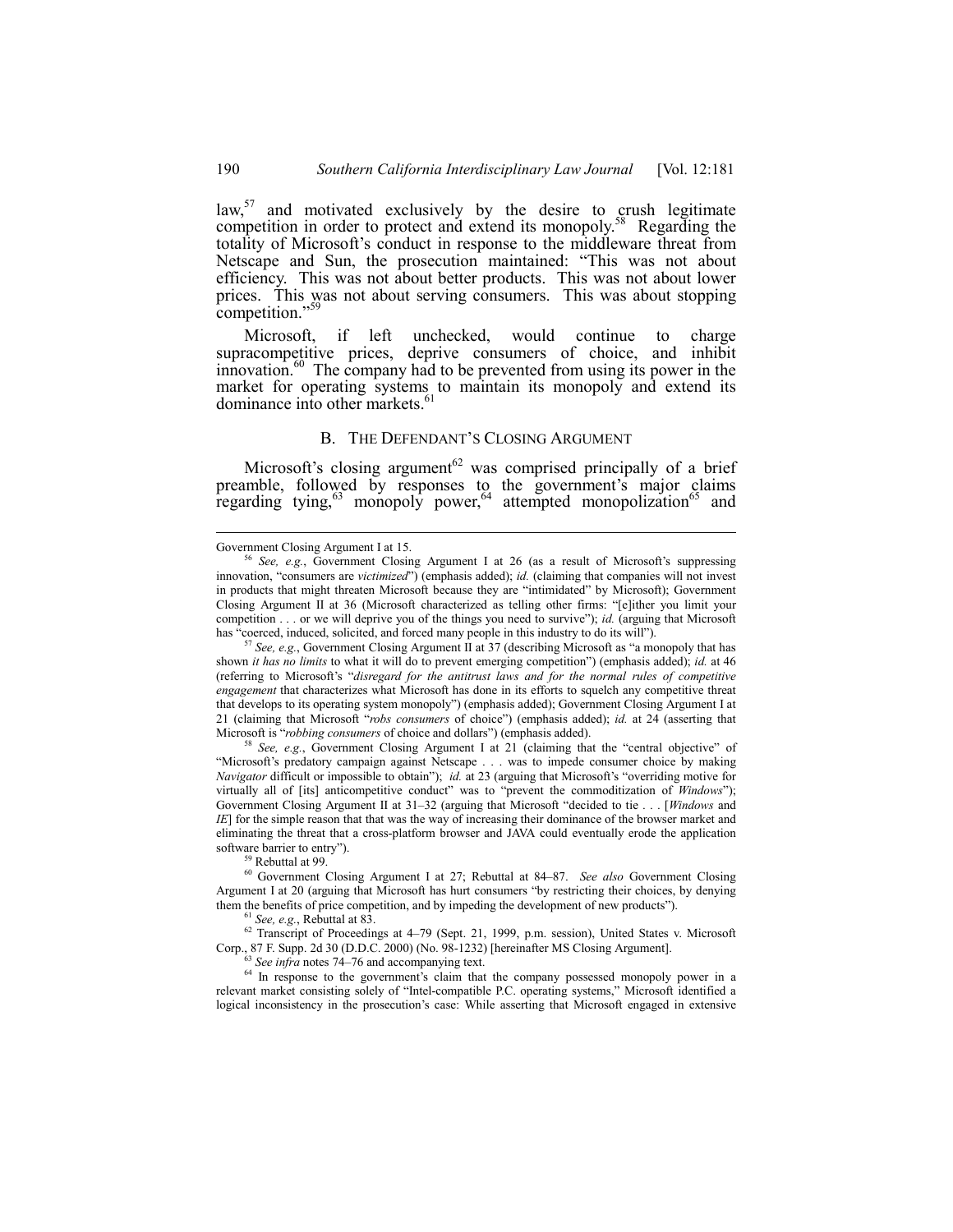law, $57$  and motivated exclusively by the desire to crush legitimate competition in order to protect and extend its monopoly.<sup>58</sup> Regarding the totality of Microsoft's conduct in response to the middleware threat from Netscape and Sun, the prosecution maintained: "This was not about efficiency. This was not about better products. This was not about lower prices. This was not about serving consumers. This was about stopping competition."<sup>59</sup>

Microsoft, if left unchecked, would continue to charge supracompetitive prices, deprive consumers of choice, and inhibit innovation.<sup>60</sup> The company had to be prevented from using its power in the market for operating systems to maintain its monopoly and extend its dominance into other markets.<sup>4</sup>

### B. THE DEFENDANT'S CLOSING ARGUMENT

Microsoft's closing argument<sup>62</sup> was comprised principally of a brief preamble, followed by responses to the government's major claims regarding tying,  $63$  monopoly power,  $64$  attempted monopolization<sup>65</sup> and

<sup>57</sup> See, e.g., Government Closing Argument II at 37 (describing Microsoft as "a monopoly that has shown *it has no limits* to what it will do to prevent emerging competition") (emphasis added); *id.* at 46 (referring to Microsoft's "disregard for the antitrust laws and for the normal rules of competitive *engagement* that characterizes what Microsoft has done in its efforts to squelch any competitive threat that develops to its operating system monopolyî) (emphasis added); Government Closing Argument I at 21 (claiming that Microsoft "*robs consumers* of choice") (emphasis added); *id.* at 24 (asserting that Microsoft is "robbing consumers of choice and dollars") (emphasis added).

See, e.g., Government Closing Argument I at 21 (claiming that the "central objective" of ìMicrosoftís predatory campaign against Netscape . . . was to impede consumer choice by making *Navigator* difficult or impossible to obtain"); *id.* at 23 (arguing that Microsoft's "overriding motive for virtually all of [its] anticompetitive conduct" was to "prevent the commoditization of *Windows*"); Government Closing Argument II at 31-32 (arguing that Microsoft "decided to tie . . . [*Windows* and *IE*] for the simple reason that that was the way of increasing their dominance of the browser market and eliminating the threat that a cross-platform browser and JAVA could eventually erode the application software barrier to entry").

<sup>59</sup> Rebuttal at 99.

<sup>60</sup> Government Closing Argument I at 27; Rebuttal at 84–87. *See also* Government Closing Argument I at 20 (arguing that Microsoft has hurt consumers "by restricting their choices, by denying them the benefits of price competition, and by impeding the development of new products").

<sup>61</sup> *See, e.g.*, Rebuttal at 83.

 $62$  Transcript of Proceedings at 4–79 (Sept. 21, 1999, p.m. session), United States v. Microsoft Corp., 87 F. Supp. 2d 30 (D.D.C. 2000) (No. 98-1232) [hereinafter MS Closing Argument].

<sup>63</sup> See infra notes 74–76 and accompanying text.

<sup>64</sup> In response to the government's claim that the company possessed monopoly power in a relevant market consisting solely of "Intel-compatible P.C. operating systems," Microsoft identified a logical inconsistency in the prosecution's case: While asserting that Microsoft engaged in extensive

Government Closing Argument I at 15.

See, e.g., Government Closing Argument I at 26 (as a result of Microsoft's suppressing innovation, "consumers are *victimized*") (emphasis added); *id.* (claiming that companies will not invest in products that might threaten Microsoft because they are "intimidated" by Microsoft); Government Closing Argument II at 36 (Microsoft characterized as telling other firms: "[e]ither you limit your competition . . . or we will deprive you of the things you need to survive"); *id.* (arguing that Microsoft has "coerced, induced, solicited, and forced many people in this industry to do its will").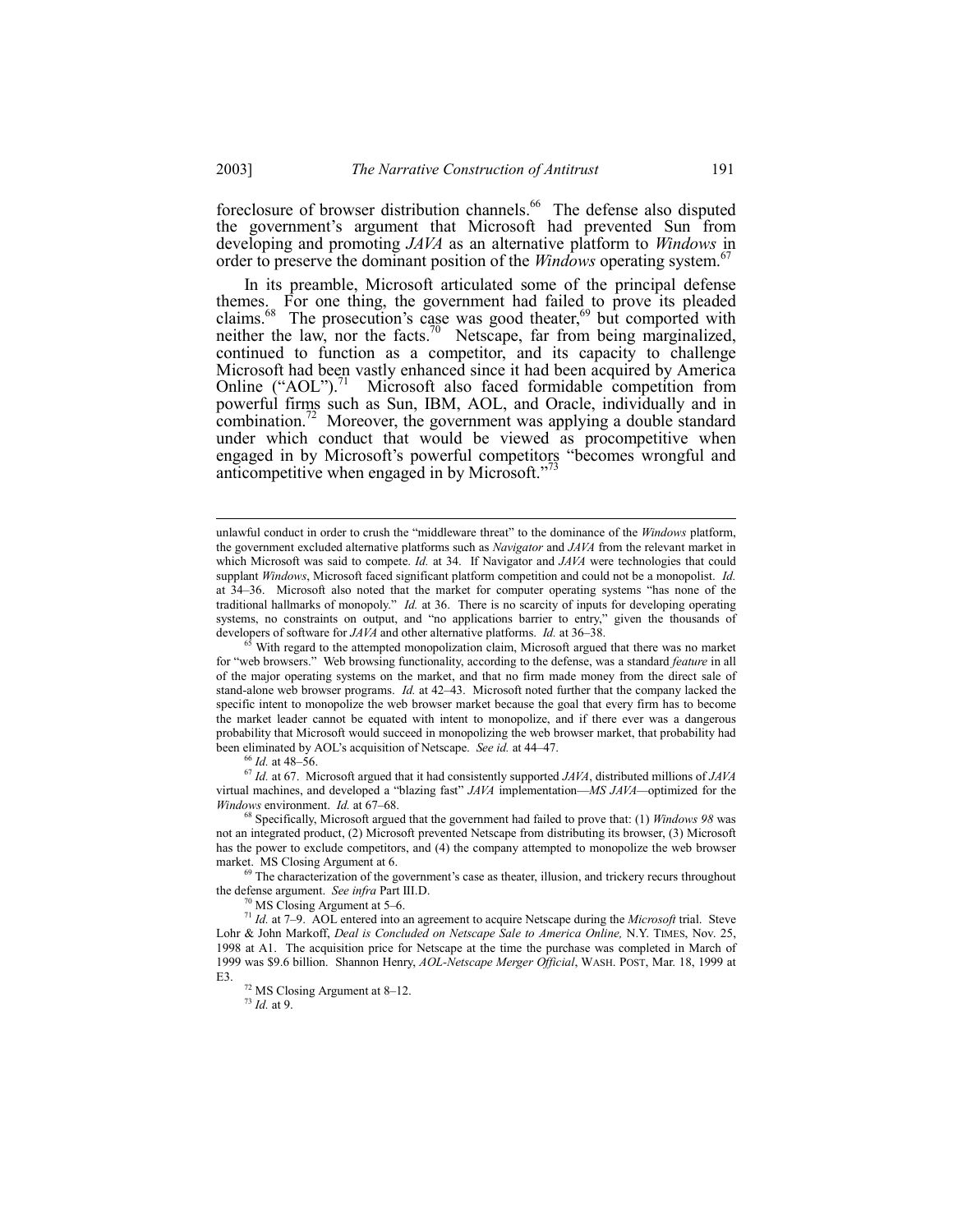foreclosure of browser distribution channels.<sup>66</sup> The defense also disputed the government's argument that Microsoft had prevented Sun from developing and promoting *JAVA* as an alternative platform to *Windows* in order to preserve the dominant position of the *Windows* operating system.<sup>67</sup>

In its preamble, Microsoft articulated some of the principal defense themes. For one thing, the government had failed to prove its pleaded claims.<sup>68</sup> The prosecution's case was good theater,<sup>69</sup> but comported with neither the law, nor the facts.<sup>70</sup> Netscape, far from being marginalized, continued to function as a competitor, and its capacity to challenge Microsoft had been vastly enhanced since it had been acquired by America Online  $("AOL")$ .<sup>71</sup> Microsoft also faced formidable competition from powerful firms such as Sun, IBM, AOL, and Oracle, individually and in combination.<sup>72</sup> Moreover, the government was applying a double standard under which conduct that would be viewed as procompetitive when engaged in by Microsoft's powerful competitors "becomes wrongful and anticompetitive when engaged in by Microsoft."

65 With regard to the attempted monopolization claim, Microsoft argued that there was no market for "web browsers." Web browsing functionality, according to the defense, was a standard *feature* in all of the major operating systems on the market, and that no firm made money from the direct sale of stand-alone web browser programs. *Id.* at 42–43. Microsoft noted further that the company lacked the specific intent to monopolize the web browser market because the goal that every firm has to become the market leader cannot be equated with intent to monopolize, and if there ever was a dangerous probability that Microsoft would succeed in monopolizing the web browser market, that probability had been eliminated by AOL's acquisition of Netscape. *See id.* at 44–47.

<sup>66</sup> *Id.* at 48-56.

<sup>67</sup> *Id.* at 67. Microsoft argued that it had consistently supported *JAVA*, distributed millions of *JAVA* virtual machines, and developed a "blazing fast" *JAVA* implementation—*MS JAVA*—optimized for the *Windows environment. Id. at 67-68.* 

68 Specifically, Microsoft argued that the government had failed to prove that: (1) *Windows 98* was not an integrated product, (2) Microsoft prevented Netscape from distributing its browser, (3) Microsoft has the power to exclude competitors, and (4) the company attempted to monopolize the web browser market. MS Closing Argument at 6.

 $69$  The characterization of the government's case as theater, illusion, and trickery recurs throughout the defense argument. *See infra* Part III.D.

 $0$ <sup>0</sup> MS Closing Argument at 5–6.

<sup>71</sup> *Id.* at 7–9. AOL entered into an agreement to acquire Netscape during the *Microsoft* trial. Steve Lohr & John Markoff, *Deal is Concluded on Netscape Sale to America Online,* N.Y. TIMES, Nov. 25, 1998 at A1. The acquisition price for Netscape at the time the purchase was completed in March of 1999 was \$9.6 billion. Shannon Henry, *AOL-Netscape Merger Official*, WASH. POST, Mar. 18, 1999 at E3.

<sup>73</sup> *Id.* at 9.

unlawful conduct in order to crush the "middleware threat" to the dominance of the *Windows* platform, the government excluded alternative platforms such as *Navigator* and *JAVA* from the relevant market in which Microsoft was said to compete. *Id.* at 34. If Navigator and *JAVA* were technologies that could supplant *Windows*, Microsoft faced significant platform competition and could not be a monopolist. *Id.* at 34–36. Microsoft also noted that the market for computer operating systems "has none of the traditional hallmarks of monopoly.î *Id.* at 36. There is no scarcity of inputs for developing operating systems, no constraints on output, and "no applications barrier to entry," given the thousands of developers of software for *JAVA* and other alternative platforms. *Id.* at 36–38.

 $72$  MS Closing Argument at 8–12.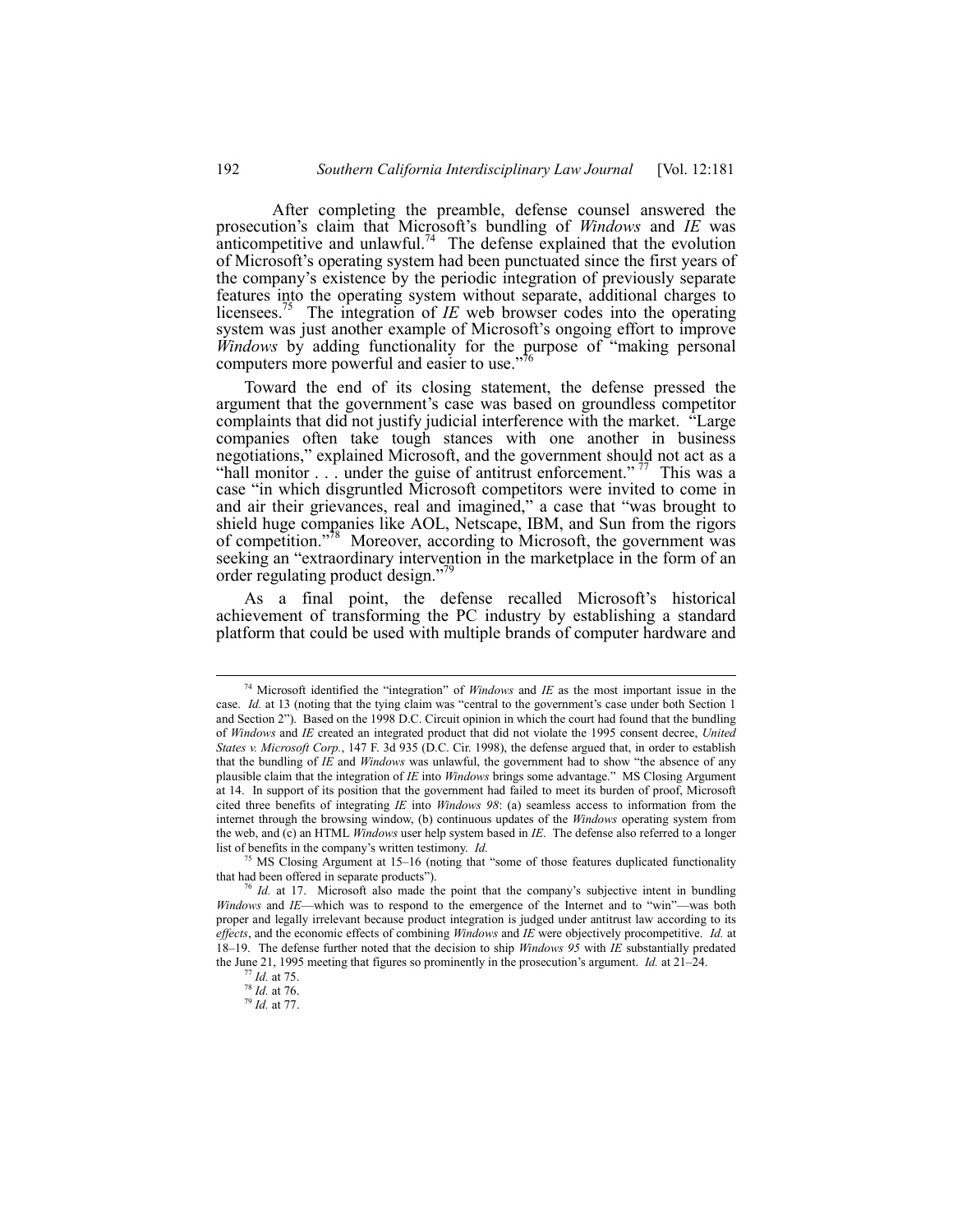After completing the preamble, defense counsel answered the prosecution's claim that Microsoft's bundling of *Windows* and *IE* was anticompetitive and unlawful.<sup>74</sup> The defense explained that the evolution of Microsoft's operating system had been punctuated since the first years of the companyís existence by the periodic integration of previously separate features into the operating system without separate, additional charges to licensees.<sup>75</sup> The integration of *IE* web browser codes into the operating system was just another example of Microsoft's ongoing effort to improve *Windows* by adding functionality for the purpose of "making personal computers more powerful and easier to use.<sup>7</sup>

Toward the end of its closing statement, the defense pressed the argument that the government's case was based on groundless competitor complaints that did not justify judicial interference with the market. <sup>"Large"</sup> companies often take tough stances with one another in business negotiations," explained Microsoft, and the government should not act as a "hall monitor  $\ldots$  under the guise of antitrust enforcement."<sup>77</sup> This was a case "in which disgruntled Microsoft competitors were invited to come in and air their grievances, real and imagined," a case that "was brought to shield huge companies like AOL, Netscape, IBM, and Sun from the rigors of competition.<sup>778</sup> Moreover, according to Microsoft, the government was seeking an "extraordinary intervention in the marketplace in the form of an order regulating product design."

As a final point, the defense recalled Microsoft's historical achievement of transforming the PC industry by establishing a standard platform that could be used with multiple brands of computer hardware and

<sup>&</sup>lt;sup>74</sup> Microsoft identified the "integration" of *Windows* and *IE* as the most important issue in the case. *Id.* at 13 (noting that the tying claim was "central to the government's case under both Section 1 and Section 2"). Based on the 1998 D.C. Circuit opinion in which the court had found that the bundling of *Windows* and *IE* created an integrated product that did not violate the 1995 consent decree, *United States v. Microsoft Corp.*, 147 F. 3d 935 (D.C. Cir. 1998), the defense argued that, in order to establish that the bundling of *IE* and *Windows* was unlawful, the government had to show "the absence of any plausible claim that the integration of *IE* into *Windows* brings some advantage.î MS Closing Argument at 14. In support of its position that the government had failed to meet its burden of proof, Microsoft cited three benefits of integrating *IE* into *Windows 98*: (a) seamless access to information from the internet through the browsing window, (b) continuous updates of the *Windows* operating system from the web, and (c) an HTML *Windows* user help system based in *IE*. The defense also referred to a longer list of benefits in the company's written testimony. *Id.* 

 $75$  MS Closing Argument at 15–16 (noting that "some of those features duplicated functionality that had been offered in separate products").

 $6$  *Id.* at 17. Microsoft also made the point that the company's subjective intent in bundling *Windows and IE*—which was to respond to the emergence of the Internet and to "win"—was both proper and legally irrelevant because product integration is judged under antitrust law according to its *effects*, and the economic effects of combining *Windows* and *IE* were objectively procompetitive. *Id.* at 18ñ19. The defense further noted that the decision to ship *Windows 95* with *IE* substantially predated the June 21, 1995 meeting that figures so prominently in the prosecution's argument. *Id.* at 21–24.

<sup>77</sup> *Id.* at 75.

<sup>78</sup> *Id.* at 76.

<sup>79</sup> *Id.* at 77.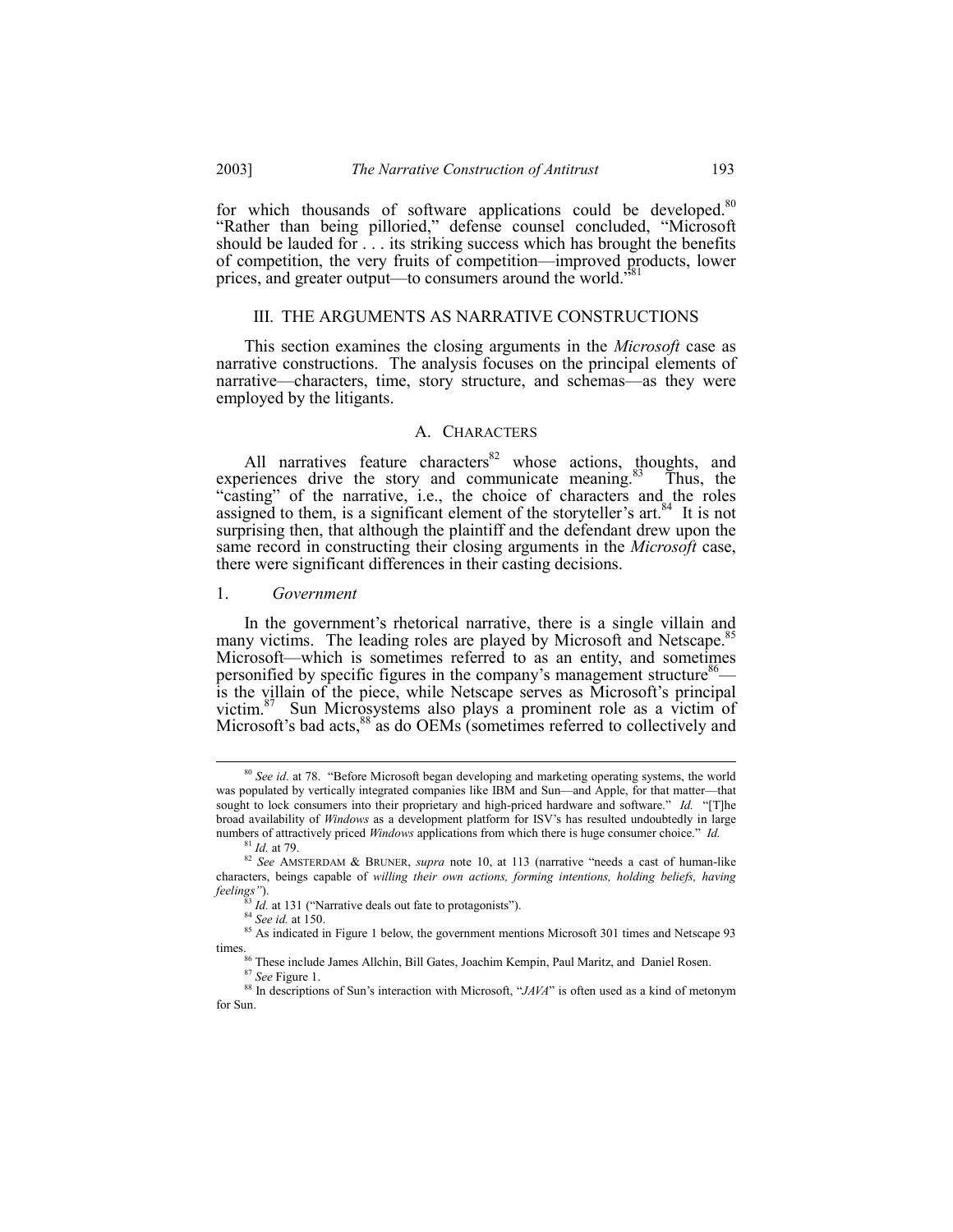for which thousands of software applications could be developed.<sup>80</sup> "Rather than being pilloried," defense counsel concluded, "Microsoft" should be lauded for . . . its striking success which has brought the benefits of competition, the very fruits of competition—improved products, lower prices, and greater output—to consumers around the world."<sup>8</sup>

#### III. THE ARGUMENTS AS NARRATIVE CONSTRUCTIONS

This section examines the closing arguments in the *Microsoft* case as narrative constructions. The analysis focuses on the principal elements of narrative—characters, time, story structure, and schemas—as they were employed by the litigants.

#### A. CHARACTERS

All narratives feature characters<sup>82</sup> whose actions, thoughts, and experiences drive the story and communicate meaning.<sup>83</sup> Thus, the "casting" of the narrative, i.e., the choice of characters and the roles assigned to them, is a significant element of the storyteller's art.<sup>84</sup> It is not surprising then, that although the plaintiff and the defendant drew upon the same record in constructing their closing arguments in the Microsoft case, there were significant differences in their casting decisions.

#### 1. Government

In the government's rhetorical narrative, there is a single villain and many victims. The leading roles are played by Microsoft and Netscape. Microsoft—which is sometimes referred to as an entity, and sometimes personified by specific figures in the company's management structure<sup>86</sup>is the villain of the piece, while Netscape serves as Microsoft's principal victim.<sup>87</sup> Sun Microsystems also plays a prominent role as a victim of Microsoft's bad acts,<sup>88</sup> as do OEMs (sometimes referred to collectively and

2003]

<sup>&</sup>lt;sup>80</sup> See id. at 78. "Before Microsoft began developing and marketing operating systems, the world was populated by vertically integrated companies like IBM and Sun—and Apple, for that matter—that sought to lock consumers into their proprietary and high-priced hardware and software." Id. "[T]he broad availability of Windows as a development platform for ISV's has resulted undoubtedly in large numbers of attractively priced *Windows* applications from which there is huge consumer choice." Id.  $81$  *Id* at 79

<sup>&</sup>lt;sup>82</sup> See AMSTERDAM & BRUNER, supra note 10, at 113 (narrative "needs a cast of human-like characters, beings capable of willing their own actions, forming intentions, holding beliefs, having feelings").

 $^{33}$  *Id.* at 131 ("Narrative deals out fate to protagonists").

 $84$  See id. at 150.

<sup>85</sup> As indicated in Figure 1 below, the government mentions Microsoft 301 times and Netscape 93 times.

<sup>86</sup> These include James Allchin, Bill Gates, Joachim Kempin, Paul Maritz, and Daniel Rosen.  $87$  See Figure 1.

<sup>&</sup>lt;sup>88</sup> In descriptions of Sun's interaction with Microsoft, " $JAYA$ " is often used as a kind of metonym for Sun.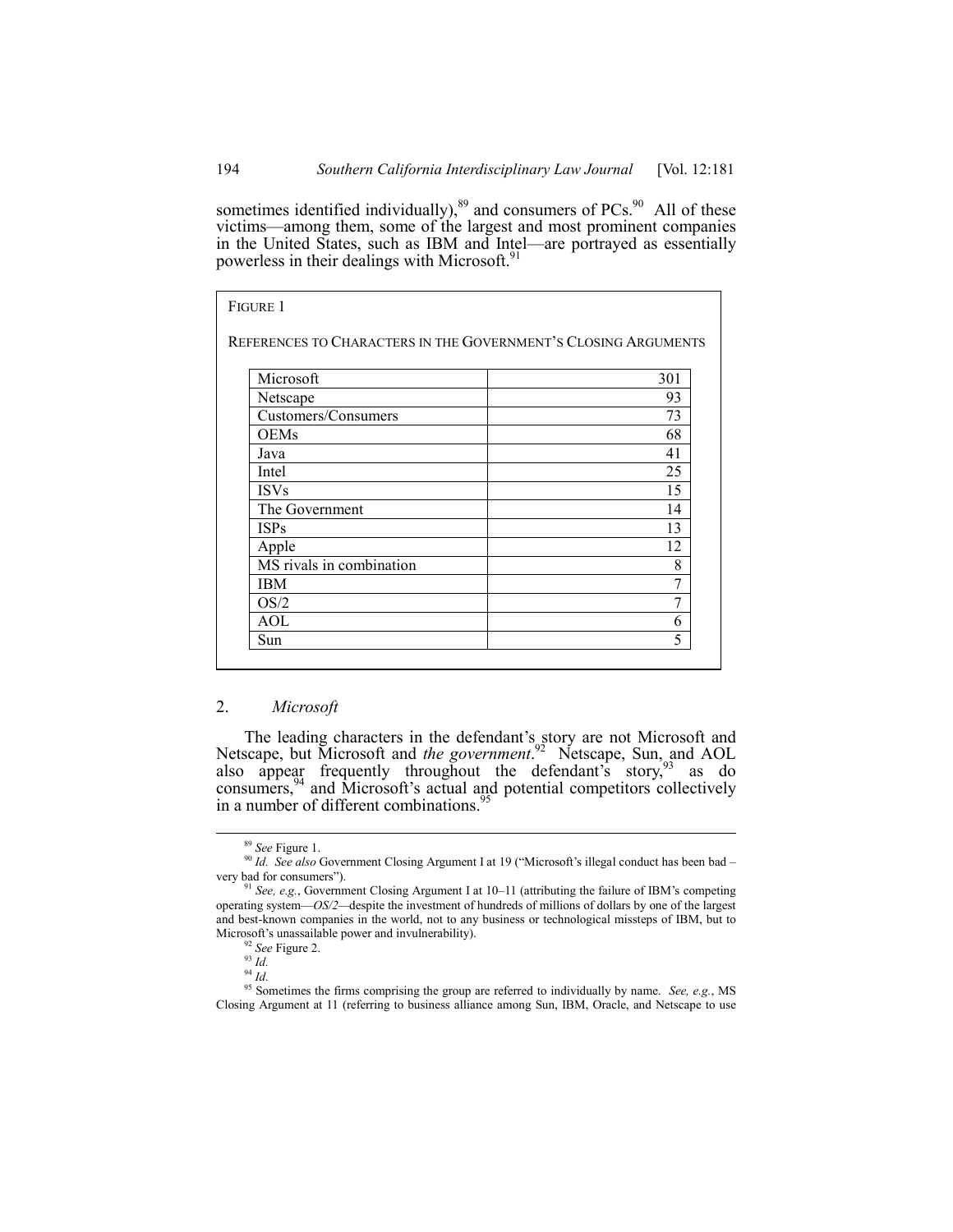sometimes identified individually), $89$  and consumers of PCs. $90$  All of these victims—among them, some of the largest and most prominent companies in the United States, such as IBM and Intel—are portrayed as essentially powerless in their dealings with Microsoft.<sup>91</sup>

| <b>FIGURE 1</b>                                                |     |
|----------------------------------------------------------------|-----|
| REFERENCES TO CHARACTERS IN THE GOVERNMENT'S CLOSING ARGUMENTS |     |
| Microsoft                                                      | 301 |
| Netscape                                                       | 93  |
| Customers/Consumers                                            | 73  |
| OEMs                                                           | 68  |
| Java                                                           | 41  |
| Intel                                                          | 25  |
| <b>ISVs</b>                                                    | 15  |
| The Government                                                 | 14  |
| <b>ISPs</b>                                                    | 13  |
| Apple                                                          | 12  |
| MS rivals in combination                                       | 8   |
| IBM                                                            | 7   |
| OS/2                                                           | 7   |
| AOL                                                            | 6   |
| Sun                                                            | 5   |

# 2. *Microsoft*

The leading characters in the defendant's story are not Microsoft and Netscape, but Microsoft and *the government*. 92 Netscape, Sun, and AOL also appear frequently throughout the defendant's story, as do consumers,  $94$  and Microsoft's actual and potential competitors collectively in a number of different combinations.<sup>95</sup>

 <sup>89</sup> *See* Figure 1.

<sup>&</sup>lt;sup>90</sup> Id. See also Government Closing Argument I at 19 ("Microsoft's illegal conduct has been bad very bad for consumers").

<sup>&</sup>lt;sup>91</sup> See, e.g., Government Closing Argument I at 10–11 (attributing the failure of IBM's competing operating system—OS/2—despite the investment of hundreds of millions of dollars by one of the largest and best-known companies in the world, not to any business or technological missteps of IBM, but to Microsoft's unassailable power and invulnerability).

<sup>92</sup> *See* Figure 2.

 $\frac{93}{1}$   $\frac{1}{6}$ 

<sup>94</sup> *Id.*

<sup>95</sup> Sometimes the firms comprising the group are referred to individually by name. *See, e.g.*, MS Closing Argument at 11 (referring to business alliance among Sun, IBM, Oracle, and Netscape to use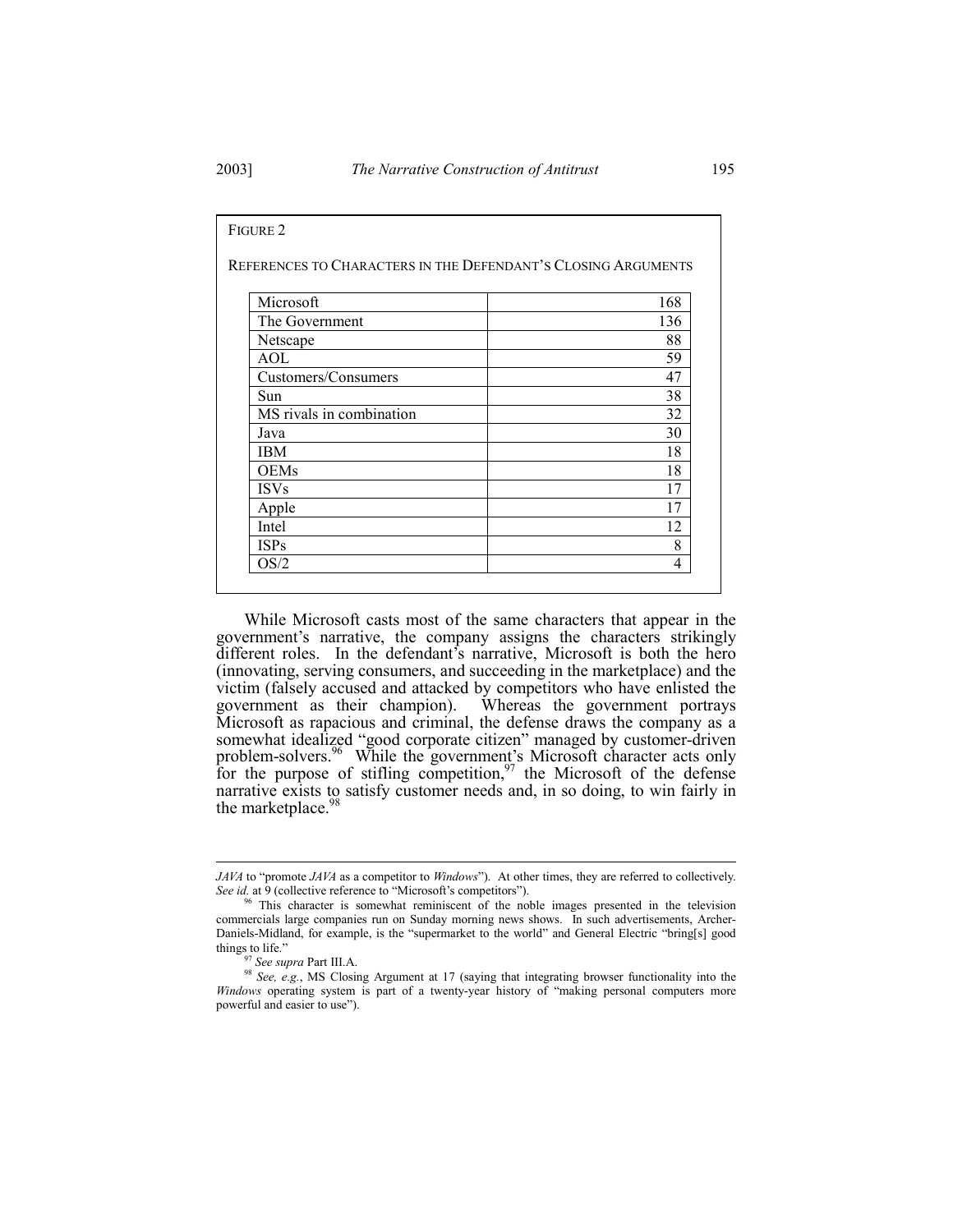| REFERENCES TO CHARACTERS IN THE DEFENDANT'S CLOSING ARGUMENTS |     |
|---------------------------------------------------------------|-----|
| Microsoft                                                     | 168 |
|                                                               |     |
| The Government                                                | 136 |
| Netscape                                                      | 88  |
| AOL                                                           | 59  |
| Customers/Consumers                                           | 47  |
| Sun                                                           | 38  |
| MS rivals in combination                                      | 32  |
| Java                                                          | 30  |
| IBM                                                           | 18  |
| <b>OEMs</b>                                                   | 18  |
| <b>ISVs</b>                                                   | 17  |
| Apple                                                         | 17  |
| Intel                                                         | 12  |
| <b>ISPs</b>                                                   | 8   |
| OS/2                                                          | 4   |

While Microsoft casts most of the same characters that appear in the government's narrative, the company assigns the characters strikingly different roles. In the defendant's narrative, Microsoft is both the hero (innovating, serving consumers, and succeeding in the marketplace) and the victim (falsely accused and attacked by competitors who have enlisted the government as their champion). Whereas the government portrays Microsoft as rapacious and criminal, the defense draws the company as a somewhat idealized "good corporate citizen" managed by customer-driven problem-solvers.<sup>96</sup> While the government's Microsoft character acts only for the purpose of stifling competition,  $97$  the Microsoft of the defense narrative exists to satisfy customer needs and, in so doing, to win fairly in the marketplace.<sup>9</sup>

l

*JAVA* to "promote *JAVA* as a competitor to *Windows*"). At other times, they are referred to collectively. See id. at 9 (collective reference to "Microsoft's competitors").

<sup>&</sup>lt;sup>96</sup> This character is somewhat reminiscent of the noble images presented in the television commercials large companies run on Sunday morning news shows. In such advertisements, Archer-Daniels-Midland, for example, is the "supermarket to the world" and General Electric "bring[s] good things to life."

<sup>97</sup> *See supra* Part III.A.

<sup>&</sup>lt;sup>98</sup> See, e.g., MS Closing Argument at 17 (saying that integrating browser functionality into the *Windows* operating system is part of a twenty-year history of "making personal computers more powerful and easier to use").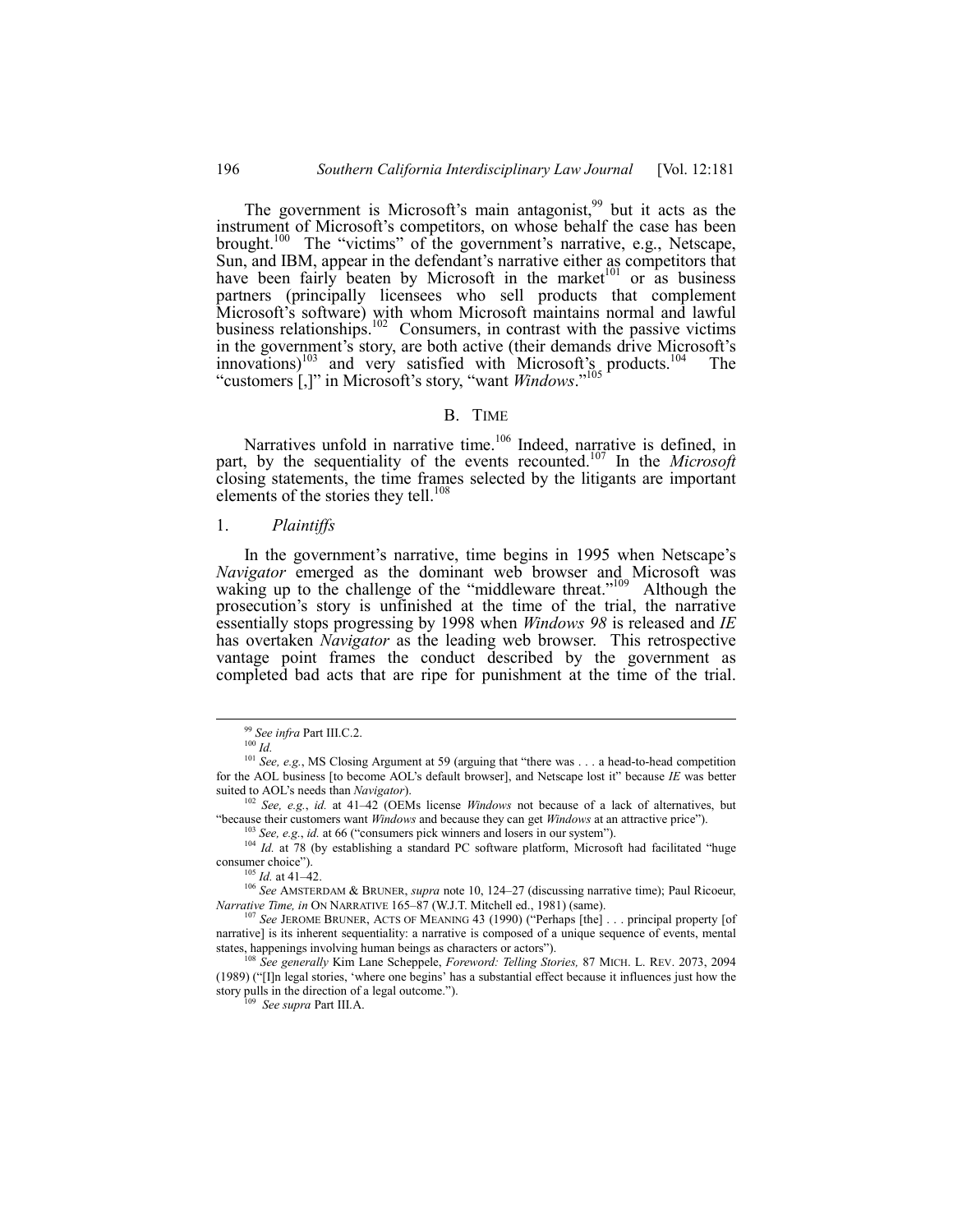The government is Microsoft's main antagonist,<sup>99</sup> but it acts as the instrument of Microsoft's competitors, on whose behalf the case has been brought.<sup>100</sup> The "victims" of the government's narrative, e.g., Netscape, Sun, and IBM, appear in the defendant's narrative either as competitors that have been fairly beaten by Microsoft in the market<sup>101</sup> or as business partners (principally licensees who sell products that complement Microsoft's software) with whom Microsoft maintains normal and lawful business relationships.<sup>102</sup> Consumers, in contrast with the passive victims in the government's story, are both active (their demands drive Microsoft's innovations)<sup>103</sup> and very satisfied with Microsoft's products.<sup>104</sup> The "customers [,]" in Microsoft's story, "want *Windows*."<sup>105</sup>

#### B. TIME

Narratives unfold in narrative time.<sup>106</sup> Indeed, narrative is defined, in part, by the sequentiality of the events recounted.107 In the *Microsoft* closing statements, the time frames selected by the litigants are important elements of the stories they tell.<sup>108</sup>

#### 1. *Plaintiffs*

In the government's narrative, time begins in 1995 when Netscape's *Navigator* emerged as the dominant web browser and Microsoft was waking up to the challenge of the "middleware threat."<sup>109</sup> Although the prosecution's story is unfinished at the time of the trial, the narrative essentially stops progressing by 1998 when *Windows 98* is released and *IE* has overtaken *Navigator* as the leading web browser. This retrospective vantage point frames the conduct described by the government as completed bad acts that are ripe for punishment at the time of the trial.

<sup>106</sup> See AMSTERDAM & BRUNER, *supra* note 10, 124–27 (discussing narrative time); Paul Ricoeur, *Narrative Time, in ON NARRATIVE* 165-87 (W.J.T. Mitchell ed., 1981) (same).

<sup>107</sup> See JEROME BRUNER, ACTS OF MEANING 43 (1990) ("Perhaps [the] . . . principal property [of narrative] is its inherent sequentiality: a narrative is composed of a unique sequence of events, mental states, happenings involving human beings as characters or actors").

<sup>108</sup> *See generally* Kim Lane Scheppele, *Foreword: Telling Stories,* 87 MICH. L. REV. 2073, 2094 (1989) ("[I]n legal stories, 'where one begins' has a substantial effect because it influences just how the story pulls in the direction of a legal outcome.").

109 *See supra* Part III.A.

 <sup>99</sup> *See infra* Part III.C.2.

<sup>100</sup> *Id.*

<sup>&</sup>lt;sup>101</sup> *See, e.g.*, MS Closing Argument at 59 (arguing that "there was . . . a head-to-head competition for the AOL business [to become AOL's default browser], and Netscape lost it" because *IE* was better suited to AOLís needs than *Navigator*).

<sup>&</sup>lt;sup>102</sup> *See, e.g., id.* at 41–42 (OEMs license *Windows* not because of a lack of alternatives, but "because their customers want *Windows* and because they can get *Windows* at an attractive price").

<sup>&</sup>lt;sup>103</sup> *See, e.g., id.* at 66 ("consumers pick winners and losers in our system").

<sup>&</sup>lt;sup>104</sup> *Id.* at 78 (by establishing a standard PC software platform, Microsoft had facilitated "huge consumer choice").

*Id.* at 41-42.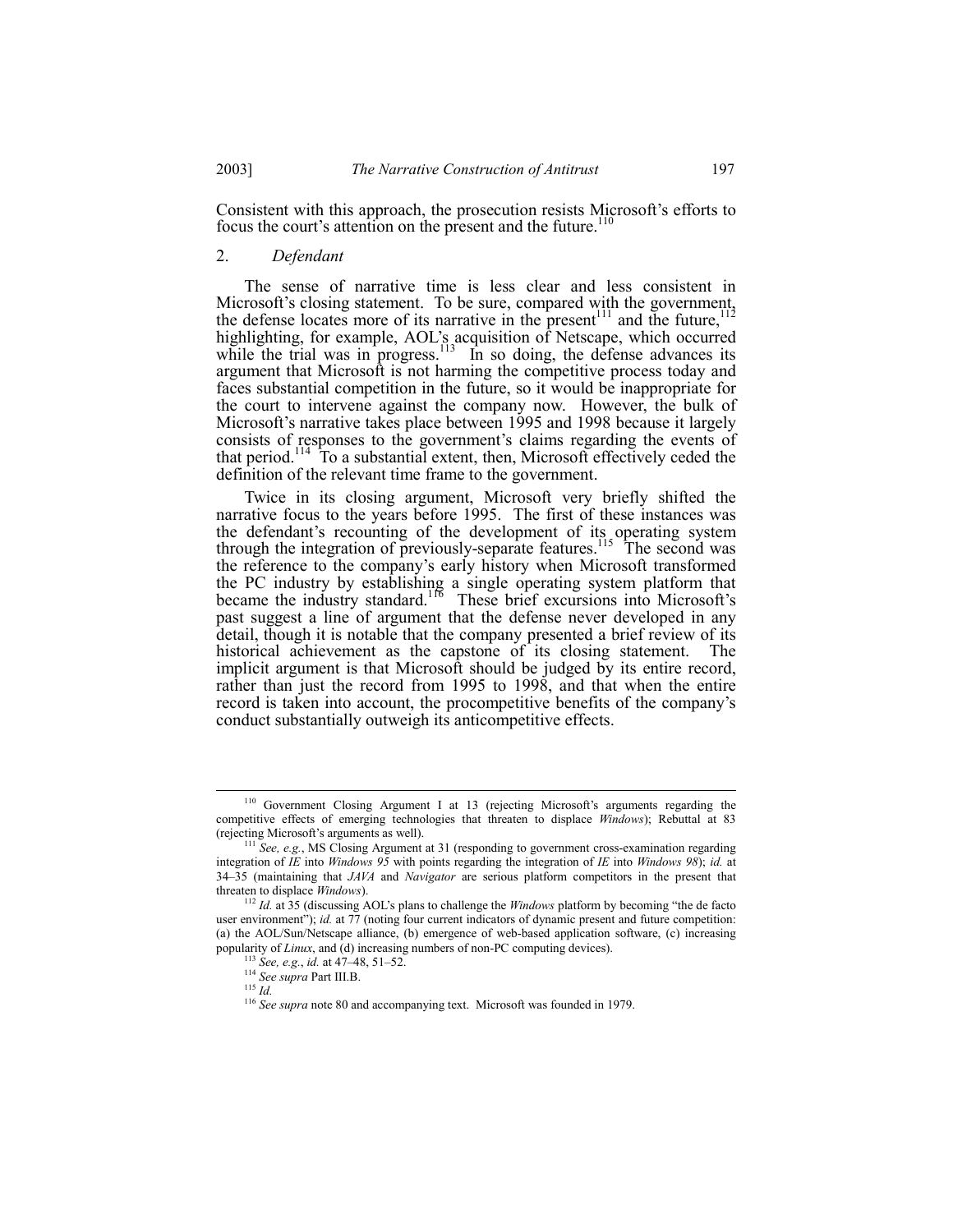Consistent with this approach, the prosecution resists Microsoft's efforts to focus the court's attention on the present and the future.<sup>110</sup>

# 2. *Defendant*

The sense of narrative time is less clear and less consistent in Microsoft's closing statement. To be sure, compared with the government, the defense locates more of its narrative in the present<sup>111</sup> and the future,<sup>112</sup> highlighting, for example, AOLís acquisition of Netscape, which occurred while the trial was in progress. $^{113}$  In so doing, the defense advances its argument that Microsoft is not harming the competitive process today and faces substantial competition in the future, so it would be inappropriate for the court to intervene against the company now. However, the bulk of Microsoft's narrative takes place between 1995 and 1998 because it largely consists of responses to the government's claims regarding the events of that period.114 To a substantial extent, then, Microsoft effectively ceded the definition of the relevant time frame to the government.

Twice in its closing argument, Microsoft very briefly shifted the narrative focus to the years before 1995. The first of these instances was the defendant's recounting of the development of its operating system through the integration of previously-separate features.<sup>115</sup> The second was the reference to the companyís early history when Microsoft transformed the PC industry by establishing a single operating system platform that became the industry standard.<sup>116</sup> These brief excursions into Microsoft's past suggest a line of argument that the defense never developed in any detail, though it is notable that the company presented a brief review of its historical achievement as the capstone of its closing statement. The implicit argument is that Microsoft should be judged by its entire record, rather than just the record from 1995 to 1998, and that when the entire record is taken into account, the procompetitive benefits of the company's conduct substantially outweigh its anticompetitive effects.

<sup>&</sup>lt;sup>110</sup> Government Closing Argument I at 13 (rejecting Microsoft's arguments regarding the competitive effects of emerging technologies that threaten to displace *Windows*); Rebuttal at 83 (rejecting Microsoft's arguments as well).

<sup>&</sup>lt;sup>111</sup> See, e.g., MS Closing Argument at 31 (responding to government cross-examination regarding integration of *IE* into *Windows 95* with points regarding the integration of *IE* into *Windows 98*); *id.* at 34ñ35 (maintaining that *JAVA* and *Navigator* are serious platform competitors in the present that threaten to displace *Windows*).

 $112$  *Id.* at 35 (discussing AOL's plans to challenge the *Windows* platform by becoming "the de facto" user environment"); *id.* at 77 (noting four current indicators of dynamic present and future competition: (a) the AOL/Sun/Netscape alliance, (b) emergence of web-based application software, (c) increasing popularity of *Linux*, and (d) increasing numbers of non-PC computing devices).

<sup>&</sup>lt;sup>113</sup> *See, e.g., id.* at 47–48, 51–52.

<sup>114</sup> *See supra* Part III.B.

<sup>115</sup> *Id.*

<sup>&</sup>lt;sup>116</sup> See supra note 80 and accompanying text. Microsoft was founded in 1979.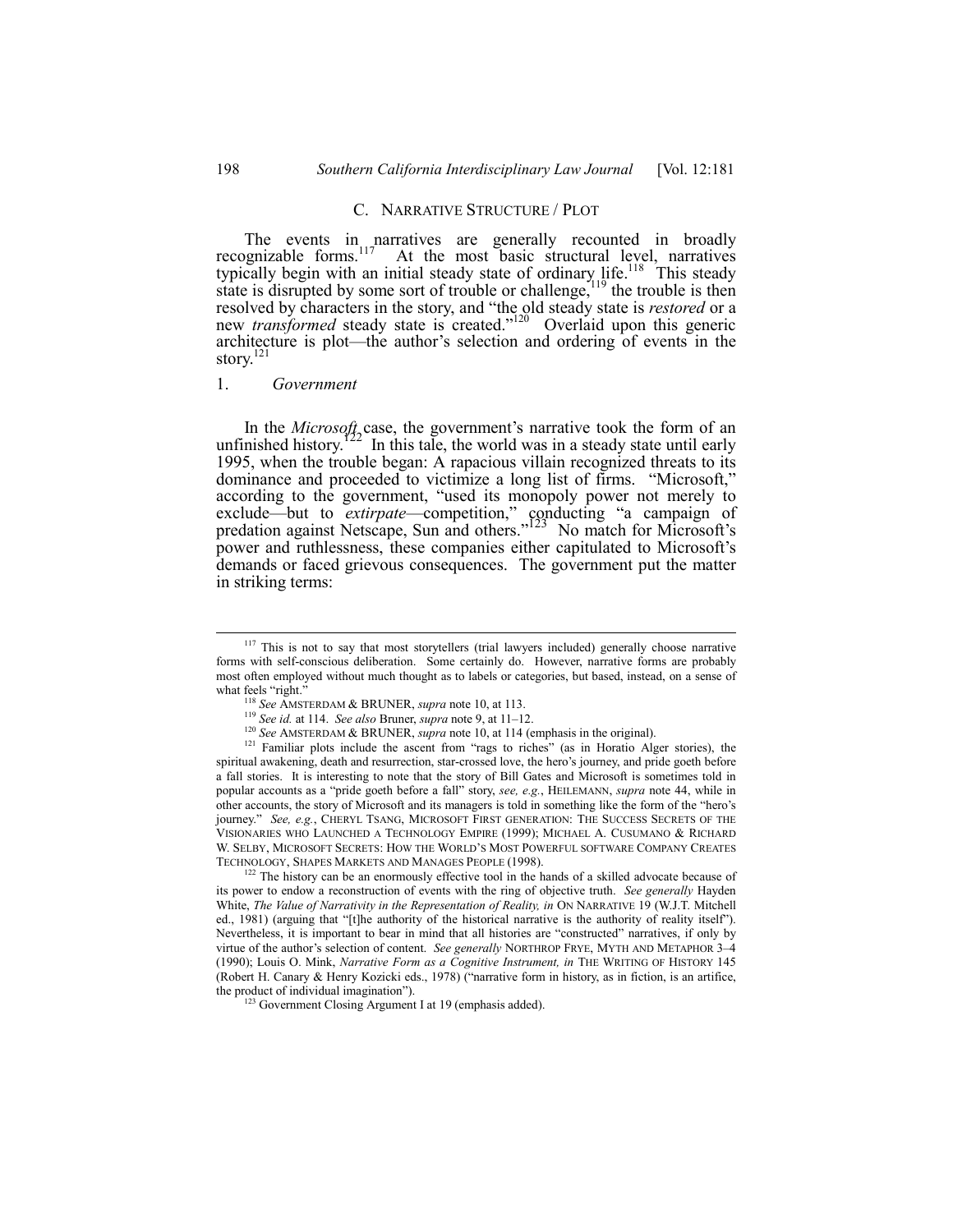### C. NARRATIVE STRUCTURE / PLOT

The events in narratives are generally recounted in broadly recognizable forms.<sup>117</sup> At the most basic structural level, narratives typically begin with an initial steady state of ordinary life.<sup>118</sup> This steady state is disrupted by some sort of trouble or challenge,  $19$  the trouble is then resolved by characters in the story, and "the old steady state is *restored* or a new *transformed* steady state is created.<sup>7120</sup> Overlaid upon this generic architecture is plot—the author's selection and ordering of events in the story.<sup>121</sup>

1. *Government*

In the *Microsoft* case, the government's narrative took the form of an unfinished history.<sup>122</sup> In this tale, the world was in a steady state until early 1995, when the trouble began: A rapacious villain recognized threats to its dominance and proceeded to victimize a long list of firms. "Microsoft," according to the government, "used its monopoly power not merely to exclude—but to *extirpate*—competition," conducting "a campaign of predation against Netscape, Sun and others."<sup>123</sup> No match for Microsoft's power and ruthlessness, these companies either capitulated to Microsoft's demands or faced grievous consequences. The government put the matter in striking terms:

<sup>&</sup>lt;sup>117</sup> This is not to say that most storytellers (trial lawyers included) generally choose narrative forms with self-conscious deliberation. Some certainly do. However, narrative forms are probably most often employed without much thought as to labels or categories, but based, instead, on a sense of what feels "right."

<sup>118</sup> *See* AMSTERDAM & BRUNER, *supra* note 10, at 113.

<sup>&</sup>lt;sup>119</sup> *See id.* at 114. *See also* Bruner, *supra* note 9, at 11–12.

<sup>120</sup> *See* AMSTERDAM & BRUNER, *supra* note 10, at 114 (emphasis in the original).

 $121$  Familiar plots include the ascent from "rags to riches" (as in Horatio Alger stories), the spiritual awakening, death and resurrection, star-crossed love, the hero's journey, and pride goeth before a fall stories. It is interesting to note that the story of Bill Gates and Microsoft is sometimes told in popular accounts as a "pride goeth before a fall" story, see, e.g., HEILEMANN, *supra* note 44, while in other accounts, the story of Microsoft and its managers is told in something like the form of the "hero's journey." *See, e.g.*, CHERYL TSANG, MICROSOFT FIRST GENERATION: THE SUCCESS SECRETS OF THE VISIONARIES WHO LAUNCHED A TECHNOLOGY EMPIRE (1999); MICHAEL A. CUSUMANO & RICHARD W. SELBY, MICROSOFT SECRETS: HOW THE WORLD'S MOST POWERFUL SOFTWARE COMPANY CREATES TECHNOLOGY, SHAPES MARKETS AND MANAGES PEOPLE (1998).

<sup>&</sup>lt;sup>122</sup> The history can be an enormously effective tool in the hands of a skilled advocate because of its power to endow a reconstruction of events with the ring of objective truth. *See generally* Hayden White, *The Value of Narrativity in the Representation of Reality, in ON NARRATIVE 19* (W.J.T. Mitchell ed., 1981) (arguing that "[t]he authority of the historical narrative is the authority of reality itself"). Nevertheless, it is important to bear in mind that all histories are "constructed" narratives, if only by virtue of the author's selection of content. *See generally* NORTHROP FRYE, MYTH AND METAPHOR 3-4 (1990); Louis O. Mink, *Narrative Form as a Cognitive Instrument, in* THE WRITING OF HISTORY 145 (Robert H. Canary & Henry Kozicki eds., 1978) ("narrative form in history, as in fiction, is an artifice, the product of individual imagination").

<sup>&</sup>lt;sup>123</sup> Government Closing Argument I at 19 (emphasis added).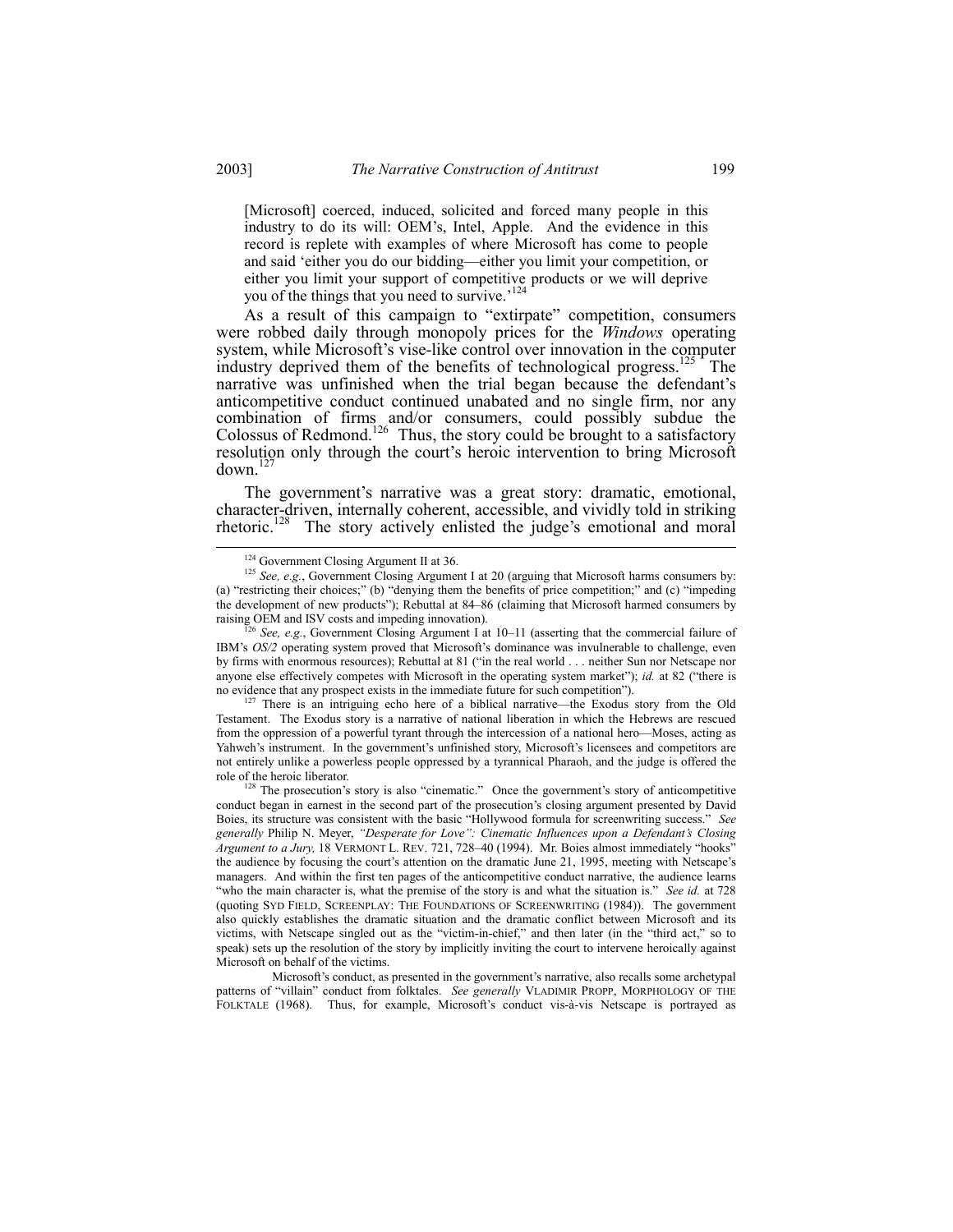[Microsoft] coerced, induced, solicited and forced many people in this industry to do its will: OEM's, Intel, Apple. And the evidence in this record is replete with examples of where Microsoft has come to people and said 'either you do our bidding—either you limit your competition, or either you limit your support of competitive products or we will deprive you of the things that you need to survive.<sup>124</sup>

As a result of this campaign to "extirpate" competition, consumers were robbed daily through monopoly prices for the *Windows* operating system, while Microsoft's vise-like control over innovation in the computer industry deprived them of the benefits of technological progress.<sup>125</sup> The narrative was unfinished when the trial began because the defendant's anticompetitive conduct continued unabated and no single firm, nor any combination of firms and/or consumers, could possibly subdue the Colossus of Redmond.<sup>126</sup> Thus, the story could be brought to a satisfactory resolution only through the court's heroic intervention to bring Microsoft  $down<sup>12</sup>$ 

The government's narrative was a great story: dramatic, emotional, character-driven, internally coherent, accessible, and vividly told in striking rhetoric.<sup>128</sup> The story actively enlisted the judge's emotional and moral

<sup>127</sup> There is an intriguing echo here of a biblical narrative—the Exodus story from the Old Testament. The Exodus story is a narrative of national liberation in which the Hebrews are rescued from the oppression of a powerful tyrant through the intercession of a national hero-Moses, acting as Yahweh's instrument. In the government's unfinished story, Microsoft's licensees and competitors are not entirely unlike a powerless people oppressed by a tyrannical Pharaoh, and the judge is offered the role of the heroic liberator.

<sup>&</sup>lt;sup>124</sup> Government Closing Argument II at 36.

<sup>&</sup>lt;sup>125</sup> See, e.g., Government Closing Argument I at 20 (arguing that Microsoft harms consumers by: (a) "restricting their choices;" (b) "denying them the benefits of price competition;" and (c) "impeding the development of new products"); Rebuttal at 84-86 (claiming that Microsoft harmed consumers by raising OEM and ISV costs and impeding innovation).<br><sup>126</sup> See, e.g., Government Closing Argument I at 10–11 (asserting that the commercial failure of

IBM's OS/2 operating system proved that Microsoft's dominance was invulnerable to challenge, even by firms with enormous resources); Rebuttal at 81 ("in the real world . . . neither Sun nor Netscape nor anyone else effectively competes with Microsoft in the operating system market"); id. at 82 ("there is no evidence that any prospect exists in the immediate future for such competition").

<sup>&</sup>lt;sup>3</sup> The prosecution's story is also "cinematic." Once the government's story of anticompetitive conduct began in earnest in the second part of the prosecution's closing argument presented by David Boies, its structure was consistent with the basic "Hollywood formula for screenwriting success." See generally Philip N. Meyer, "Desperate for Love": Cinematic Influences upon a Defendant's Closing Argument to a Jury, 18 VERMONT L. REV. 721, 728-40 (1994). Mr. Boies almost immediately "hooks" the audience by focusing the court's attention on the dramatic June 21, 1995, meeting with Netscape's managers. And within the first ten pages of the anticompetitive conduct narrative, the audience learns "who the main character is, what the premise of the story is and what the situation is." See id. at 728 (quoting SYD FIELD, SCREENPLAY: THE FOUNDATIONS OF SCREENWRITING (1984)). The government also quickly establishes the dramatic situation and the dramatic conflict between Microsoft and its victims, with Netscape singled out as the "victim-in-chief," and then later (in the "third act," so to speak) sets up the resolution of the story by implicitly inviting the court to intervene heroically against Microsoft on behalf of the victims.

Microsoft's conduct, as presented in the government's narrative, also recalls some archetypal patterns of "villain" conduct from folktales. See generally VLADIMIR PROPP, MORPHOLOGY OF THE FOLKTALE (1968). Thus, for example, Microsoft's conduct vis-à-vis Netscape is portrayed as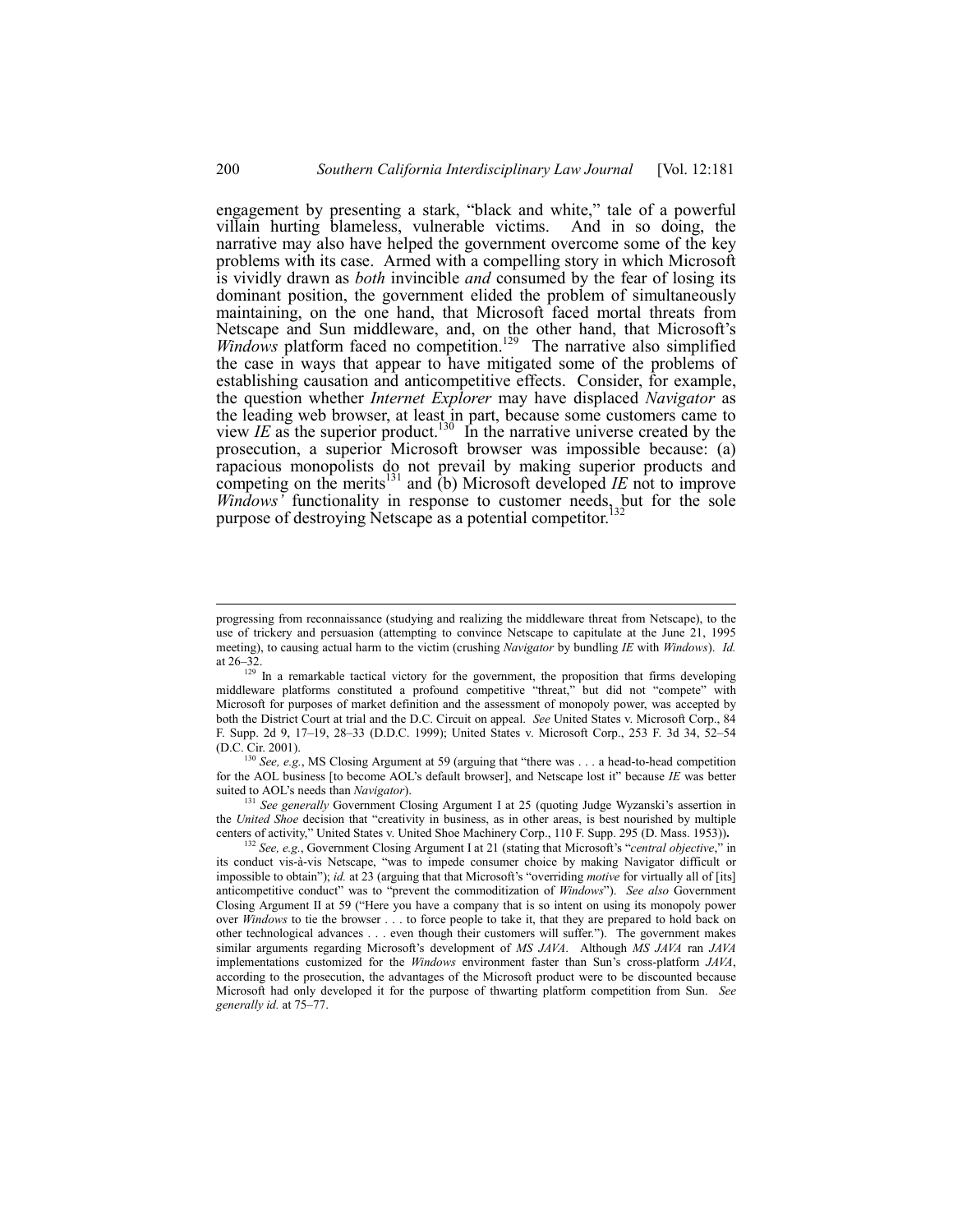engagement by presenting a stark, "black and white," tale of a powerful villain hurting blameless, vulnerable victims. And in so doing, the narrative may also have helped the government overcome some of the key problems with its case. Armed with a compelling story in which Microsoft is vividly drawn as *both* invincible *and* consumed by the fear of losing its dominant position, the government elided the problem of simultaneously maintaining, on the one hand, that Microsoft faced mortal threats from Netscape and Sun middleware, and, on the other hand, that Microsoft's *Windows platform faced no competition.*<sup>129</sup> The narrative also simplified the case in ways that appear to have mitigated some of the problems of establishing causation and anticompetitive effects. Consider, for example, the question whether *Internet Explorer* may have displaced *Navigator* as the leading web browser, at least in part, because some customers came to view *IE* as the superior product.<sup>130</sup> In the narrative universe created by the prosecution, a superior Microsoft browser was impossible because: (a) rapacious monopolists do not prevail by making superior products and competing on the merits<sup>131</sup> and (b) Microsoft developed *IE* not to improve *Windows'* functionality in response to customer needs, but for the sole purpose of destroying Netscape as a potential competitor.<sup>132</sup>

<sup>131</sup> See generally Government Closing Argument I at 25 (quoting Judge Wyzanski's assertion in the *United Shoe* decision that "creativity in business, as in other areas, is best nourished by multiple centers of activity," United States v. United Shoe Machinery Corp., 110 F. Supp. 295 (D. Mass. 1953)).

progressing from reconnaissance (studying and realizing the middleware threat from Netscape), to the use of trickery and persuasion (attempting to convince Netscape to capitulate at the June 21, 1995 meeting), to causing actual harm to the victim (crushing *Navigator* by bundling *IE* with *Windows*). *Id.* at 26-32.

 $129$  In a remarkable tactical victory for the government, the proposition that firms developing middleware platforms constituted a profound competitive "threat," but did not "compete" with Microsoft for purposes of market definition and the assessment of monopoly power, was accepted by both the District Court at trial and the D.C. Circuit on appeal. *See* United States v. Microsoft Corp., 84 F. Supp. 2d 9, 17-19, 28-33 (D.D.C. 1999); United States v. Microsoft Corp., 253 F. 3d 34, 52-54 (D.C. Cir. 2001).

<sup>&</sup>lt;sup>130</sup> *See, e.g.*, MS Closing Argument at 59 (arguing that "there was . . . a head-to-head competition for the AOL business [to become AOLís default browser], and Netscape lost itî because *IE* was better suited to AOLís needs than *Navigator*).

<sup>&</sup>lt;sup>132</sup> See, e.g., Government Closing Argument I at 21 (stating that Microsoft's "central objective," in its conduct vis-à-vis Netscape, "was to impede consumer choice by making Navigator difficult or impossible to obtain"); *id.* at 23 (arguing that that Microsoft's "overriding *motive* for virtually all of [its] anticompetitive conduct" was to "prevent the commoditization of *Windows*"). See also Government Closing Argument II at 59 ("Here you have a company that is so intent on using its monopoly power over *Windows* to tie the browser . . . to force people to take it, that they are prepared to hold back on other technological advances . . . even though their customers will suffer.î). The government makes similar arguments regarding Microsoft's development of *MS JAVA*. Although *MS JAVA* ran *JAVA* implementations customized for the *Windows* environment faster than Sunís cross-platform *JAVA*, according to the prosecution, the advantages of the Microsoft product were to be discounted because Microsoft had only developed it for the purpose of thwarting platform competition from Sun. *See generally id.* at 75–77.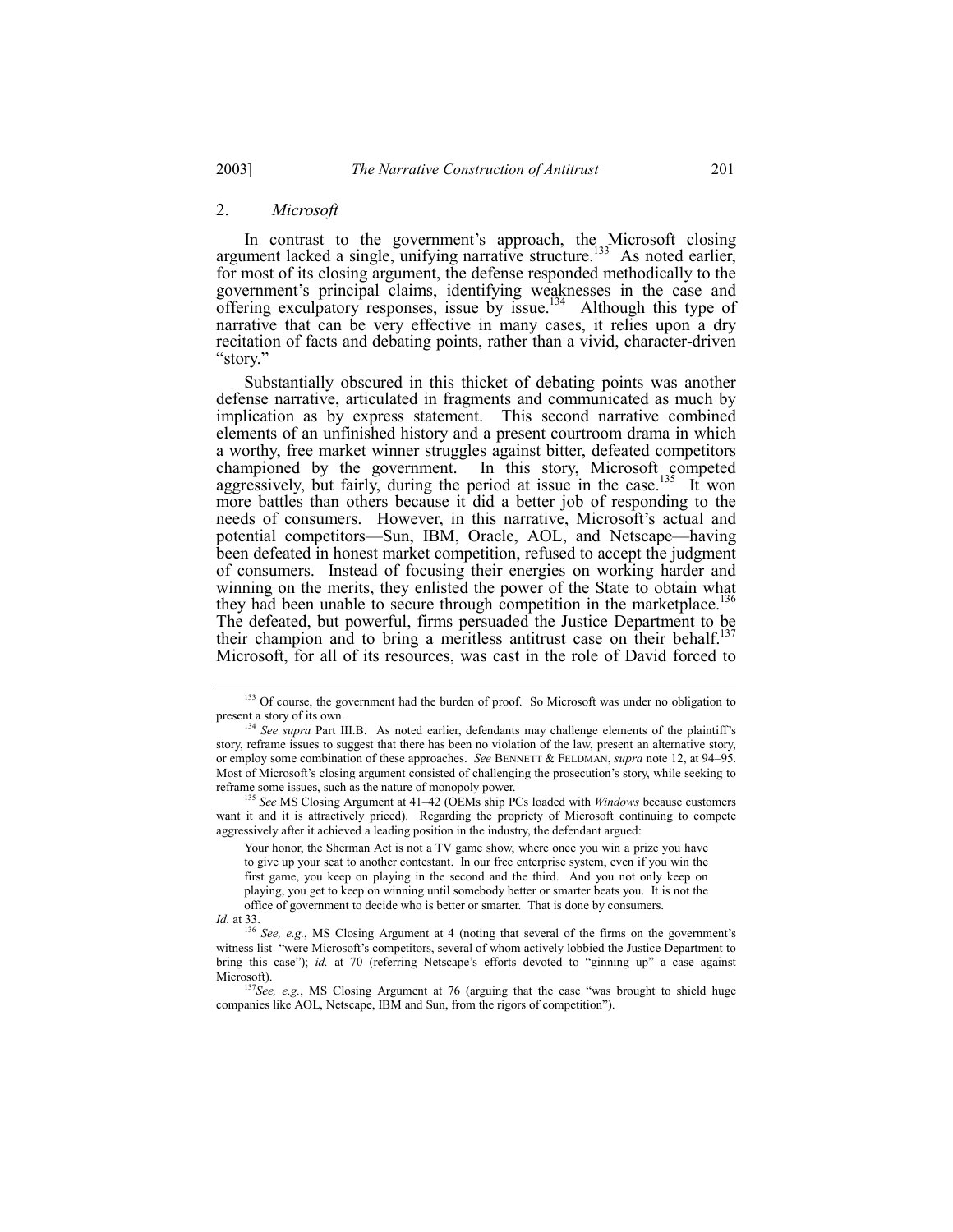#### 2. *Microsoft*

In contrast to the government's approach, the Microsoft closing argument lacked a single, unifying narrative structure.<sup>133</sup> As noted earlier, for most of its closing argument, the defense responded methodically to the government's principal claims, identifying weaknesses in the case and offering exculpatory responses, issue by issue.<sup>134</sup> Although this type of narrative that can be very effective in many cases, it relies upon a dry recitation of facts and debating points, rather than a vivid, character-driven "story."

Substantially obscured in this thicket of debating points was another defense narrative, articulated in fragments and communicated as much by implication as by express statement. This second narrative combined elements of an unfinished history and a present courtroom drama in which a worthy, free market winner struggles against bitter, defeated competitors championed by the government. In this story, Microsoft competed aggressively, but fairly, during the period at issue in the case.<sup>135</sup> It won more battles than others because it did a better job of responding to the needs of consumers. However, in this narrative, Microsoft's actual and potential competitors—Sun, IBM, Oracle, AOL, and Netscape—having been defeated in honest market competition, refused to accept the judgment of consumers. Instead of focusing their energies on working harder and winning on the merits, they enlisted the power of the State to obtain what they had been unable to secure through competition in the marketplace.<sup>136</sup> The defeated, but powerful, firms persuaded the Justice Department to be their champion and to bring a meritless antitrust case on their behalf.<sup>137</sup> Microsoft, for all of its resources, was cast in the role of David forced to

<sup>135</sup> See MS Closing Argument at 41–42 (OEMs ship PCs loaded with *Windows* because customers want it and it is attractively priced). Regarding the propriety of Microsoft continuing to compete aggressively after it achieved a leading position in the industry, the defendant argued:

<sup>&</sup>lt;sup>133</sup> Of course, the government had the burden of proof. So Microsoft was under no obligation to present a story of its own.

<sup>&</sup>lt;sup>134</sup> *See supra* Part III.B. As noted earlier, defendants may challenge elements of the plaintiff's story, reframe issues to suggest that there has been no violation of the law, present an alternative story, or employ some combination of these approaches. *See* BENNETT & FELDMAN, *supra* note 12, at 94–95. Most of Microsoft's closing argument consisted of challenging the prosecution's story, while seeking to reframe some issues, such as the nature of monopoly power.

Your honor, the Sherman Act is not a TV game show, where once you win a prize you have to give up your seat to another contestant. In our free enterprise system, even if you win the first game, you keep on playing in the second and the third. And you not only keep on playing, you get to keep on winning until somebody better or smarter beats you. It is not the office of government to decide who is better or smarter. That is done by consumers.

*Id.* at 33.

<sup>&</sup>lt;sup>136</sup> See, e.g., MS Closing Argument at 4 (noting that several of the firms on the government's witness list "were Microsoft's competitors, several of whom actively lobbied the Justice Department to bring this case"); *id.* at 70 (referring Netscape's efforts devoted to "ginning up" a case against Microsoft).

 $137$ See, e.g., MS Closing Argument at 76 (arguing that the case "was brought to shield huge companies like AOL, Netscape, IBM and Sun, from the rigors of competitionî).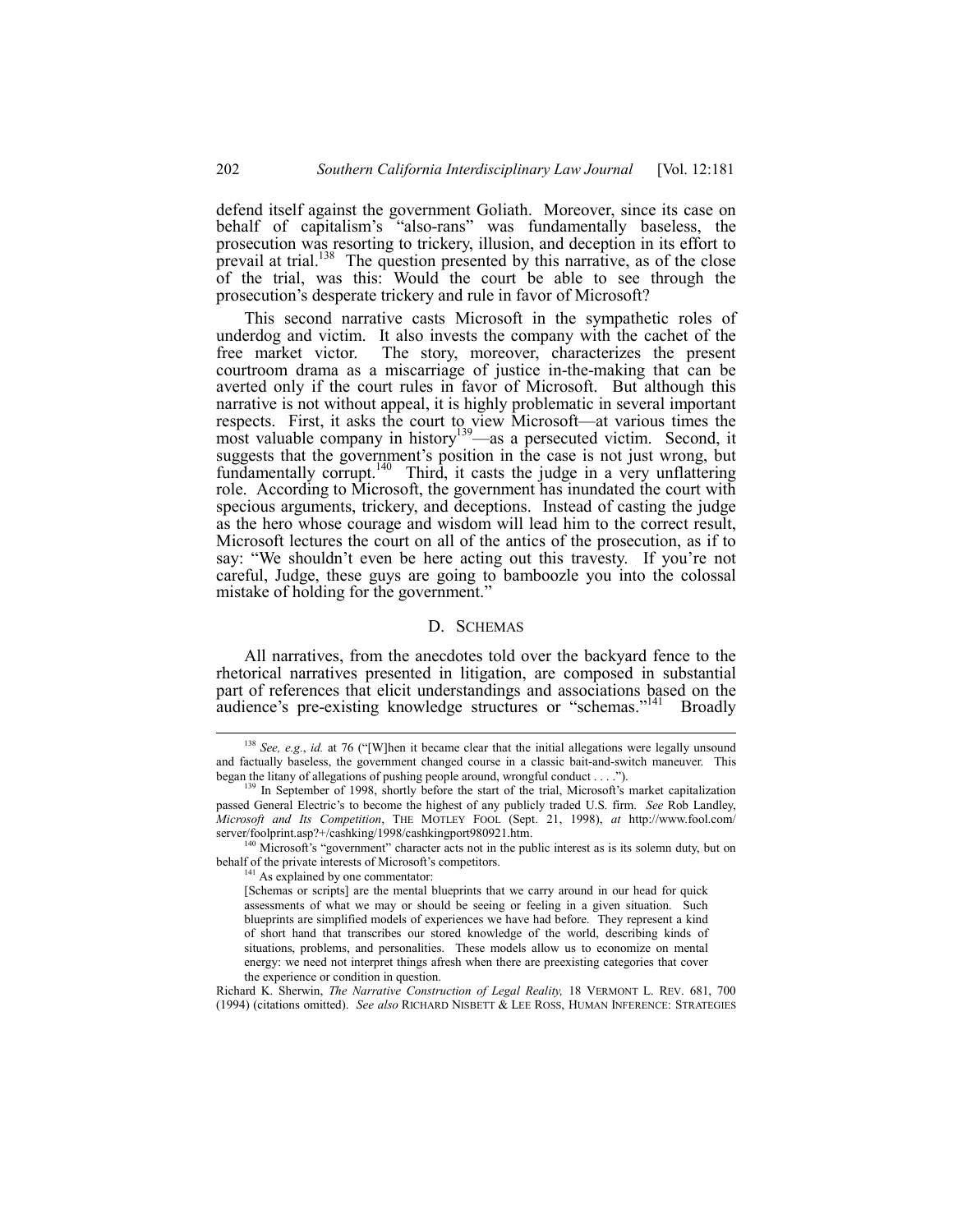defend itself against the government Goliath. Moreover, since its case on behalf of capitalism's "also-rans" was fundamentally baseless, the prosecution was resorting to trickery, illusion, and deception in its effort to prevail at trial.138 The question presented by this narrative, as of the close of the trial, was this: Would the court be able to see through the prosecution's desperate trickery and rule in favor of Microsoft?

This second narrative casts Microsoft in the sympathetic roles of underdog and victim. It also invests the company with the cachet of the free market victor. The story, moreover, characterizes the present courtroom drama as a miscarriage of justice in-the-making that can be averted only if the court rules in favor of Microsoft. But although this narrative is not without appeal, it is highly problematic in several important respects. First, it asks the court to view Microsoft—at various times the most valuable company in history<sup>139</sup>—as a persecuted victim. Second, it suggests that the government's position in the case is not just wrong, but fundamentally corrupt.140 Third, it casts the judge in a very unflattering role. According to Microsoft, the government has inundated the court with specious arguments, trickery, and deceptions. Instead of casting the judge as the hero whose courage and wisdom will lead him to the correct result, Microsoft lectures the court on all of the antics of the prosecution, as if to say: "We shouldn't even be here acting out this travesty. If you're not careful, Judge, these guys are going to bamboozle you into the colossal mistake of holding for the government."

#### D. SCHEMAS

All narratives, from the anecdotes told over the backyard fence to the rhetorical narratives presented in litigation, are composed in substantial part of references that elicit understandings and associations based on the audience's pre-existing knowledge structures or "schemas."<sup>141</sup> Broadly

<sup>&</sup>lt;sup>138</sup> *See, e.g., id.* at 76 ("[W]hen it became clear that the initial allegations were legally unsound and factually baseless, the government changed course in a classic bait-and-switch maneuver. This began the litany of allegations of pushing people around, wrongful conduct . . . .").

<sup>&</sup>lt;sup>3</sup> In September of 1998, shortly before the start of the trial, Microsoft's market capitalization passed General Electric's to become the highest of any publicly traded U.S. firm. *See* Rob Landley, *Microsoft and Its Competition*, THE MOTLEY FOOL (Sept. 21, 1998), *at* http://www.fool.com/ server/foolprint.asp?+/cashking/1998/cashkingport980921.htm.

<sup>&</sup>lt;sup>140</sup> Microsoft's "government" character acts not in the public interest as is its solemn duty, but on behalf of the private interests of Microsoft's competitors.

<sup>&</sup>lt;sup>141</sup> As explained by one commentator:

<sup>[</sup>Schemas or scripts] are the mental blueprints that we carry around in our head for quick assessments of what we may or should be seeing or feeling in a given situation. Such blueprints are simplified models of experiences we have had before. They represent a kind of short hand that transcribes our stored knowledge of the world, describing kinds of situations, problems, and personalities. These models allow us to economize on mental energy: we need not interpret things afresh when there are preexisting categories that cover the experience or condition in question.

Richard K. Sherwin, *The Narrative Construction of Legal Reality,* 18 VERMONT L. REV. 681, 700 (1994) (citations omitted). *See also* RICHARD NISBETT & LEE ROSS, HUMAN INFERENCE: STRATEGIES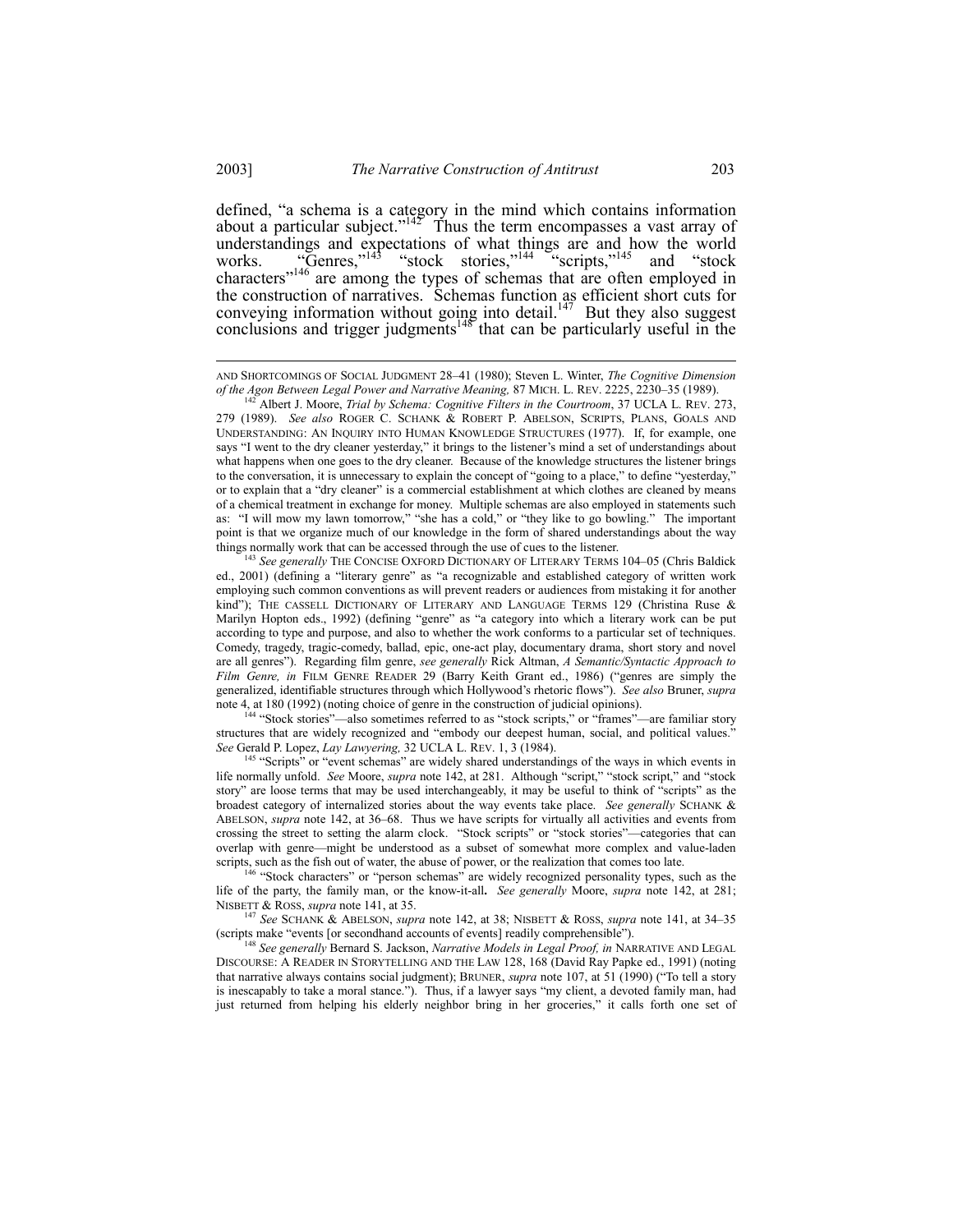defined, "a schema is a category in the mind which contains information about a particular subject.<sup> $142$ </sup> Thus the term encompasses a vast array of understandings and expectations of what things are and how the world works.  $\text{``Genses,}^{143} \text{``stock stories,}^{144} \text{``scripts,}^{145} \text{ and} \text{``stock}$ characters<sup>7146</sup> are among the types of schemas that are often employed in the construction of narratives. Schemas function as efficient short cuts for conveying information without going into detail.<sup>147</sup> But they also suggest conclusions and trigger judgments<sup>148</sup> that can be particularly useful in the

<sup>5</sup> See generally THE CONCISE OXFORD DICTIONARY OF LITERARY TERMS 104–05 (Chris Baldick ed., 2001) (defining a "literary genre" as "a recognizable and established category of written work employing such common conventions as will prevent readers or audiences from mistaking it for another kind"); THE CASSELL DICTIONARY OF LITERARY AND LANGUAGE TERMS 129 (Christina Ruse  $\&$ Marilyn Hopton eds., 1992) (defining "genre" as "a category into which a literary work can be put according to type and purpose, and also to whether the work conforms to a particular set of techniques. Comedy, tragedy, tragic-comedy, ballad, epic, one-act play, documentary drama, short story and novel are all genresî). Regarding film genre, *see generally* Rick Altman, *A Semantic/Syntactic Approach to Film Genre, in FILM GENRE READER 29 (Barry Keith Grant ed., 1986) ("genres are simply the* generalized, identifiable structures through which Hollywoodís rhetoric flowsî). *See also* Bruner, *supra* note 4, at 180 (1992) (noting choice of genre in the construction of judicial opinions).

<sup>144</sup> "Stock stories"—also sometimes referred to as "stock scripts," or "frames"—are familiar story structures that are widely recognized and "embody our deepest human, social, and political values." *See* Gerald P. Lopez, *Lay Lawyering,* 32 UCLA L. REV. 1, 3 (1984).

<sup>145</sup> "Scripts" or "event schemas" are widely shared understandings of the ways in which events in life normally unfold. *See* Moore, *supra* note 142, at 281. Although "script," "stock script," and "stock story" are loose terms that may be used interchangeably, it may be useful to think of "scripts" as the broadest category of internalized stories about the way events take place. *See generally* SCHANK & ABELSON, *supra* note 142, at 36-68. Thus we have scripts for virtually all activities and events from crossing the street to setting the alarm clock. "Stock scripts" or "stock stories"—categories that can overlap with genre—might be understood as a subset of somewhat more complex and value-laden scripts, such as the fish out of water, the abuse of power, or the realization that comes too late.

<sup>146</sup> "Stock characters" or "person schemas" are widely recognized personality types, such as the life of the party, the family man, or the know-it-all**.** *See generally* Moore, *supra* note 142, at 281; NISBETT & ROSS, *supra* note 141, at 35.

<sup>147</sup> See SCHANK & ABELSON, *supra* note 142, at 38; NISBETT & ROSS, *supra* note 141, at 34-35 (scripts make "events [or secondhand accounts of events] readily comprehensible").

<sup>148</sup> *See generally* Bernard S. Jackson, *Narrative Models in Legal Proof, in* NARRATIVE AND LEGAL DISCOURSE: A READER IN STORYTELLING AND THE LAW 128, 168 (David Ray Papke ed., 1991) (noting that narrative always contains social judgment); BRUNER, *supra* note 107, at 51 (1990) ("To tell a story is inescapably to take a moral stance."). Thus, if a lawyer says "my client, a devoted family man, had just returned from helping his elderly neighbor bring in her groceries," it calls forth one set of

AND SHORTCOMINGS OF SOCIAL JUDGMENT 28-41 (1980); Steven L. Winter, *The Cognitive Dimension of the Agon Between Legal Power and Narrative Meaning, 87 MICH. L. REV. 2225, 2230–35 (1989).*<br><sup>142</sup> Albert J. M. C. Rev. 2225, 2230–35 (1989).

Albert J. Moore, *Trial by Schema: Cognitive Filters in the Courtroom*, 37 UCLA L. REV. 273, 279 (1989). *See also* ROGER C. SCHANK & ROBERT P. ABELSON, SCRIPTS, PLANS, GOALS AND UNDERSTANDING: AN INQUIRY INTO HUMAN KNOWLEDGE STRUCTURES (1977). If, for example, one says "I went to the dry cleaner yesterday," it brings to the listener's mind a set of understandings about what happens when one goes to the dry cleaner. Because of the knowledge structures the listener brings to the conversation, it is unnecessary to explain the concept of "going to a place," to define "yesterday," or to explain that a "dry cleaner" is a commercial establishment at which clothes are cleaned by means of a chemical treatment in exchange for money. Multiple schemas are also employed in statements such as: "I will mow my lawn tomorrow," "she has a cold," or "they like to go bowling." The important point is that we organize much of our knowledge in the form of shared understandings about the way things normally work that can be accessed through the use of cues to the listener.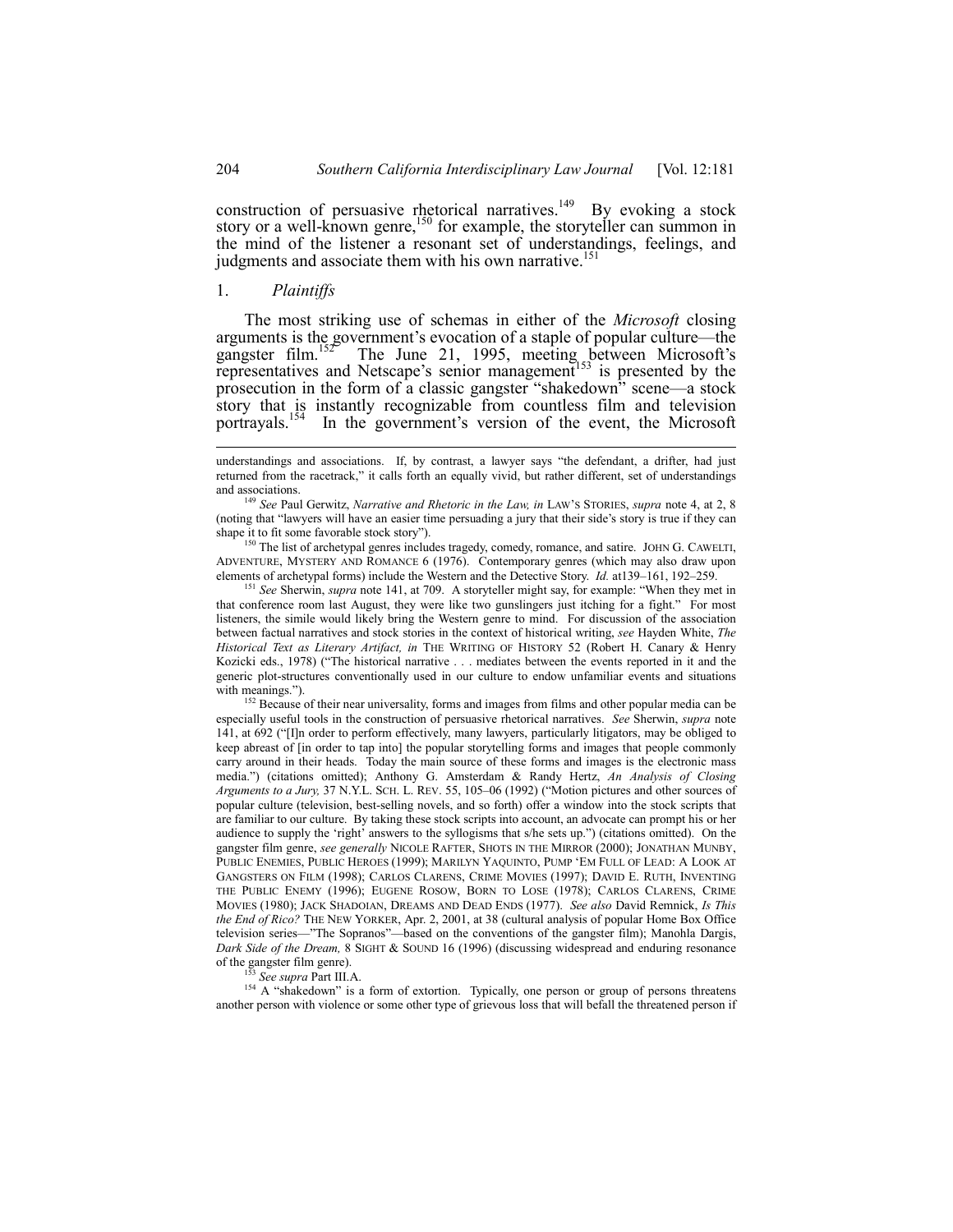construction of persuasive rhetorical narratives.<sup>149</sup> By evoking a stock story or a well-known genre,<sup>150</sup> for example, the storyteller can summon in the mind of the listener a resonant set of understandings, feelings, and judgments and associate them with his own narrative.<sup>151</sup>

# 1. *Plaintiffs*

The most striking use of schemas in either of the *Microsoft* closing arguments is the government's evocation of a staple of popular culture—the gangster film.<sup>152</sup> The June 21, 1995, meeting between Microsoft's gangster film.<sup>152</sup> The June 21, 1995, meeting between Microsoft's representatives and Netscape's senior management<sup>153</sup> is presented by the prosecution in the form of  $\hat{a}$  classic gangster "shakedown" scene—a stock story that is instantly recognizable from countless film and television portrayals.<sup>154</sup> In the government's version of the event, the Microsoft

<sup>150</sup> The list of archetypal genres includes tragedy, comedy, romance, and satire. JOHN G. CAWELTI, ADVENTURE, MYSTERY AND ROMANCE 6 (1976). Contemporary genres (which may also draw upon elements of archetypal forms) include the Western and the Detective Story. *Id.* at 139–161, 192–259.

<sup>151</sup> See Sherwin, *supra* note 141, at 709. A storyteller might say, for example: "When they met in that conference room last August, they were like two gunslingers just itching for a fight." For most listeners, the simile would likely bring the Western genre to mind. For discussion of the association between factual narratives and stock stories in the context of historical writing, *see* Hayden White, *The Historical Text as Literary Artifact, in* THE WRITING OF HISTORY 52 (Robert H. Canary & Henry Kozicki eds., 1978) ("The historical narrative . . . mediates between the events reported in it and the generic plot-structures conventionally used in our culture to endow unfamiliar events and situations with meanings.").

<sup>152</sup> Because of their near universality, forms and images from films and other popular media can be especially useful tools in the construction of persuasive rhetorical narratives. *See* Sherwin, *supra* note 141, at 692 ("[I]n order to perform effectively, many lawyers, particularly litigators, may be obliged to keep abreast of [in order to tap into] the popular storytelling forms and images that people commonly carry around in their heads. Today the main source of these forms and images is the electronic mass media.î) (citations omitted); Anthony G. Amsterdam & Randy Hertz, *An Analysis of Closing Arguments to a Jury, 37 N.Y.L. SCH. L. REV. 55, 105-06 (1992) ("Motion pictures and other sources of* popular culture (television, best-selling novels, and so forth) offer a window into the stock scripts that are familiar to our culture. By taking these stock scripts into account, an advocate can prompt his or her audience to supply the 'right' answers to the syllogisms that s/he sets up.") (citations omitted). On the gangster film genre, *see generally* NICOLE RAFTER, SHOTS IN THE MIRROR (2000); JONATHAN MUNBY, PUBLIC ENEMIES, PUBLIC HEROES (1999); MARILYN YAQUINTO, PUMP ëEM FULL OF LEAD: A LOOK AT GANGSTERS ON FILM (1998); CARLOS CLARENS, CRIME MOVIES (1997); DAVID E. RUTH, INVENTING THE PUBLIC ENEMY (1996); EUGENE ROSOW, BORN TO LOSE (1978); CARLOS CLARENS, CRIME MOVIES (1980); JACK SHADOIAN, DREAMS AND DEAD ENDS (1977). *See also* David Remnick, *Is This the End of Rico?* THE NEW YORKER, Apr. 2, 2001, at 38 (cultural analysis of popular Home Box Office television series—"The Sopranos"—based on the conventions of the gangster film); Manohla Dargis, *Dark Side of the Dream,* 8 SIGHT & SOUND 16 (1996) (discussing widespread and enduring resonance of the gangster film genre).

<sup>153</sup> *See supra* Part III.A.

<sup>154</sup> A "shakedown" is a form of extortion. Typically, one person or group of persons threatens another person with violence or some other type of grievous loss that will befall the threatened person if

understandings and associations. If, by contrast, a lawyer says "the defendant, a drifter, had just returned from the racetrack," it calls forth an equally vivid, but rather different, set of understandings and associations.

<sup>149</sup> *See* Paul Gerwitz, *Narrative and Rhetoric in the Law, in* LAWíS STORIES, *supra* note 4, at 2, 8 (noting that "lawyers will have an easier time persuading a jury that their side's story is true if they can shape it to fit some favorable stock story").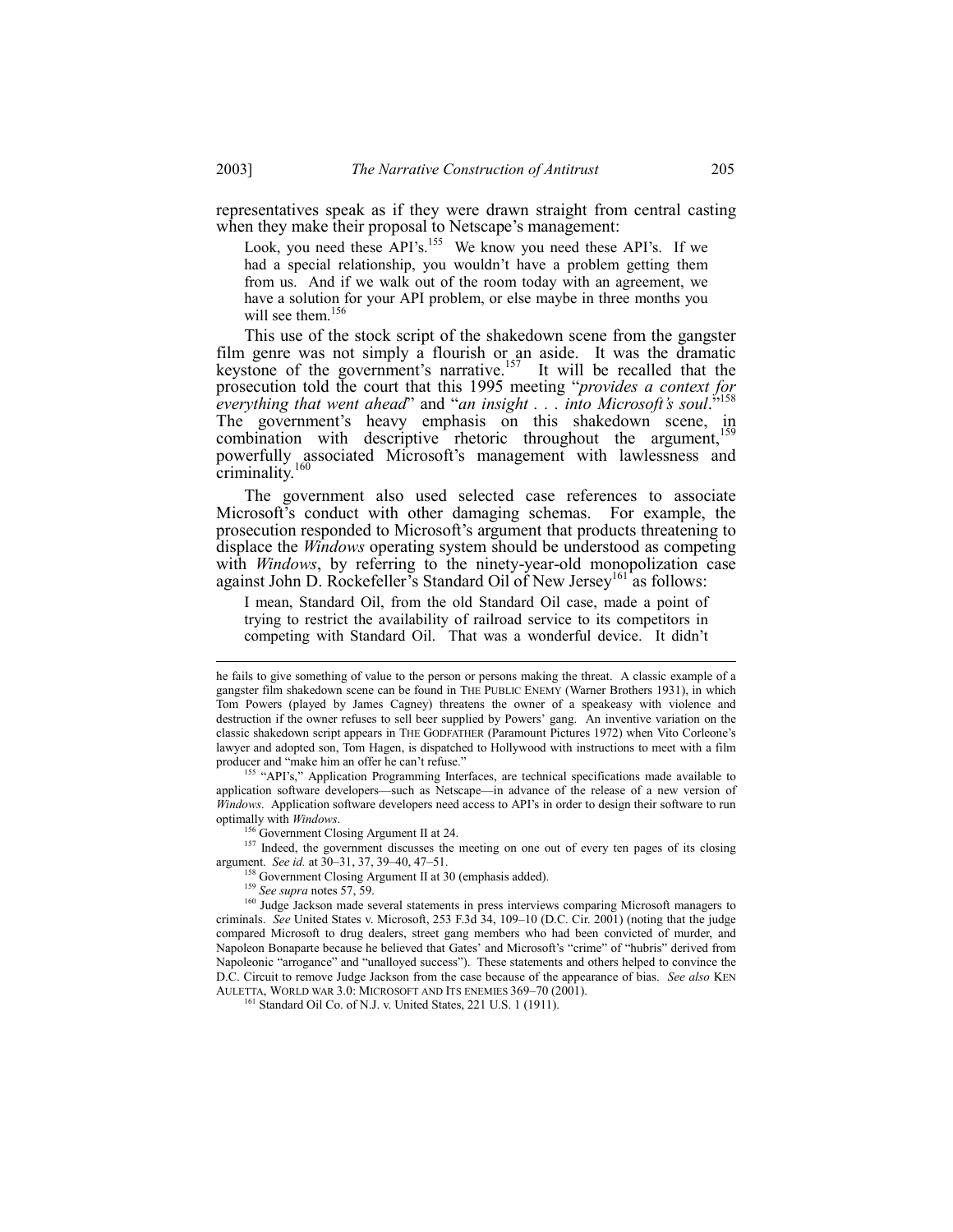representatives speak as if they were drawn straight from central casting when they make their proposal to Netscape's management:

Look, you need these API's.<sup>155</sup> We know you need these API's. If we had a special relationship, you wouldn't have a problem getting them from us. And if we walk out of the room today with an agreement, we have a solution for your API problem, or else maybe in three months you will see them.<sup>156</sup>

This use of the stock script of the shakedown scene from the gangster film genre was not simply a flourish or an aside. It was the dramatic keystone of the government's narrative.<sup>157</sup> It will be recalled that the prosecution told the court that this 1995 meeting *"provides a context for*<br>prosecution told the court that this 1995 meeting *"provides a context for everything that went ahead*" and "*an insight . . . into Microsoft's soul.*" The government's heavy emphasis on this shakedown scene, in combination with descriptive rhetoric throughout the argument,<sup>159</sup> powerfully associated Microsoft's management with lawlessness and criminality. $16$ 

The government also used selected case references to associate Microsoft's conduct with other damaging schemas. For example, the prosecution responded to Microsoft's argument that products threatening to displace the *Windows* operating system should be understood as competing with *Windows*, by referring to the ninety-year-old monopolization case against John D. Rockefeller's Standard Oil of New Jersey<sup>161</sup> as follows:

I mean, Standard Oil, from the old Standard Oil case, made a point of trying to restrict the availability of railroad service to its competitors in competing with Standard Oil. That was a wonderful device. It didn't

<sup>56</sup> Government Closing Argument II at 24.

<sup>157</sup> Indeed, the government discusses the meeting on one out of every ten pages of its closing argument. *See id.* at 30-31, 37, 39-40, 47-51.

Government Closing Argument II at 30 (emphasis added).

he fails to give something of value to the person or persons making the threat.A classic example of a gangster film shakedown scene can be found in THE PUBLIC ENEMY (Warner Brothers 1931), in which Tom Powers (played by James Cagney) threatens the owner of a speakeasy with violence and destruction if the owner refuses to sell beer supplied by Powers' gang. An inventive variation on the classic shakedown script appears in THE GODFATHER (Paramount Pictures 1972) when Vito Corleoneís lawyer and adopted son, Tom Hagen, is dispatched to Hollywood with instructions to meet with a film producer and "make him an offer he can't refuse."

<sup>&</sup>lt;sup>1</sup> "API's," Application Programming Interfaces, are technical specifications made available to application software developers—such as Netscape—in advance of the release of a new version of *Windows*. Application software developers need access to API's in order to design their software to run optimally with *Windows*.

<sup>159</sup> *See supra* notes 57, 59.

<sup>&</sup>lt;sup>160</sup> Judge Jackson made several statements in press interviews comparing Microsoft managers to criminals. *See* United States v. Microsoft, 253 F.3d 34, 109-10 (D.C. Cir. 2001) (noting that the judge compared Microsoft to drug dealers, street gang members who had been convicted of murder, and Napoleon Bonaparte because he believed that Gates' and Microsoft's "crime" of "hubris" derived from Napoleonic "arrogance" and "unalloyed success"). These statements and others helped to convince the D.C. Circuit to remove Judge Jackson from the case because of the appearance of bias. *See also* KEN AULETTA, WORLD WAR 3.0: MICROSOFT AND ITS ENEMIES 369-70 (2001).

<sup>161</sup> Standard Oil Co. of N.J. v. United States, 221 U.S. 1 (1911).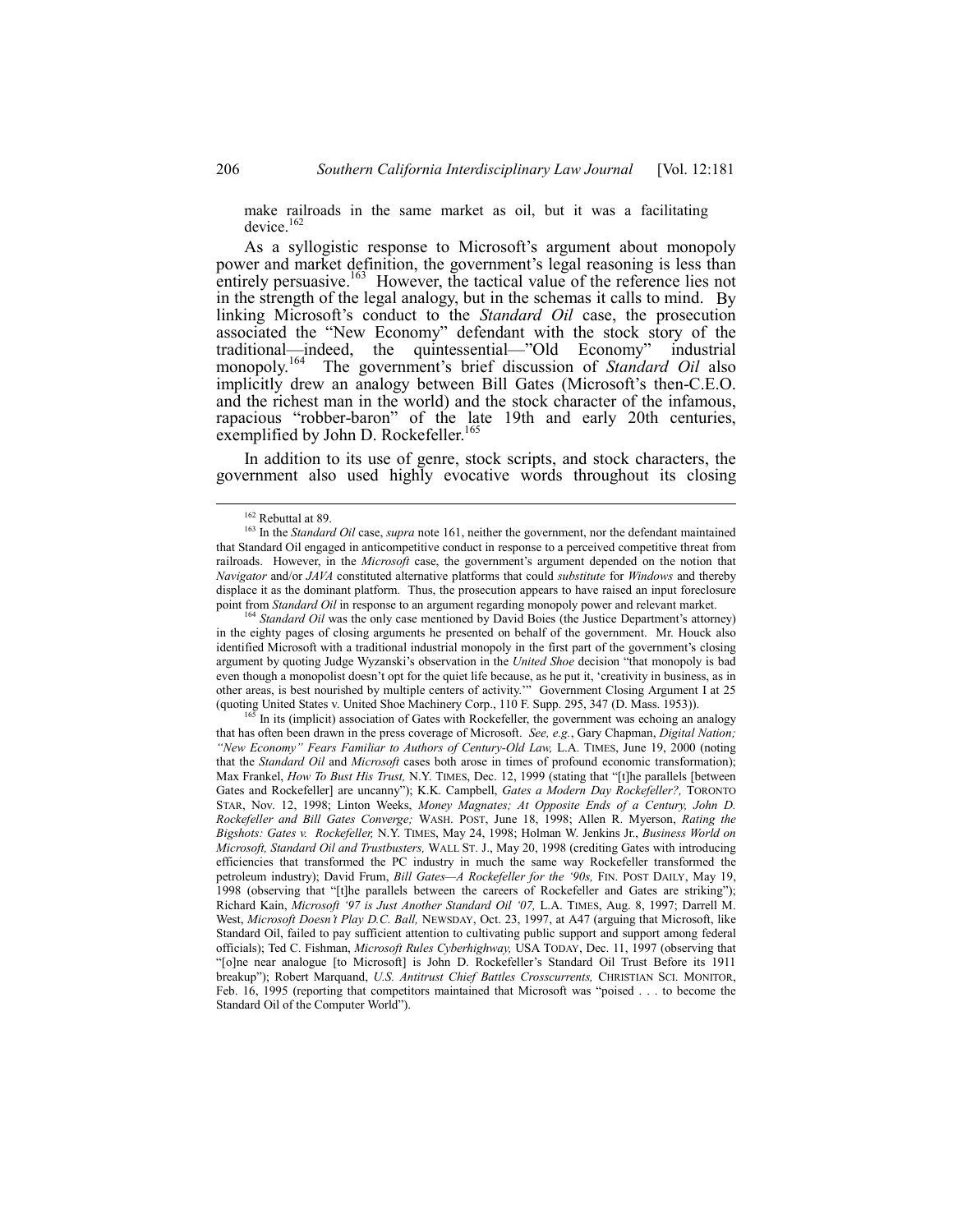make railroads in the same market as oil, but it was a facilitating device.<sup>162</sup>

As a syllogistic response to Microsoft's argument about monopoly power and market definition, the government's legal reasoning is less than entirely persuasive.<sup>163</sup> However, the tactical value of the reference lies not in the strength of the legal analogy, but in the schemas it calls to mind. By linking Microsoft's conduct to the *Standard Oil* case, the prosecution associated the "New Economy" defendant with the stock story of the traditional—indeed, the quintessential—"Old Economy" industrial monopoly.<sup>164</sup> The government's brief discussion of *Standard Oil* also implicitly drew an analogy between Bill Gates (Microsoft's then-C.E.O. and the richest man in the world) and the stock character of the infamous, rapacious "robber-baron" of the late 19th and early 20th centuries, exemplified by John D. Rockefeller.<sup>165</sup>

In addition to its use of genre, stock scripts, and stock characters, the government also used highly evocative words throughout its closing

<sup>1</sup> *Standard Oil* was the only case mentioned by David Boies (the Justice Department's attorney) in the eighty pages of closing arguments he presented on behalf of the government. Mr. Houck also identified Microsoft with a traditional industrial monopoly in the first part of the government's closing argument by quoting Judge Wyzanski's observation in the *United Shoe* decision "that monopoly is bad even though a monopolist doesn't opt for the quiet life because, as he put it, 'creativity in business, as in other areas, is best nourished by multiple centers of activity." Government Closing Argument I at 25 (quoting United States v. United Shoe Machinery Corp., 110 F. Supp. 295, 347 (D. Mass. 1953)).

165 In its (implicit) association of Gates with Rockefeller, the government was echoing an analogy that has often been drawn in the press coverage of Microsoft. *See, e.g.*, Gary Chapman, *Digital Nation; ìNew Economyî Fears Familiar to Authors of Century-Old Law,* L.A. TIMES, June 19, 2000 (noting that the *Standard Oil* and *Microsoft* cases both arose in times of profound economic transformation); Max Frankel, *How To Bust His Trust*, N.Y. TIMES, Dec. 12, 1999 (stating that "[t]he parallels [between Gates and Rockefeller] are uncannyî); K.K. Campbell, *Gates a Modern Day Rockefeller?,* TORONTO STAR, Nov. 12, 1998; Linton Weeks, *Money Magnates; At Opposite Ends of a Century, John D. Rockefeller and Bill Gates Converge;* WASH. POST, June 18, 1998; Allen R. Myerson, *Rating the Bigshots: Gates v. Rockefeller,* N.Y. TIMES, May 24, 1998; Holman W. Jenkins Jr., *Business World on Microsoft, Standard Oil and Trustbusters,* WALL ST. J., May 20, 1998 (crediting Gates with introducing efficiencies that transformed the PC industry in much the same way Rockefeller transformed the petroleum industry); David Frum, *Bill Gates—A Rockefeller for the '90s*, FIN. POST DAILY, May 19, 1998 (observing that "[t]he parallels between the careers of Rockefeller and Gates are striking"); Richard Kain, *Microsoft ë97 is Just Another Standard Oil ë07,* L.A. TIMES, Aug. 8, 1997; Darrell M. West, *Microsoft Doesnít Play D.C. Ball,* NEWSDAY, Oct. 23, 1997, at A47 (arguing that Microsoft, like Standard Oil, failed to pay sufficient attention to cultivating public support and support among federal officials); Ted C. Fishman, *Microsoft Rules Cyberhighway,* USA TODAY, Dec. 11, 1997 (observing that ì[o]ne near analogue [to Microsoft] is John D. Rockefellerís Standard Oil Trust Before its 1911 breakup"); Robert Marquand, *U.S. Antitrust Chief Battles Crosscurrents*, CHRISTIAN SCI. MONITOR, Feb. 16, 1995 (reporting that competitors maintained that Microsoft was "poised . . . to become the Standard Oil of the Computer World").

<sup>&</sup>lt;sup>162</sup> Rebuttal at 89.

<sup>163</sup> In the *Standard Oil* case, *supra* note 161, neither the government, nor the defendant maintained that Standard Oil engaged in anticompetitive conduct in response to a perceived competitive threat from railroads. However, in the *Microsoft* case, the government's argument depended on the notion that *Navigator* and/or *JAVA* constituted alternative platforms that could *substitute* for *Windows* and thereby displace it as the dominant platform. Thus, the prosecution appears to have raised an input foreclosure point from *Standard Oil* in response to an argument regarding monopoly power and relevant market.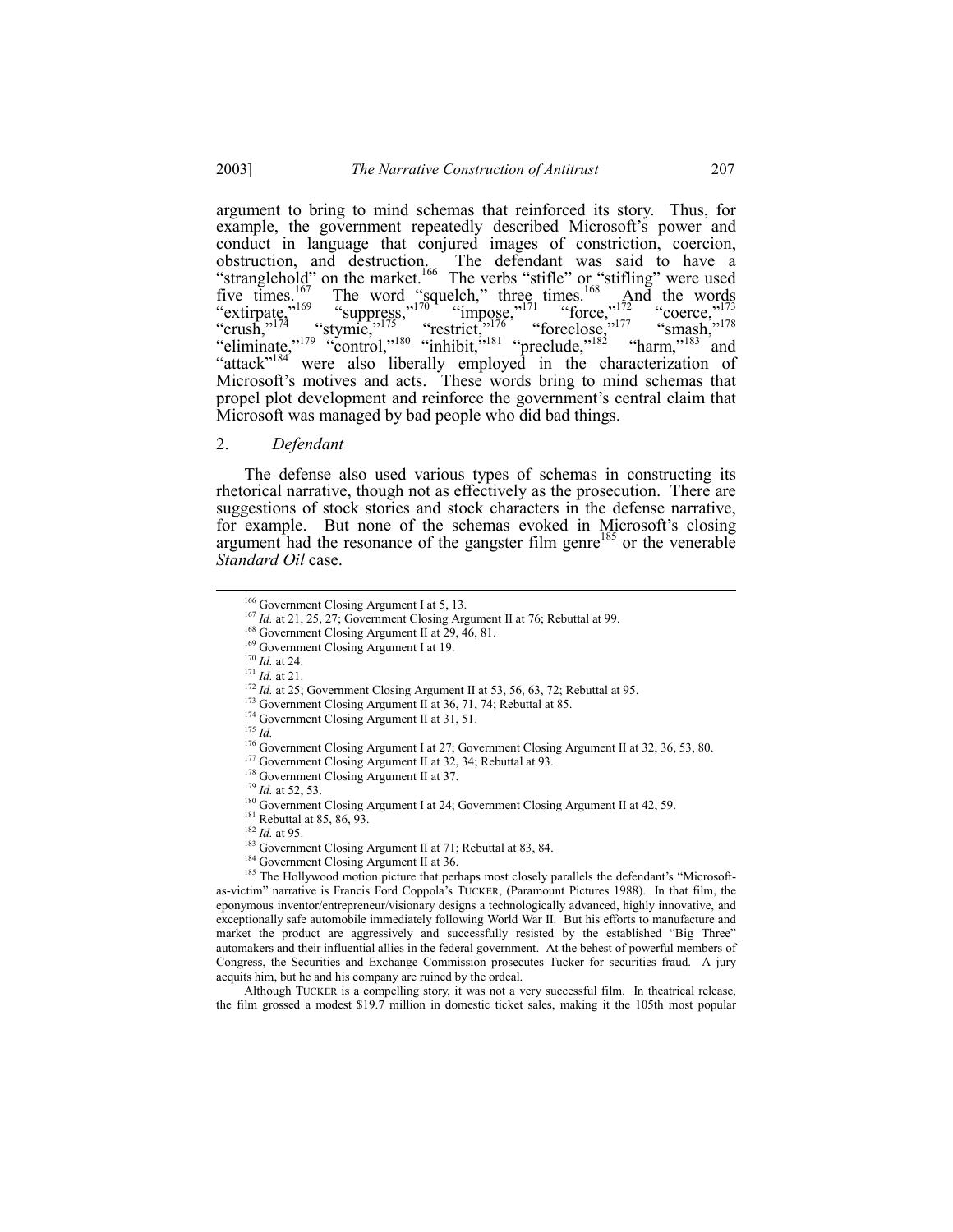argument to bring to mind schemas that reinforced its story. Thus, for example, the government repeatedly described Microsoft's power and conduct in language that conjured images of constriction, coercion, obstruction, and destruction. The defendant was said to have a "stranglehold?" on the market.<sup>166</sup> The verbs "stifle" or "stifling" were used five times.<sup>167</sup> The word "squelch," three times.<sup>168</sup> And the words "extirpate,<sup> $\frac{169}{123}$ </sup> "suppress, $\frac{170}{10}$  "impose, $\frac{171}{10}$  "force, $\frac{172}{12}$  "coerce, $\frac{173}{12}$ "crush," $^{174}$  "stymie," $^{175}$ " restrict, $^{175}$ " foreclose," $^{177}$  "smash," $^{178}$ "eliminate,"<sup>179</sup> "control,"<sup>180</sup> "inhibit,  $i^{181}$  "preclude,"<sup>182</sup> "harm,"<sup>183</sup> and "attack"<sup>184</sup> were also liberally employed in the characterization of Microsoft's motives and acts. These words bring to mind schemas that propel plot development and reinforce the government's central claim that Microsoft was managed by bad people who did bad things.

# 2. *Defendant*

The defense also used various types of schemas in constructing its rhetorical narrative, though not as effectively as the prosecution. There are suggestions of stock stories and stock characters in the defense narrative, for example. But none of the schemas evoked in Microsoft's closing argument had the resonance of the gangster film genre<sup>185</sup> or the venerable *Standard Oil* case.

<sup>173</sup> Government Closing Argument II at 36, 71, 74; Rebuttal at 85.

<sup>175</sup> *Id.*

Although TUCKER is a compelling story, it was not a very successful film. In theatrical release, the film grossed a modest \$19.7 million in domestic ticket sales, making it the 105th most popular

<sup>&</sup>lt;sup>166</sup> Government Closing Argument I at 5, 13.

<sup>&</sup>lt;sup>167</sup> *Id.* at 21, 25, 27; Government Closing Argument II at 76; Rebuttal at 99.

<sup>&</sup>lt;sup>168</sup> Government Closing Argument II at 29, 46, 81.

<sup>169</sup> Government Closing Argument I at 19. <sup>170</sup> *Id.* at 24.

<sup>171</sup> *Id.* at 21.

<sup>&</sup>lt;sup>172</sup> *Id.* at 25; Government Closing Argument II at 53, 56, 63, 72; Rebuttal at 95.

<sup>&</sup>lt;sup>174</sup> Government Closing Argument II at 31, 51.

<sup>&</sup>lt;sup>176</sup> Government Closing Argument I at 27; Government Closing Argument II at 32, 36, 53, 80.

<sup>&</sup>lt;sup>177</sup> Government Closing Argument II at 32, 34; Rebuttal at 93.

<sup>&</sup>lt;sup>178</sup> Government Closing Argument II at 37.

<sup>179</sup> *Id.* at 52, 53.

<sup>&</sup>lt;sup>180</sup> Government Closing Argument I at 24; Government Closing Argument II at 42, 59.

 $181$  Rebuttal at 85, 86, 93.

<sup>182</sup> *Id.* at 95.

<sup>&</sup>lt;sup>183</sup> Government Closing Argument II at 71; Rebuttal at 83, 84.

<sup>&</sup>lt;sup>184</sup> Government Closing Argument II at 36.

<sup>&</sup>lt;sup>185</sup> The Hollywood motion picture that perhaps most closely parallels the defendant's "Microsoftas-victim" narrative is Francis Ford Coppola's TUCKER, (Paramount Pictures 1988). In that film, the eponymous inventor/entrepreneur/visionary designs a technologically advanced, highly innovative, and exceptionally safe automobile immediately following World War II. But his efforts to manufacture and market the product are aggressively and successfully resisted by the established "Big Three" automakers and their influential allies in the federal government. At the behest of powerful members of Congress, the Securities and Exchange Commission prosecutes Tucker for securities fraud. A jury acquits him, but he and his company are ruined by the ordeal.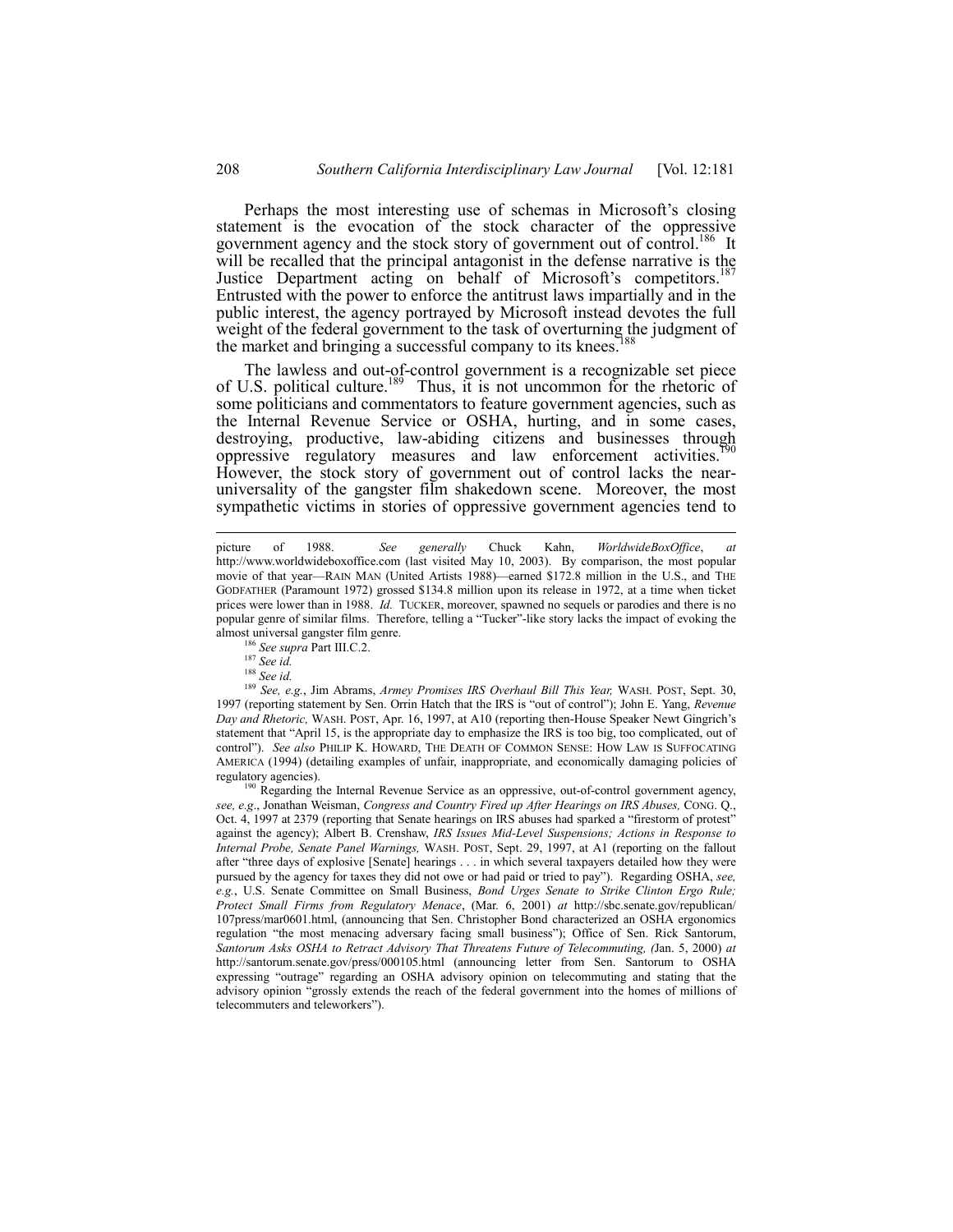Perhaps the most interesting use of schemas in Microsoft's closing statement is the evocation of the stock character of the oppressive government agency and the stock story of government out of control.<sup>186</sup> It will be recalled that the principal antagonist in the defense narrative is the Justice Department acting on behalf of Microsoft's competitors.<sup>187</sup> Entrusted with the power to enforce the antitrust laws impartially and in the public interest, the agency portrayed by Microsoft instead devotes the full weight of the federal government to the task of overturning the judgment of the market and bringing a successful company to its knees.

The lawless and out-of-control government is a recognizable set piece of U.S. political culture.<sup>189</sup> Thus, it is not uncommon for the rhetoric of some politicians and commentators to feature government agencies, such as the Internal Revenue Service or OSHA, hurting, and in some cases, destroying, productive, law-abiding citizens and businesses through oppressive regulatory measures and law enforcement activities. $\frac{1}{2}$ However, the stock story of government out of control lacks the nearuniversality of the gangster film shakedown scene. Moreover, the most sympathetic victims in stories of oppressive government agencies tend to

<sup>189</sup> *See, e.g.*, Jim Abrams, *Armey Promises IRS Overhaul Bill This Year,* WASH. POST, Sept. 30, 1997 (reporting statement by Sen. Orrin Hatch that the IRS is "out of control"); John E. Yang, *Revenue* Day and Rhetoric, WASH. POST, Apr. 16, 1997, at A10 (reporting then-House Speaker Newt Gingrich's statement that "April 15, is the appropriate day to emphasize the IRS is too big, too complicated, out of controlî). *See also* PHILIP K. HOWARD, THE DEATH OF COMMON SENSE: HOW LAW IS SUFFOCATING AMERICA (1994) (detailing examples of unfair, inappropriate, and economically damaging policies of regulatory agencies).

 $<sup>9</sup>$  Regarding the Internal Revenue Service as an oppressive, out-of-control government agency,</sup> *see, e.g*., Jonathan Weisman, *Congress and Country Fired up After Hearings on IRS Abuses,* CONG. Q., Oct. 4, 1997 at 2379 (reporting that Senate hearings on IRS abuses had sparked a "firestorm of protest" against the agency); Albert B. Crenshaw, *IRS Issues Mid-Level Suspensions; Actions in Response to Internal Probe, Senate Panel Warnings,* WASH. POST, Sept. 29, 1997, at A1 (reporting on the fallout after "three days of explosive [Senate] hearings . . . in which several taxpayers detailed how they were pursued by the agency for taxes they did not owe or had paid or tried to payî). Regarding OSHA, *see, e.g.*, U.S. Senate Committee on Small Business, *Bond Urges Senate to Strike Clinton Ergo Rule; Protect Small Firms from Regulatory Menace*, (Mar. 6, 2001) *at* http://sbc.senate.gov/republican/ 107press/mar0601.html, (announcing that Sen. Christopher Bond characterized an OSHA ergonomics regulation "the most menacing adversary facing small business"); Office of Sen. Rick Santorum, *Santorum Asks OSHA to Retract Advisory That Threatens Future of Telecommuting, (*Jan. 5, 2000) *at* http://santorum.senate.gov/press/000105.html (announcing letter from Sen. Santorum to OSHA expressing "outrage" regarding an OSHA advisory opinion on telecommuting and stating that the advisory opinion "grossly extends the reach of the federal government into the homes of millions of telecommuters and teleworkers").

picture of 1988. *See generally* Chuck Kahn, *WorldwideBoxOffice*, *at* http://www.worldwideboxoffice.com (last visited May 10, 2003). By comparison, the most popular movie of that year—RAIN MAN (United Artists 1988)—earned \$172.8 million in the U.S., and THE GODFATHER (Paramount 1972) grossed \$134.8 million upon its release in 1972, at a time when ticket prices were lower than in 1988. *Id.* TUCKER, moreover, spawned no sequels or parodies and there is no popular genre of similar films. Therefore, telling a "Tucker"-like story lacks the impact of evoking the almost universal gangster film genre.

<sup>186</sup> *See supra* Part III.C.2.

<sup>187</sup> *See id.*

<sup>188</sup> *See id.*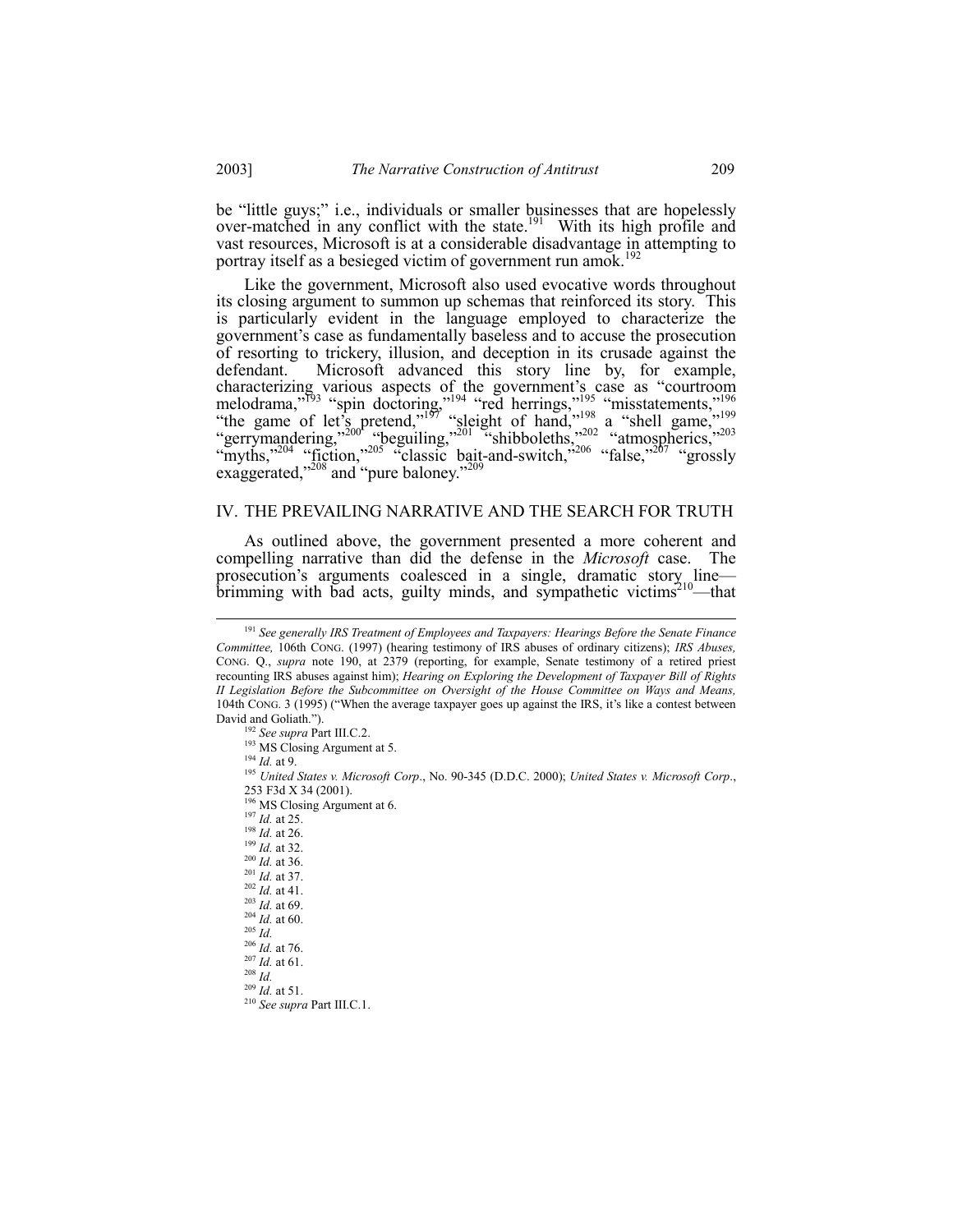be "little guys;" i.e., individuals or smaller businesses that are hopelessly over-matched in any conflict with the state.<sup>[9]</sup> With its high profile and vast resources. Microsoft is at a considerable disadvantage in attempting to portray itself as a besieged victim of government run amok.<sup>192</sup>

Like the government, Microsoft also used evocative words throughout its closing argument to summon up schemas that reinforced its story. This is particularly evident in the language employed to characterize the government's case as fundamentally baseless and to accuse the prosecution of resorting to trickery, illusion, and deception in its crusade against the Microsoft advanced this story line by, for example, defendant. detendant. Microsoft advanced this story line by, for example,<br>characterizing various aspects of the government's case as "courtroom<br>melodrama,"<sup>193</sup> "spin doctoring,"<sup>194</sup> "red herrings,"<sup>195</sup> "misstatements,"<sup>196</sup><br>"the

### IV. THE PREVAILING NARRATIVE AND THE SEARCH FOR TRUTH

As outlined above, the government presented a more coherent and compelling narrative than did the defense in the *Microsoft* case. The prosecution's arguments coalesced in a single, dramatic story line brimming with bad acts, guilty minds, and sympathetic victims<sup>210</sup>—that

 $^{209}$  *Id.* at 51.

<sup>&</sup>lt;sup>191</sup> See generally IRS Treatment of Employees and Taxpayers: Hearings Before the Senate Finance Committee, 106th CONG. (1997) (hearing testimony of IRS abuses of ordinary citizens); IRS Abuses, CONG. Q., *supra* note 190, at 2379 (reporting, for example, Senate testimony of a retired priest recounting IRS abuses against him); Hearing on Exploring the Development of Taxpayer Bill of Rights II Legislation Before the Subcommittee on Oversight of the House Committee on Ways and Means, 104th CONG. 3 (1995) ("When the average taxpayer goes up against the IRS, it's like a contest between David and Goliath.").

<sup>&</sup>lt;sup>192</sup> See supra Part III.C.2.

<sup>&</sup>lt;sup>193</sup> MS Closing Argument at 5.

 $194$  *Id.* at 9.

<sup>&</sup>lt;sup>195</sup> United States v. Microsoft Corp., No. 90-345 (D.D.C. 2000); United States v. Microsoft Corp., 253 F3d X 34 (2001).

<sup>&</sup>lt;sup>196</sup> MS Closing Argument at 6.

 $197$  *Id.* at 25.

 $198$  *Id.* at 26.

 $199$  *Id.* at 32.

 $^{200}$  *Id.* at 36.

 $^{201}$  *Id.* at 37.  $^{202}$  *Id.* at 41.

 $^{203}$  *Id.* at 69.

 $^{204}$  *Id.* at 60.

 $^{205}$  *Id.* 

 $^{206}$  *Id.* at 76.

 $^{207}$  *Id.* at 61.

 $^{208}\dot{Id}.$ 

 $210$  See supra Part III.C.1.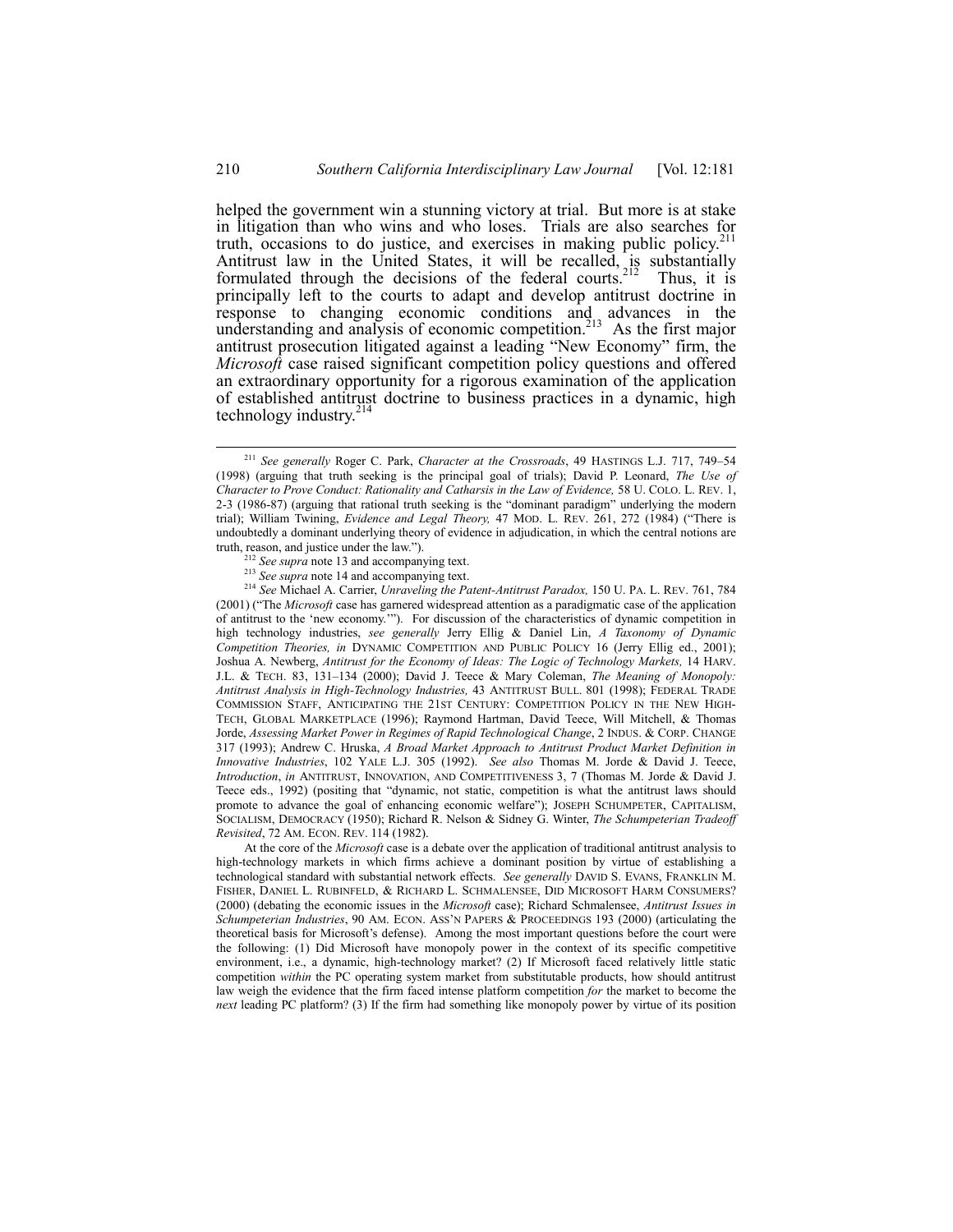helped the government win a stunning victory at trial. But more is at stake in litigation than who wins and who loses. Trials are also searches for truth, occasions to do justice, and exercises in making public policy.<sup>211</sup> Antitrust law in the United States, it will be recalled, is substantially formulated through the decisions of the federal courts.<sup>212</sup> Thus, it is principally left to the courts to adapt and develop antitrust doctrine in response to changing economic conditions and advances in the understanding and analysis of economic competition.<sup>213</sup> As the first major antitrust prosecution litigated against a leading "New Economy" firm, the *Microsoft* case raised significant competition policy questions and offered an extraordinary opportunity for a rigorous examination of the application of established antitrust doctrine to business practices in a dynamic, high technology industry. $214$ 

<sup>214</sup> *See* Michael A. Carrier, *Unraveling the Patent-Antitrust Paradox,* 150 U. PA. L. REV. 761, 784  $(2001)$  ( $\text{``The Microsoft case has garnered widespread attention as a paradigmatic case of the application}$ ) of antitrust to the 'new economy.'"). For discussion of the characteristics of dynamic competition in high technology industries, *see generally* Jerry Ellig & Daniel Lin, *A Taxonomy of Dynamic Competition Theories, in* DYNAMIC COMPETITION AND PUBLIC POLICY 16 (Jerry Ellig ed., 2001); Joshua A. Newberg, *Antitrust for the Economy of Ideas: The Logic of Technology Markets,* 14 HARV. J.L. & TECH. 83, 131-134 (2000); David J. Teece & Mary Coleman, *The Meaning of Monopoly: Antitrust Analysis in High-Technology Industries,* 43 ANTITRUST BULL. 801 (1998); FEDERAL TRADE COMMISSION STAFF, ANTICIPATING THE 21ST CENTURY: COMPETITION POLICY IN THE NEW HIGH-TECH, GLOBAL MARKETPLACE (1996); Raymond Hartman, David Teece, Will Mitchell, & Thomas Jorde, *Assessing Market Power in Regimes of Rapid Technological Change*, 2 INDUS. & CORP. CHANGE 317 (1993); Andrew C. Hruska, *A Broad Market Approach to Antitrust Product Market Definition in Innovative Industries*, 102 YALE L.J. 305 (1992). *See also* Thomas M. Jorde & David J. Teece, *Introduction*, *in* ANTITRUST, INNOVATION, AND COMPETITIVENESS 3, 7 (Thomas M. Jorde & David J. Teece eds., 1992) (positing that "dynamic, not static, competition is what the antitrust laws should promote to advance the goal of enhancing economic welfareî); JOSEPH SCHUMPETER, CAPITALISM, SOCIALISM, DEMOCRACY (1950); Richard R. Nelson & Sidney G. Winter, *The Schumpeterian Tradeoff Revisited*, 72 AM. ECON. REV. 114 (1982).

At the core of the *Microsoft* case is a debate over the application of traditional antitrust analysis to high-technology markets in which firms achieve a dominant position by virtue of establishing a technological standard with substantial network effects. *See generally* DAVID S. EVANS, FRANKLIN M. FISHER, DANIEL L. RUBINFELD, & RICHARD L. SCHMALENSEE, DID MICROSOFT HARM CONSUMERS? (2000) (debating the economic issues in the *Microsoft* case); Richard Schmalensee, *Antitrust Issues in Schumpeterian Industries*, 90 AM. ECON. ASS'N PAPERS & PROCEEDINGS 193 (2000) (articulating the theoretical basis for Microsoft's defense). Among the most important questions before the court were the following: (1) Did Microsoft have monopoly power in the context of its specific competitive environment, i.e., a dynamic, high-technology market? (2) If Microsoft faced relatively little static competition *within* the PC operating system market from substitutable products, how should antitrust law weigh the evidence that the firm faced intense platform competition *for* the market to become the *next* leading PC platform? (3) If the firm had something like monopoly power by virtue of its position

<sup>&</sup>lt;sup>211</sup> See generally Roger C. Park, *Character at the Crossroads*, 49 HASTINGS L.J. 717, 749-54 (1998) (arguing that truth seeking is the principal goal of trials); David P. Leonard, *The Use of Character to Prove Conduct: Rationality and Catharsis in the Law of Evidence,* 58 U. COLO. L. REV. 1, 2-3 (1986-87) (arguing that rational truth seeking is the "dominant paradigm" underlying the modern trial); William Twining, *Evidence and Legal Theory*, 47 Mod. L. REV. 261, 272 (1984) ("There is undoubtedly a dominant underlying theory of evidence in adjudication, in which the central notions are truth, reason, and justice under the law.").

<sup>&</sup>lt;sup>2</sup> *See supra* note 13 and accompanying text.

<sup>&</sup>lt;sup>213</sup> *See supra* note 14 and accompanying text.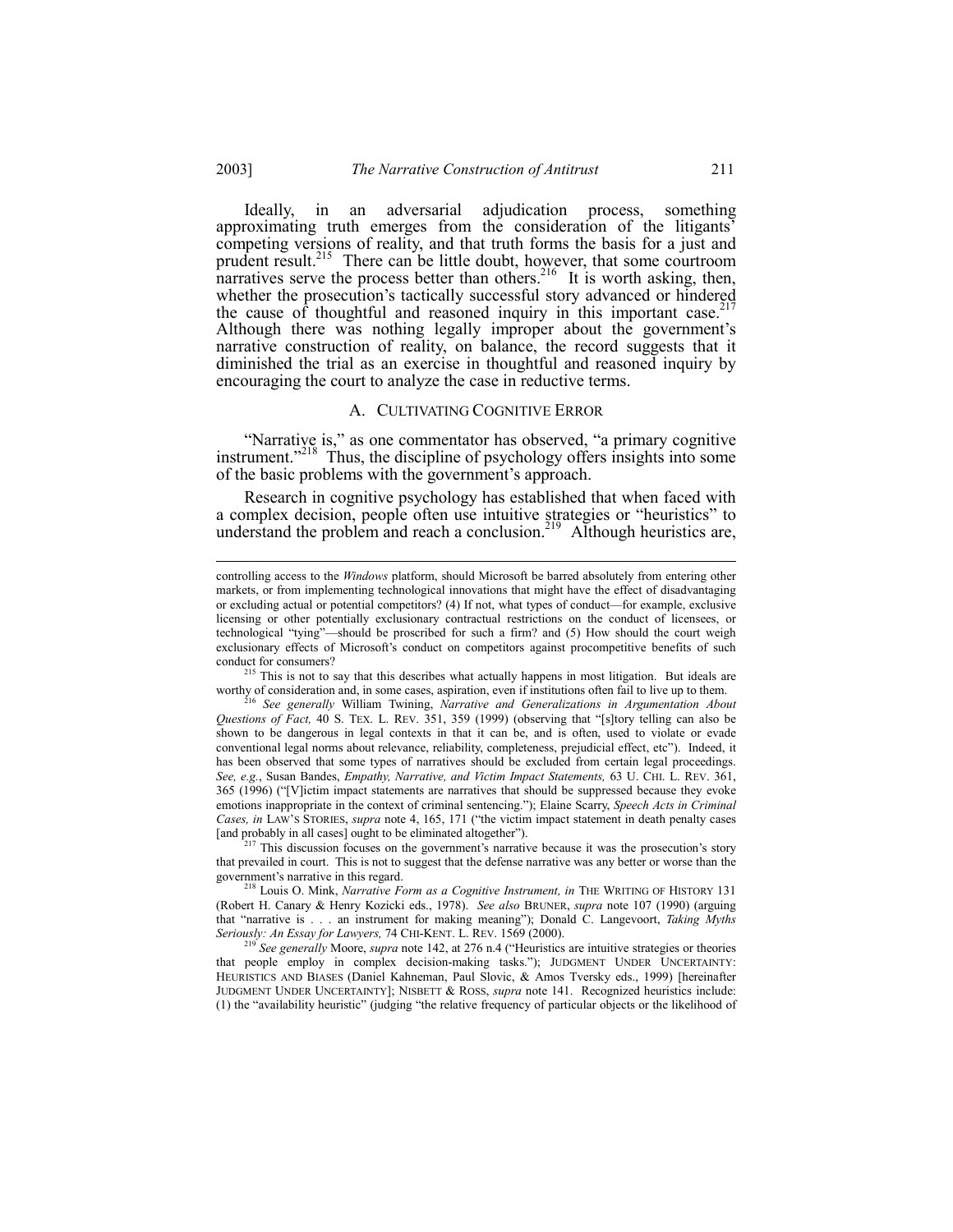Ideally, in an adversarial adjudication process, something approximating truth emerges from the consideration of the litigants' competing versions of reality, and that truth forms the basis for a just and prudent result.<sup>215</sup> There can be little doubt, however, that some courtroom narratives serve the process better than others.<sup>216</sup> It is worth asking, then, whether the prosecution's tactically successful story advanced or hindered the cause of thoughtful and reasoned inquiry in this important case. Although there was nothing legally improper about the government's narrative construction of reality, on balance, the record suggests that it diminished the trial as an exercise in thoughtful and reasoned inquiry by encouraging the court to analyze the case in reductive terms.

#### A. CULTIVATING COGNITIVE ERROR

"Narrative is," as one commentator has observed, "a primary cognitive instrument."<sup>218</sup> Thus, the discipline of psychology offers insights into some of the basic problems with the government's approach.

Research in cognitive psychology has established that when faced with a complex decision, people often use intuitive strategies or "heuristics" to understand the problem and reach a conclusion.<sup>219</sup> Although heuristics are,

This is not to say that this describes what actually happens in most litigation. But ideals are worthy of consideration and, in some cases, aspiration, even if institutions often fail to live up to them.

<sup>216</sup> See generally William Twining, Narrative and Generalizations in Argumentation About Questions of Fact, 40 S. TEX. L. REV. 351, 359 (1999) (observing that "[s]tory telling can also be shown to be dangerous in legal contexts in that it can be, and is often, used to violate or evade conventional legal norms about relevance, reliability, completeness, prejudicial effect, etc"). Indeed, it has been observed that some types of narratives should be excluded from certain legal proceedings. See, e.g., Susan Bandes, Empathy, Narrative, and Victim Impact Statements, 63 U. CHI. L. REV. 361, 365 (1996) ("[V]ictim impact statements are narratives that should be suppressed because they evoke emotions inappropriate in the context of criminal sentencing."); Elaine Scarry, Speech Acts in Criminal Cases, in LAW'S STORIES, supra note 4, 165, 171 ("the victim impact statement in death penalty cases [and probably in all cases] ought to be eliminated altogether").

<sup>217</sup> This discussion focuses on the government's narrative because it was the prosecution's story that prevailed in court. This is not to suggest that the defense narrative was any better or worse than the government's narrative in this regard.

<sup>218</sup> Louis O. Mink, Narrative Form as a Cognitive Instrument, in THE WRITING OF HISTORY 131 (Robert H. Canary & Henry Kozicki eds., 1978). See also BRUNER, supra note 107 (1990) (arguing that "narrative is . . . an instrument for making meaning"); Donald C. Langevoort, Taking Myths Seriously: An Essay for Lawyers, 74 CHI-KENT. L. REV. 1569 (2000).

<sup>219</sup> See generally Moore, supra note 142, at 276 n.4 ("Heuristics are intuitive strategies or theories that people employ in complex decision-making tasks."); JUDGMENT UNDER UNCERTAINTY: HEURISTICS AND BIASES (Daniel Kahneman, Paul Slovic, & Amos Tversky eds., 1999) [hereinafter JUDGMENT UNDER UNCERTAINTY]; NISBETT & ROSS, *supra* note 141. Recognized heuristics include: (1) the "availability heuristic" (judging "the relative frequency of particular objects or the likelihood of

2003]

controlling access to the Windows platform, should Microsoft be barred absolutely from entering other markets, or from implementing technological innovations that might have the effect of disadvantaging or excluding actual or potential competitors? (4) If not, what types of conduct—for example, exclusive licensing or other potentially exclusionary contractual restrictions on the conduct of licensees, or technological "tying"—should be proscribed for such a firm? and (5) How should the court weigh exclusionary effects of Microsoft's conduct on competitors against procompetitive benefits of such conduct for consumers?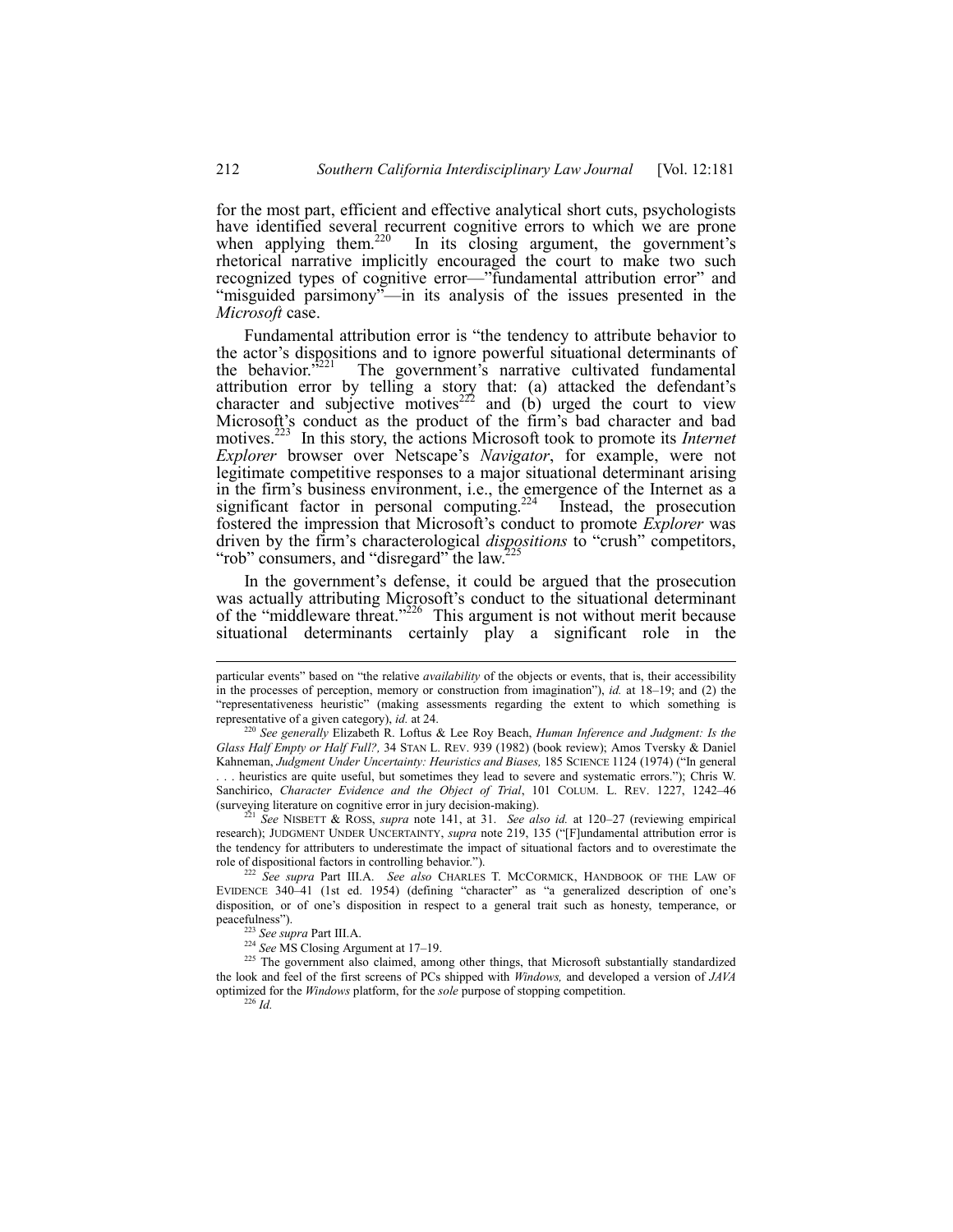for the most part, efficient and effective analytical short cuts, psychologists have identified several recurrent cognitive errors to which we are prone when applying them.<sup>220</sup> In its closing argument, the government's rhetorical narrative implicitly encouraged the court to make two such recognized types of cognitive error-"fundamental attribution error" and "misguided parsimony"—in its analysis of the issues presented in the Microsoft case.

Fundamental attribution error is "the tendency to attribute behavior to the actor's dispositions and to ignore powerful situational determinants of the behavior.<sup>3221</sup> The government's narrative cultivated fundamental attribution error by telling a story that: (a) attacked the defendant's character and subjective motives<sup>222</sup> and (b) urged the court to view Microsoft's conduct as the product of the firm's bad character and bad motives.<sup>223</sup> In this story, the actions Microsoft took to promote its *Internet Explorer* browser over Netscape's *Navigator*, for example, were not legitimate competitive responses to a major situational determinant arising in the firm's business environment, i.e., the emergence of the Internet as a significant factor in personal computing.<sup>224</sup> Instead, the prosecution fostered the impression that Microsoft's conduct to promote *Explorer* was driven by the firm's characterological *dispositions* to "crush" competitors, "rob" consumers, and "disregard" the law.<sup>2</sup>

In the government's defense, it could be argued that the prosecution was actually attributing Microsoft's conduct to the situational determinant of the "middleware threat."<sup>226</sup> This argument is not without merit because situational determinants certainly play a significant role in the

particular events" based on "the relative *availability* of the objects or events, that is, their accessibility in the processes of perception, memory or construction from imagination"), *id.* at  $18-19$ ; and (2) the "representativeness heuristic" (making assessments regarding the extent to which something is representative of a given category), id. at 24.

<sup>&</sup>lt;sup>220</sup> See generally Elizabeth R. Loftus & Lee Roy Beach, Human Inference and Judgment: Is the Glass Half Empty or Half Full?, 34 STAN L. REV. 939 (1982) (book review); Amos Tversky & Daniel Kahneman, Judgment Under Uncertainty: Heuristics and Biases, 185 SCIENCE 1124 (1974) ("In general .. heuristics are quite useful, but sometimes they lead to severe and systematic errors."); Chris W. Sanchirico, Character Evidence and the Object of Trial, 101 COLUM. L. REV. 1227, 1242-46 (surveying literature on cognitive error in jury decision-making).

 $^{221}$  See NISBETT & ROSS, supra note 141, at 31. See also id. at 120-27 (reviewing empirical research); JUDGMENT UNDER UNCERTAINTY, supra note 219, 135 ("[F]undamental attribution error is the tendency for attributers to underestimate the impact of situational factors and to overestimate the role of dispositional factors in controlling behavior.").

<sup>&</sup>lt;sup>222</sup> See supra Part III.A. See also CHARLES T. MCCORMICK, HANDBOOK OF THE LAW OF EVIDENCE 340-41 (1st ed. 1954) (defining "character" as "a generalized description of one's disposition, or of one's disposition in respect to a general trait such as honesty, temperance, or peacefulness").

<sup>&</sup>lt;sup>223</sup> See supra Part III.A.

<sup>&</sup>lt;sup>224</sup> See MS Closing Argument at 17–19.

<sup>&</sup>lt;sup>225</sup> The government also claimed, among other things, that Microsoft substantially standardized the look and feel of the first screens of PCs shipped with Windows, and developed a version of JAVA optimized for the Windows platform, for the sole purpose of stopping competition.  $^{226}$  *Id.*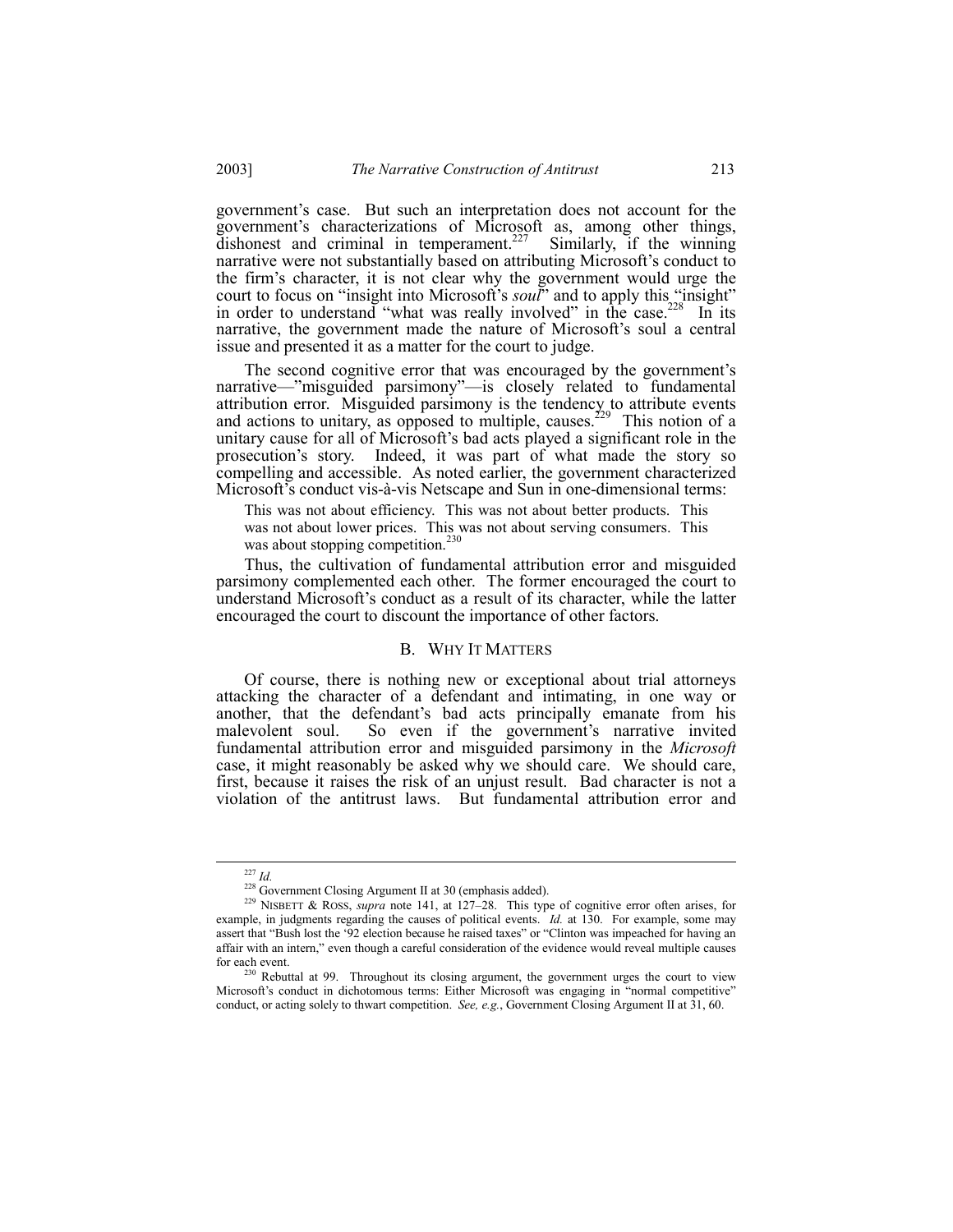governmentís case. But such an interpretation does not account for the government's characterizations of Microsoft as, among other things, dishonest and criminal in temperament.<sup>227</sup> Similarly, if the winning narrative were not substantially based on attributing Microsoft's conduct to the firmís character, it is not clear why the government would urge the court to focus on "insight into Microsoft's *soul*" and to apply this "insight" in order to understand "what was really involved" in the case.<sup>228</sup> In its narrative, the government made the nature of Microsoft's soul a central issue and presented it as a matter for the court to judge.

The second cognitive error that was encouraged by the government's narrative—"misguided parsimony"—is closely related to fundamental attribution error. Misguided parsimony is the tendency to attribute events and actions to unitary, as opposed to multiple, causes.<sup>229</sup> This notion of a unitary cause for all of Microsoft's bad acts played a significant role in the prosecutionís story. Indeed, it was part of what made the story so compelling and accessible. As noted earlier, the government characterized Microsoft's conduct vis-à-vis Netscape and Sun in one-dimensional terms:

This was not about efficiency. This was not about better products. This was not about lower prices. This was not about serving consumers. This was about stopping competition.<sup>230</sup>

Thus, the cultivation of fundamental attribution error and misguided parsimony complemented each other. The former encouraged the court to understand Microsoft's conduct as a result of its character, while the latter encouraged the court to discount the importance of other factors.

#### B. WHY IT MATTERS

Of course, there is nothing new or exceptional about trial attorneys attacking the character of a defendant and intimating, in one way or another, that the defendant's bad acts principally emanate from his malevolent soul. So even if the government's narrative invited fundamental attribution error and misguided parsimony in the *Microsoft* case, it might reasonably be asked why we should care. We should care, first, because it raises the risk of an unjust result. Bad character is not a violation of the antitrust laws. But fundamental attribution error and

 <sup>227</sup> *Id.*

<sup>&</sup>lt;sup>228</sup> Government Closing Argument II at 30 (emphasis added).

<sup>&</sup>lt;sup>229</sup> NISBETT & ROSS, *supra* note 141, at  $127-28$ . This type of cognitive error often arises, for example, in judgments regarding the causes of political events. *Id.* at 130. For example, some may assert that "Bush lost the '92 election because he raised taxes" or "Clinton was impeached for having an affair with an intern," even though a careful consideration of the evidence would reveal multiple causes for each event.

<sup>&</sup>lt;sup>230</sup> Rebuttal at 99. Throughout its closing argument, the government urges the court to view Microsoft's conduct in dichotomous terms: Either Microsoft was engaging in "normal competitive" conduct, or acting solely to thwart competition. *See, e.g.*, Government Closing Argument II at 31, 60.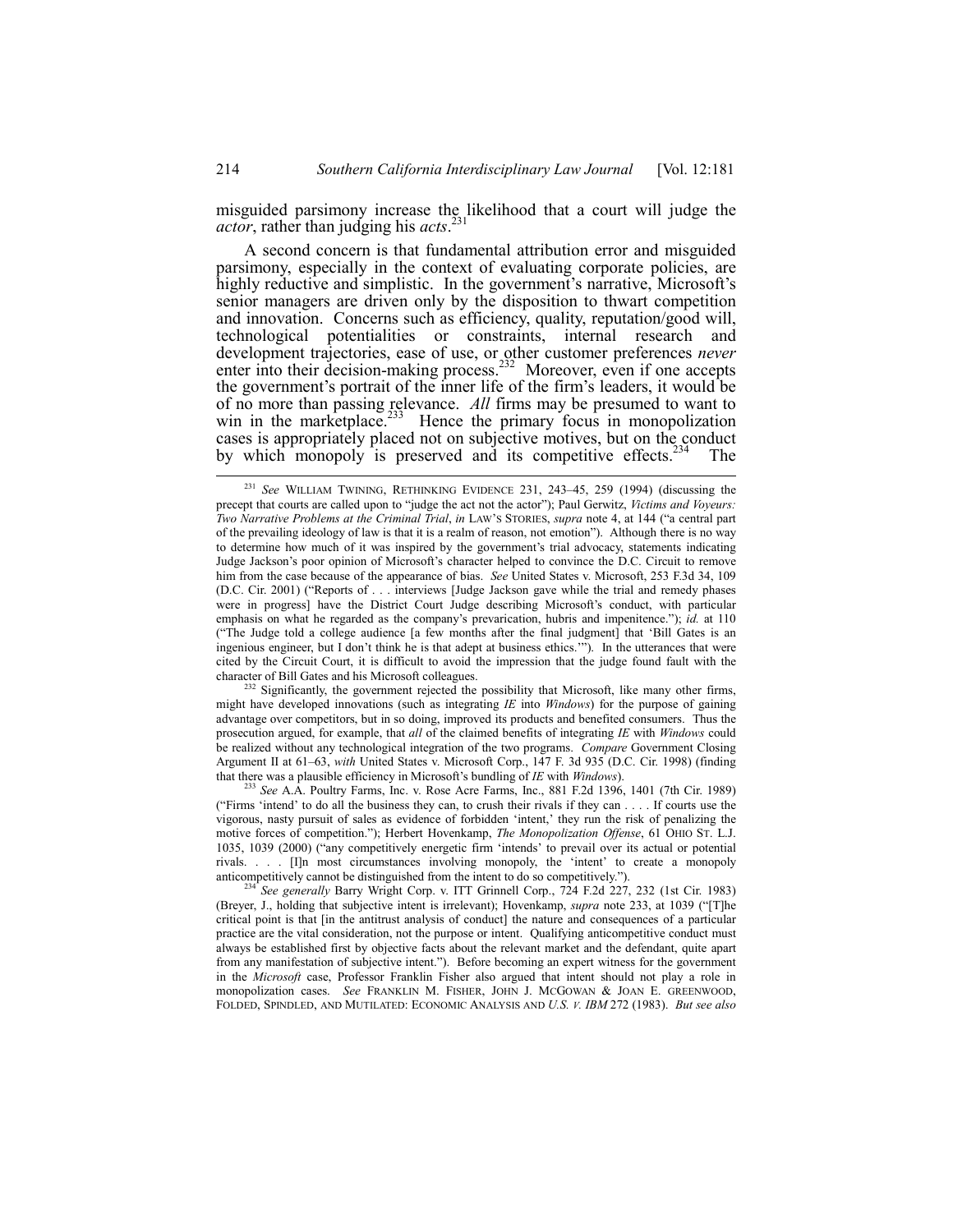misguided parsimony increase the likelihood that a court will judge the *actor*, rather than judging his *acts*. 231

A second concern is that fundamental attribution error and misguided parsimony, especially in the context of evaluating corporate policies, are highly reductive and simplistic. In the government's narrative, Microsoft's senior managers are driven only by the disposition to thwart competition and innovation. Concerns such as efficiency, quality, reputation/good will, technological potentialities or constraints, internal research and development trajectories, ease of use, or other customer preferences *never* enter into their decision-making process.<sup>232</sup> Moreover, even if one accepts the government's portrait of the inner life of the firm's leaders, it would be of no more than passing relevance. *All* firms may be presumed to want to win in the marketplace.<sup>233</sup> Hence the primary focus in monopolization cases is appropriately placed not on subjective motives, but on the conduct by which monopoly is preserved and its competitive effects.<sup>234</sup> The

 $^{232}$  Significantly, the government rejected the possibility that Microsoft, like many other firms, might have developed innovations (such as integrating *IE* into *Windows*) for the purpose of gaining advantage over competitors, but in so doing, improved its products and benefited consumers. Thus the prosecution argued, for example, that *all* of the claimed benefits of integrating *IE* with *Windows* could be realized without any technological integration of the two programs. *Compare* Government Closing Argument II at 61-63, *with* United States v. Microsoft Corp., 147 F. 3d 935 (D.C. Cir. 1998) (finding that there was a plausible efficiency in Microsoft's bundling of *IE* with *Windows*).

<sup>233</sup> *See* A.A. Poultry Farms, Inc. v. Rose Acre Farms, Inc., 881 F.2d 1396, 1401 (7th Cir. 1989) ("Firms 'intend' to do all the business they can, to crush their rivals if they can . . . . If courts use the vigorous, nasty pursuit of sales as evidence of forbidden 'intent,' they run the risk of penalizing the motive forces of competition.î); Herbert Hovenkamp, *The Monopolization Offense*, 61 OHIO ST. L.J. 1035, 1039 (2000) ("any competitively energetic firm 'intends' to prevail over its actual or potential rivals.  $\ldots$  [I]n most circumstances involving monopoly, the 'intent' to create a monopoly anticompetitively cannot be distinguished from the intent to do so competitively.").

 $231$  *See* WILLIAM TWINING, RETHINKING EVIDENCE 231, 243-45, 259 (1994) (discussing the precept that courts are called upon to "judge the act not the actor"); Paul Gerwitz, *Victims and Voyeurs: Two Narrative Problems at the Criminal Trial, in LAW'S STORIES, <i>supra* note 4, at 144 ("a central part of the prevailing ideology of law is that it is a realm of reason, not emotionî). Although there is no way to determine how much of it was inspired by the government's trial advocacy, statements indicating Judge Jackson's poor opinion of Microsoft's character helped to convince the D.C. Circuit to remove him from the case because of the appearance of bias. *See United States v. Microsoft, 253 F.3d 34, 109* (D.C. Cir. 2001) ("Reports of . . . interviews [Judge Jackson gave while the trial and remedy phases were in progress] have the District Court Judge describing Microsoft's conduct, with particular emphasis on what he regarded as the company's prevarication, hubris and impenitence."); *id.* at 110 ("The Judge told a college audience [a few months after the final judgment] that 'Bill Gates is an ingenious engineer, but I don't think he is that adept at business ethics.""). In the utterances that were cited by the Circuit Court, it is difficult to avoid the impression that the judge found fault with the character of Bill Gates and his Microsoft colleagues.

<sup>234</sup> *See generally* Barry Wright Corp. v. ITT Grinnell Corp., 724 F.2d 227, 232 (1st Cir. 1983) (Breyer, J., holding that subjective intent is irrelevant); Hovenkamp, *supra* note 233, at 1039 ("The critical point is that [in the antitrust analysis of conduct] the nature and consequences of a particular practice are the vital consideration, not the purpose or intent. Qualifying anticompetitive conduct must always be established first by objective facts about the relevant market and the defendant, quite apart from any manifestation of subjective intent."). Before becoming an expert witness for the government in the *Microsoft* case, Professor Franklin Fisher also argued that intent should not play a role in monopolization cases. *See* FRANKLIN M. FISHER, JOHN J. MCGOWAN & JOAN E. GREENWOOD, FOLDED, SPINDLED, AND MUTILATED: ECONOMIC ANALYSIS AND *U.S. V. IBM* 272 (1983). *But see also*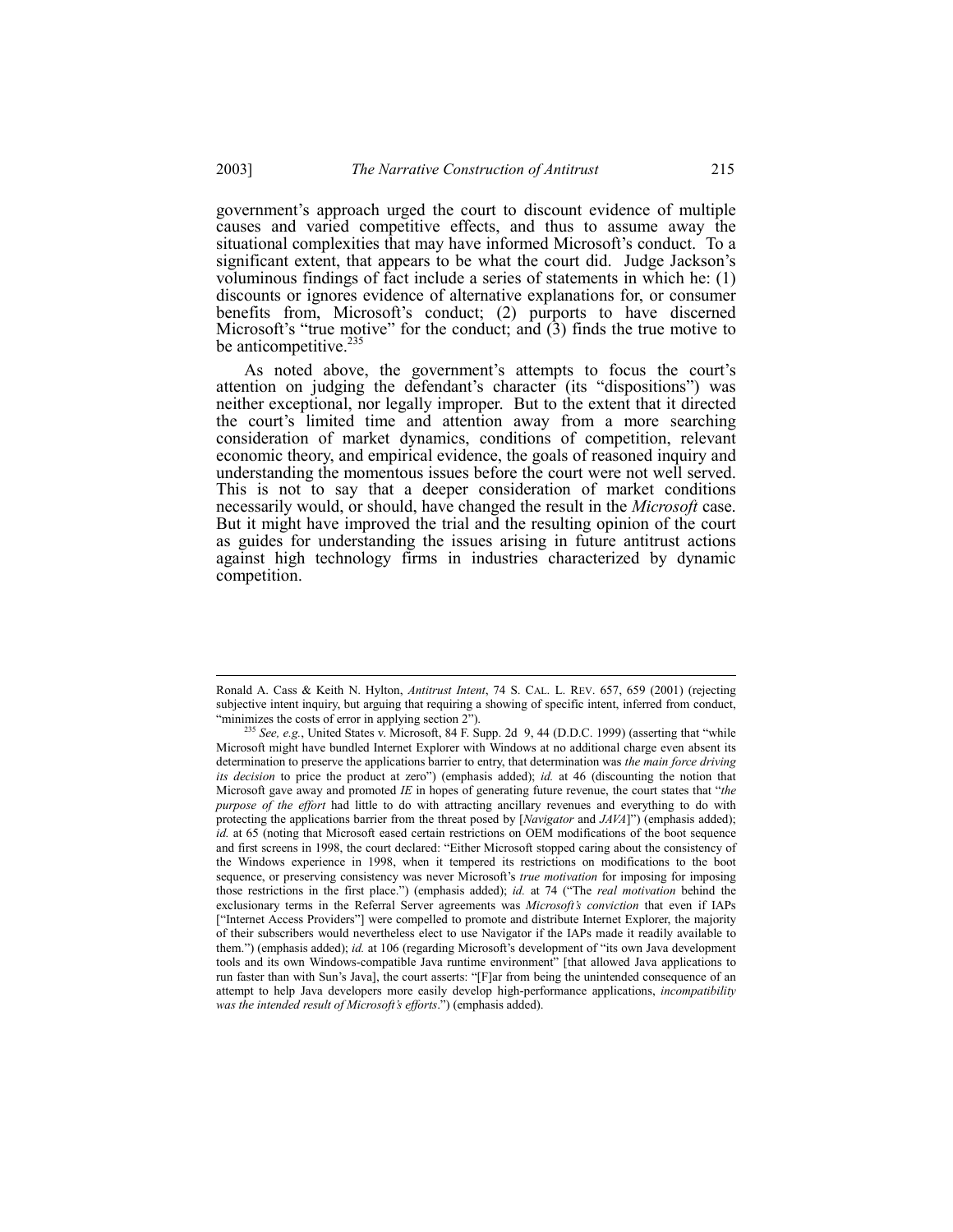governmentís approach urged the court to discount evidence of multiple causes and varied competitive effects, and thus to assume away the situational complexities that may have informed Microsoft's conduct. To a significant extent, that appears to be what the court did. Judge Jackson's voluminous findings of fact include a series of statements in which he: (1) discounts or ignores evidence of alternative explanations for, or consumer benefits from, Microsoft's conduct; (2) purports to have discerned Microsoft's "true motive" for the conduct; and  $(3)$  finds the true motive to

As noted above, the government's attempts to focus the court's attention on judging the defendant's character (its "dispositions") was neither exceptional, nor legally improper. But to the extent that it directed the court's limited time and attention away from a more searching consideration of market dynamics, conditions of competition, relevant economic theory, and empirical evidence, the goals of reasoned inquiry and understanding the momentous issues before the court were not well served. This is not to say that a deeper consideration of market conditions necessarily would, or should, have changed the result in the *Microsoft* case. But it might have improved the trial and the resulting opinion of the court as guides for understanding the issues arising in future antitrust actions against high technology firms in industries characterized by dynamic competition.

be anticompetitive. $\frac{2}{3}$ 

Ronald A. Cass & Keith N. Hylton, *Antitrust Intent*, 74 S. CAL. L. REV. 657, 659 (2001) (rejecting subjective intent inquiry, but arguing that requiring a showing of specific intent, inferred from conduct, "minimizes the costs of error in applying section 2").

<sup>&</sup>lt;sup>235</sup> See, e.g., United States v. Microsoft, 84 F. Supp. 2d 9, 44 (D.D.C. 1999) (asserting that "while Microsoft might have bundled Internet Explorer with Windows at no additional charge even absent its determination to preserve the applications barrier to entry, that determination was *the main force driving its decision* to price the product at zero") (emphasis added); *id.* at 46 (discounting the notion that Microsoft gave away and promoted *IE* in hopes of generating future revenue, the court states that "the *purpose of the effort* had little to do with attracting ancillary revenues and everything to do with protecting the applications barrier from the threat posed by [*Navigator* and *JAVA*]") (emphasis added); *id.* at 65 (noting that Microsoft eased certain restrictions on OEM modifications of the boot sequence and first screens in 1998, the court declared: "Either Microsoft stopped caring about the consistency of the Windows experience in 1998, when it tempered its restrictions on modifications to the boot sequence, or preserving consistency was never Microsoft's *true motivation* for imposing for imposing those restrictions in the first place.") (emphasis added); *id.* at 74 ("The *real motivation* behind the exclusionary terms in the Referral Server agreements was *Microsoftís conviction* that even if IAPs ["Internet Access Providers"] were compelled to promote and distribute Internet Explorer, the majority of their subscribers would nevertheless elect to use Navigator if the IAPs made it readily available to them.") (emphasis added); *id.* at 106 (regarding Microsoft's development of "its own Java development tools and its own Windows-compatible Java runtime environment" [that allowed Java applications to run faster than with Sun's Java], the court asserts: "[F]ar from being the unintended consequence of an attempt to help Java developers more easily develop high-performance applications, *incompatibility* was the intended result of Microsoft's efforts.") (emphasis added).